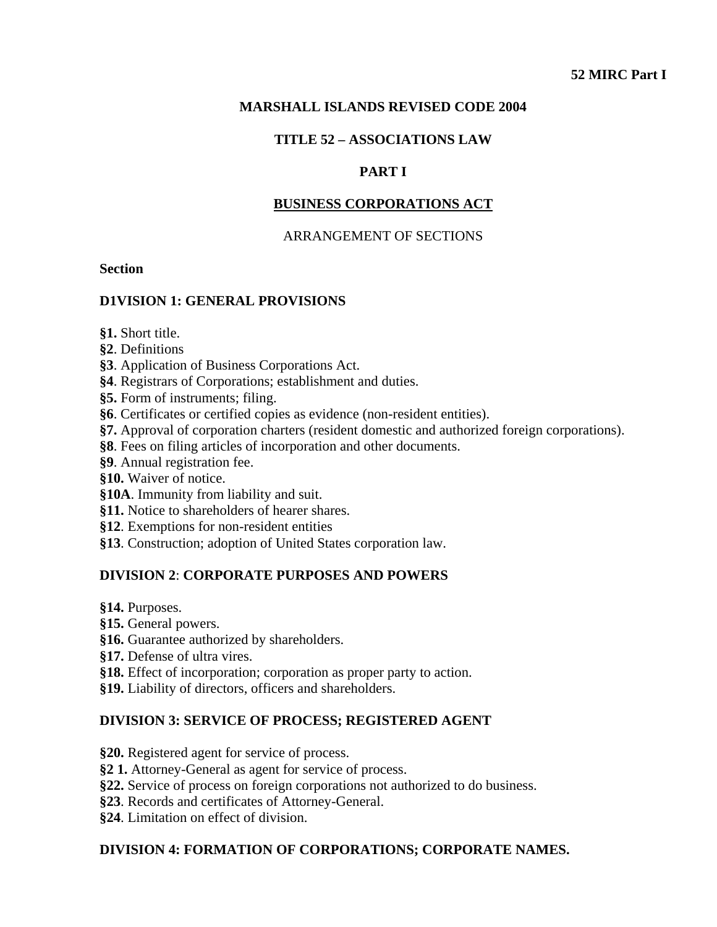### **52 MIRC Part I**

### **MARSHALL ISLANDS REVISED CODE 2004**

#### **TITLE 52 – ASSOCIATIONS LAW**

#### **PART I**

#### **BUSINESS CORPORATIONS ACT**

#### ARRANGEMENT OF SECTIONS

#### **Section**

#### **D1VISION 1: GENERAL PROVISIONS**

- **§1.** Short title.
- **§2**. Definitions
- **§3**. Application of Business Corporations Act.
- **§4**. Registrars of Corporations; establishment and duties.
- **§5.** Form of instruments; filing.
- **§6**. Certificates or certified copies as evidence (non-resident entities).
- **§7.** Approval of corporation charters (resident domestic and authorized foreign corporations).
- **§8**. Fees on filing articles of incorporation and other documents.
- **§9**. Annual registration fee.
- **§10.** Waiver of notice.
- **§10A**. Immunity from liability and suit.
- **§11.** Notice to shareholders of hearer shares.
- **§12**. Exemptions for non-resident entities
- **§13**. Construction; adoption of United States corporation law.

#### **DIVISION 2**: **CORPORATE PURPOSES AND POWERS**

- **§14.** Purposes.
- **§15.** General powers.
- **§16.** Guarantee authorized by shareholders.
- **§17.** Defense of ultra vires.
- **§18.** Effect of incorporation; corporation as proper party to action.
- **§19.** Liability of directors, officers and shareholders.

#### **DIVISION 3: SERVICE OF PROCESS; REGISTERED AGENT**

- **§20.** Registered agent for service of process.
- **§2 1.** Attorney-General as agent for service of process.
- **§22.** Service of process on foreign corporations not authorized to do business.
- **§23**. Records and certificates of Attorney-General.
- **§24**. Limitation on effect of division.

#### **DIVISION 4: FORMATION OF CORPORATIONS; CORPORATE NAMES.**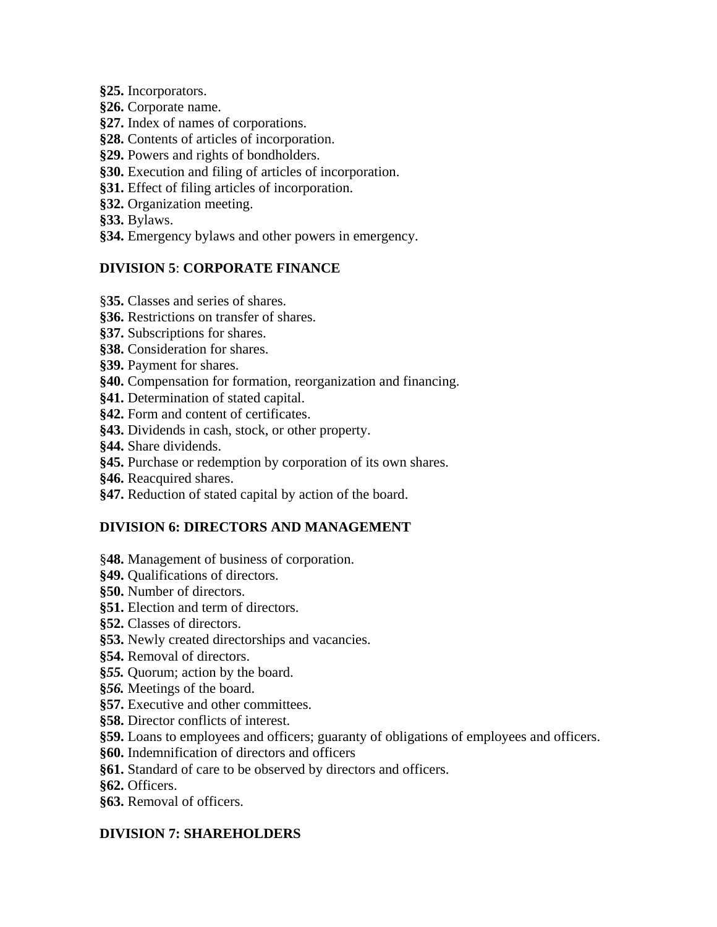- **§25.** Incorporators.
- **§26.** Corporate name.
- **§27.** Index of names of corporations.
- **§28.** Contents of articles of incorporation.
- **§29.** Powers and rights of bondholders.
- **§30.** Execution and filing of articles of incorporation.
- **§31.** Effect of filing articles of incorporation.
- **§32.** Organization meeting.
- **§33.** Bylaws.
- **§34.** Emergency bylaws and other powers in emergency.

## **DIVISION 5**: **CORPORATE FINANCE**

- §**35.** Classes and series of shares.
- **§36.** Restrictions on transfer of shares.
- **§37.** Subscriptions for shares.
- **§38.** Consideration for shares.
- **§39.** Payment for shares.
- **§40.** Compensation for formation, reorganization and financing.
- **§41.** Determination of stated capital.
- **§42.** Form and content of certificates.
- **§43.** Dividends in cash, stock, or other property.
- **§44.** Share dividends.
- **§45.** Purchase or redemption by corporation of its own shares.
- **§46.** Reacquired shares.
- **§47.** Reduction of stated capital by action of the board.

# **DIVISION 6: DIRECTORS AND MANAGEMENT**

- §**48.** Management of business of corporation.
- **§49.** Qualifications of directors.
- **§50.** Number of directors.
- **§51.** Election and term of directors.
- **§52.** Classes of directors.
- **§53.** Newly created directorships and vacancies.
- **§54.** Removal of directors.
- **§***55.* Quorum; action by the board.
- **§***56.* Meetings of the board.
- **§57.** Executive and other committees.
- **§58.** Director conflicts of interest.
- **§59.** Loans to employees and officers; guaranty of obligations of employees and officers.
- **§60.** Indemnification of directors and officers
- **§61.** Standard of care to be observed by directors and officers.
- **§62.** Officers.
- **§63.** Removal of officers.

### **DIVISION 7: SHAREHOLDERS**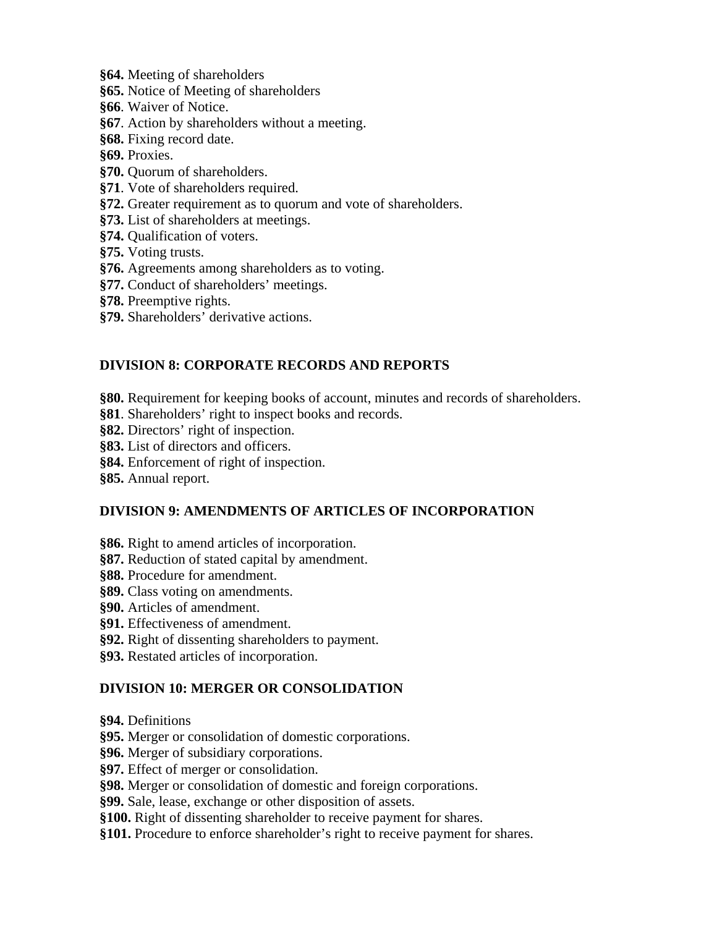- **§64.** Meeting of shareholders
- **§65.** Notice of Meeting of shareholders
- **§66**. Waiver of Notice.
- **§67**. Action by shareholders without a meeting.
- **§68.** Fixing record date.
- **§69.** Proxies.
- **§70.** Quorum of shareholders.
- **§71**. Vote of shareholders required.
- **§72.** Greater requirement as to quorum and vote of shareholders.
- **§73.** List of shareholders at meetings.
- **§74.** Qualification of voters.
- **§75.** Voting trusts.
- **§76.** Agreements among shareholders as to voting.
- **§77.** Conduct of shareholders' meetings.
- **§78.** Preemptive rights.
- **§79.** Shareholders' derivative actions.

### **DIVISION 8: CORPORATE RECORDS AND REPORTS**

- **§80.** Requirement for keeping books of account, minutes and records of shareholders.
- **§81**. Shareholders' right to inspect books and records.
- **§82.** Directors' right of inspection.
- **§83.** List of directors and officers.
- **§84.** Enforcement of right of inspection.
- **§85.** Annual report.

### **DIVISION 9: AMENDMENTS OF ARTICLES OF INCORPORATION**

- **§86.** Right to amend articles of incorporation.
- **§87.** Reduction of stated capital by amendment.
- **§88.** Procedure for amendment.
- **§89.** Class voting on amendments.
- **§90.** Articles of amendment.
- **§91.** Effectiveness of amendment.
- **§92.** Right of dissenting shareholders to payment.
- **§93.** Restated articles of incorporation.

# **DIVISION 10: MERGER OR CONSOLIDATION**

- **§94.** Definitions
- **§95.** Merger or consolidation of domestic corporations.
- **§96.** Merger of subsidiary corporations.
- **§97.** Effect of merger or consolidation.
- **§98.** Merger or consolidation of domestic and foreign corporations.
- **§99.** Sale, lease, exchange or other disposition of assets.
- **§100.** Right of dissenting shareholder to receive payment for shares.
- **§101.** Procedure to enforce shareholder's right to receive payment for shares.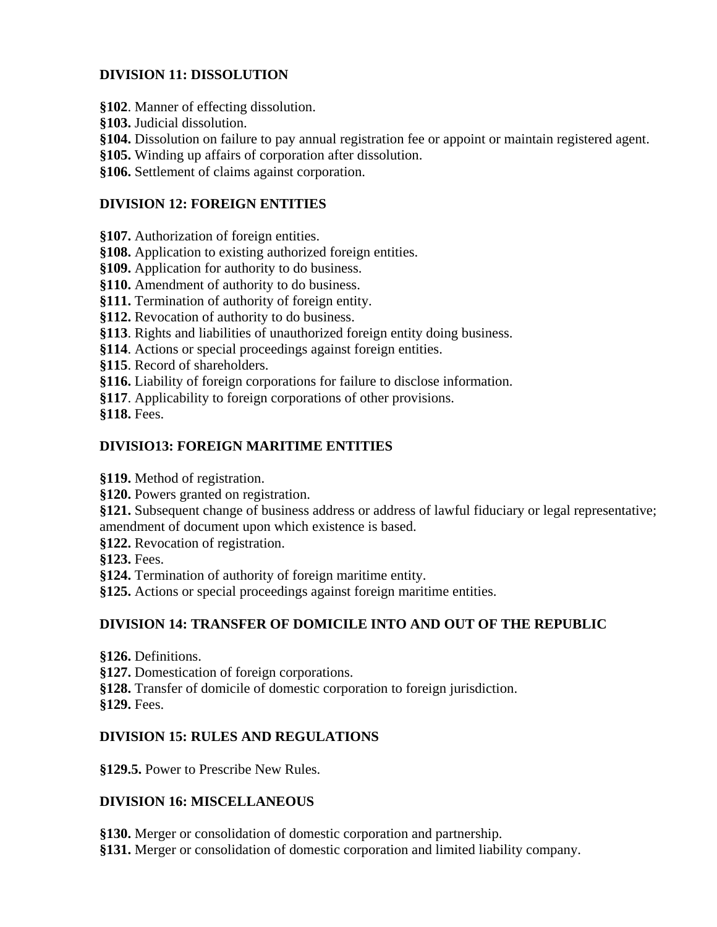## **DIVISION 11: DISSOLUTION**

**§102**. Manner of effecting dissolution.

**§103.** Judicial dissolution.

**§104.** Dissolution on failure to pay annual registration fee or appoint or maintain registered agent.

**§105.** Winding up affairs of corporation after dissolution.

**§106.** Settlement of claims against corporation.

## **DIVISION 12: FOREIGN ENTITIES**

**§107.** Authorization of foreign entities.

**§108.** Application to existing authorized foreign entities.

- **§109.** Application for authority to do business.
- **§110.** Amendment of authority to do business.
- **§111.** Termination of authority of foreign entity.

**§112.** Revocation of authority to do business.

**§113**. Rights and liabilities of unauthorized foreign entity doing business.

**§114**. Actions or special proceedings against foreign entities.

**§115**. Record of shareholders.

**§116.** Liability of foreign corporations for failure to disclose information.

**§117**. Applicability to foreign corporations of other provisions.

**§118.** Fees.

## **DIVISIO13: FOREIGN MARITIME ENTITIES**

**§119.** Method of registration.

**§120.** Powers granted on registration.

**§121.** Subsequent change of business address or address of lawful fiduciary or legal representative; amendment of document upon which existence is based.

**§122.** Revocation of registration.

**§123.** Fees.

**§124.** Termination of authority of foreign maritime entity.

**§125.** Actions or special proceedings against foreign maritime entities.

# **DIVISION 14: TRANSFER OF DOMICILE INTO AND OUT OF THE REPUBLIC**

**§126.** Definitions.

**§127.** Domestication of foreign corporations.

**§128.** Transfer of domicile of domestic corporation to foreign jurisdiction.

**§129.** Fees.

# **DIVISION 15: RULES AND REGULATIONS**

**§129.5.** Power to Prescribe New Rules.

### **DIVISION 16: MISCELLANEOUS**

**§130.** Merger or consolidation of domestic corporation and partnership.

**§131.** Merger or consolidation of domestic corporation and limited liability company.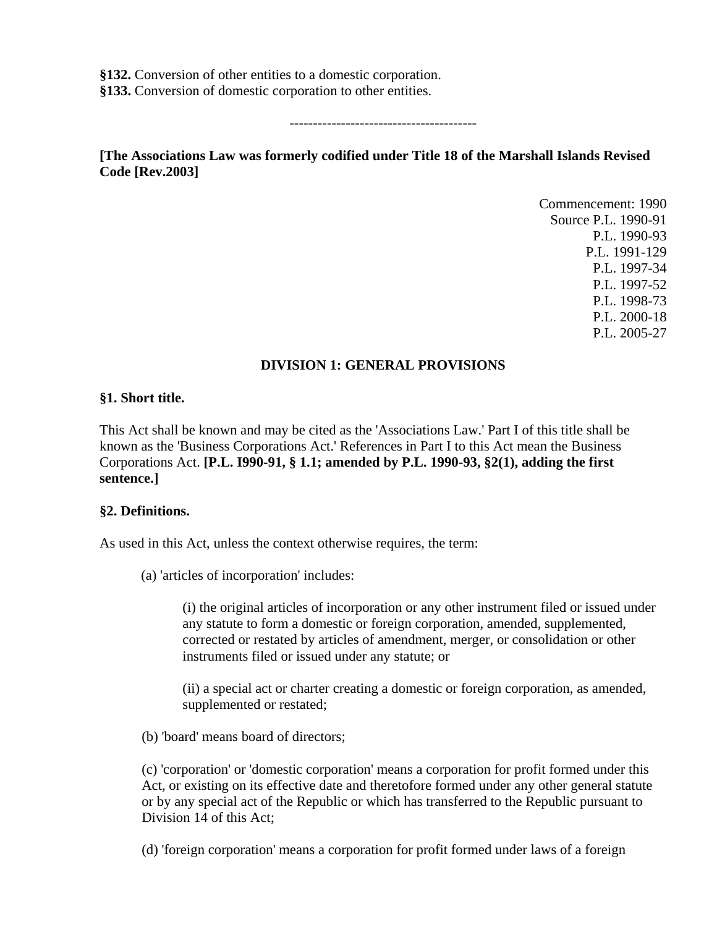**§132.** Conversion of other entities to a domestic corporation.

**§133.** Conversion of domestic corporation to other entities.

----------------------------------------

**[The Associations Law was formerly codified under Title 18 of the Marshall Islands Revised Code [Rev.2003]** 

> Commencement: 1990 Source P.L. 1990-91 P.L. 1990-93 P.L. 1991-129 P.L. 1997-34 P.L. 1997-52 P.L. 1998-73 P.L. 2000-18 P.L. 2005-27

### **DIVISION 1: GENERAL PROVISIONS**

#### **§1. Short title.**

This Act shall be known and may be cited as the 'Associations Law.' Part I of this title shall be known as the 'Business Corporations Act.' References in Part I to this Act mean the Business Corporations Act. **[P.L. I990-91, § 1.1; amended by P.L. 1990-93, §2(1), adding the first sentence.]** 

### **§2. Definitions.**

As used in this Act, unless the context otherwise requires, the term:

(a) 'articles of incorporation' includes:

(i) the original articles of incorporation or any other instrument filed or issued under any statute to form a domestic or foreign corporation, amended, supplemented, corrected or restated by articles of amendment, merger, or consolidation or other instruments filed or issued under any statute; or

(ii) a special act or charter creating a domestic or foreign corporation, as amended, supplemented or restated;

(b) 'board' means board of directors;

(c) 'corporation' or 'domestic corporation' means a corporation for profit formed under this Act, or existing on its effective date and theretofore formed under any other general statute or by any special act of the Republic or which has transferred to the Republic pursuant to Division 14 of this Act;

(d) 'foreign corporation' means a corporation for profit formed under laws of a foreign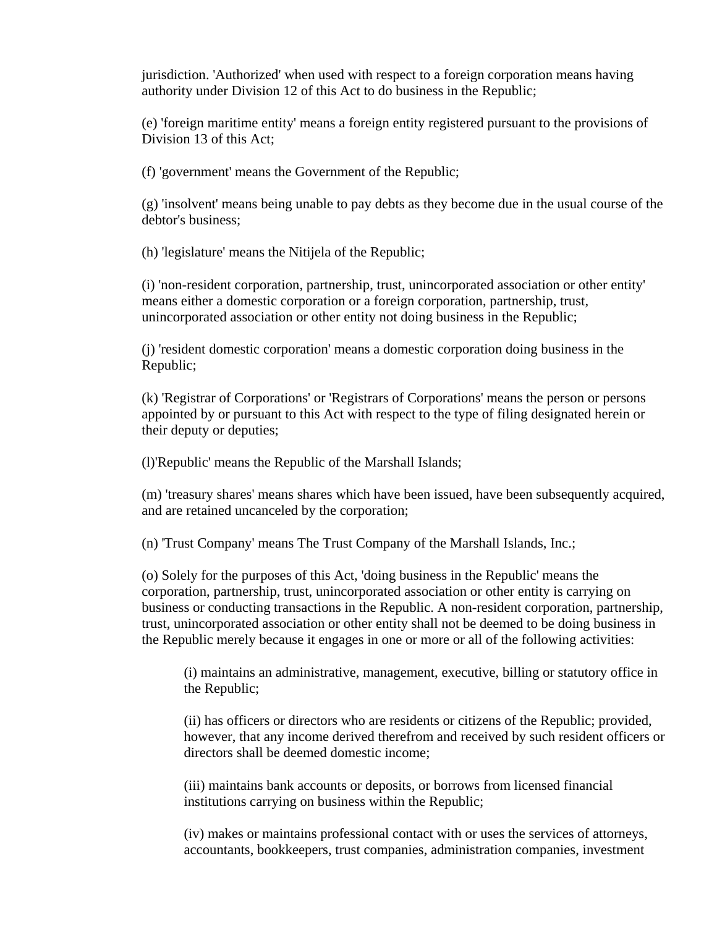jurisdiction. 'Authorized' when used with respect to a foreign corporation means having authority under Division 12 of this Act to do business in the Republic;

(e) 'foreign maritime entity' means a foreign entity registered pursuant to the provisions of Division 13 of this Act;

(f) 'government' means the Government of the Republic;

(g) 'insolvent' means being unable to pay debts as they become due in the usual course of the debtor's business;

(h) 'legislature' means the Nitijela of the Republic;

(i) 'non-resident corporation, partnership, trust, unincorporated association or other entity' means either a domestic corporation or a foreign corporation, partnership, trust, unincorporated association or other entity not doing business in the Republic;

(j) 'resident domestic corporation' means a domestic corporation doing business in the Republic;

(k) 'Registrar of Corporations' or 'Registrars of Corporations' means the person or persons appointed by or pursuant to this Act with respect to the type of filing designated herein or their deputy or deputies;

(l)'Republic' means the Republic of the Marshall Islands;

(m) 'treasury shares' means shares which have been issued, have been subsequently acquired, and are retained uncanceled by the corporation;

(n) 'Trust Company' means The Trust Company of the Marshall Islands, Inc.;

(o) Solely for the purposes of this Act, 'doing business in the Republic' means the corporation, partnership, trust, unincorporated association or other entity is carrying on business or conducting transactions in the Republic. A non-resident corporation, partnership, trust, unincorporated association or other entity shall not be deemed to be doing business in the Republic merely because it engages in one or more or all of the following activities:

(i) maintains an administrative, management, executive, billing or statutory office in the Republic;

(ii) has officers or directors who are residents or citizens of the Republic; provided, however, that any income derived therefrom and received by such resident officers or directors shall be deemed domestic income;

(iii) maintains bank accounts or deposits, or borrows from licensed financial institutions carrying on business within the Republic;

(iv) makes or maintains professional contact with or uses the services of attorneys, accountants, bookkeepers, trust companies, administration companies, investment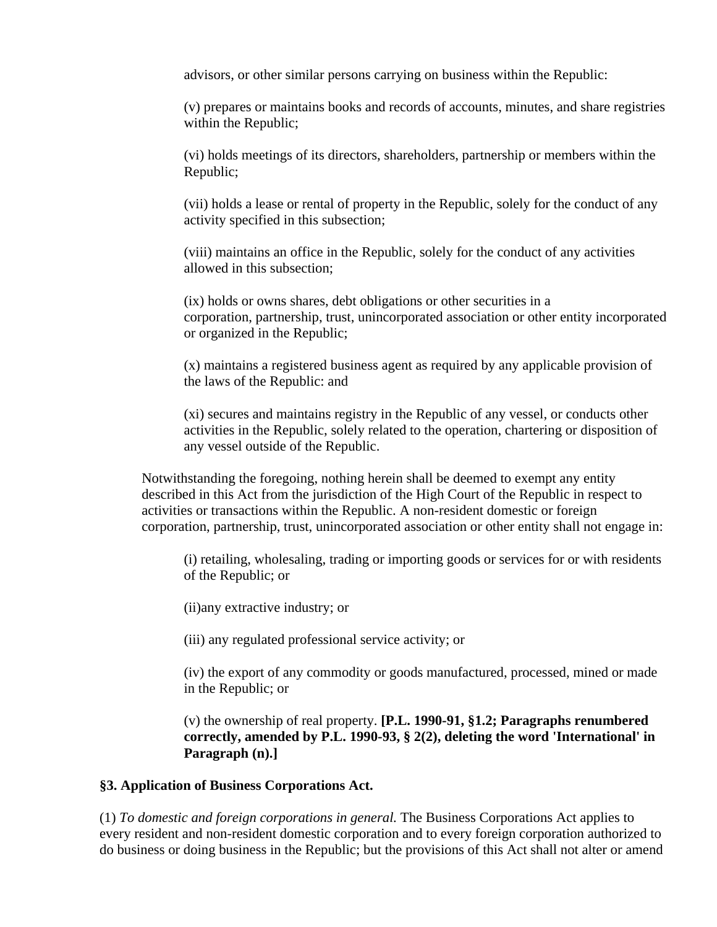advisors, or other similar persons carrying on business within the Republic:

(v) prepares or maintains books and records of accounts, minutes, and share registries within the Republic;

(vi) holds meetings of its directors, shareholders, partnership or members within the Republic;

(vii) holds a lease or rental of property in the Republic, solely for the conduct of any activity specified in this subsection;

(viii) maintains an office in the Republic, solely for the conduct of any activities allowed in this subsection;

(ix) holds or owns shares, debt obligations or other securities in a corporation, partnership, trust, unincorporated association or other entity incorporated or organized in the Republic;

(x) maintains a registered business agent as required by any applicable provision of the laws of the Republic: and

(xi) secures and maintains registry in the Republic of any vessel, or conducts other activities in the Republic, solely related to the operation, chartering or disposition of any vessel outside of the Republic.

Notwithstanding the foregoing, nothing herein shall be deemed to exempt any entity described in this Act from the jurisdiction of the High Court of the Republic in respect to activities or transactions within the Republic. A non-resident domestic or foreign corporation, partnership, trust, unincorporated association or other entity shall not engage in:

(i) retailing, wholesaling, trading or importing goods or services for or with residents of the Republic; or

(ii)any extractive industry; or

(iii) any regulated professional service activity; or

(iv) the export of any commodity or goods manufactured, processed, mined or made in the Republic; or

(v) the ownership of real property. **[P.L. 1990-91, §1.2; Paragraphs renumbered correctly, amended by P.L. 1990-93, § 2(2), deleting the word 'International' in Paragraph (n).]** 

#### **§3. Application of Business Corporations Act.**

(1) *To domestic and foreign corporations in general.* The Business Corporations Act applies to every resident and non-resident domestic corporation and to every foreign corporation authorized to do business or doing business in the Republic; but the provisions of this Act shall not alter or amend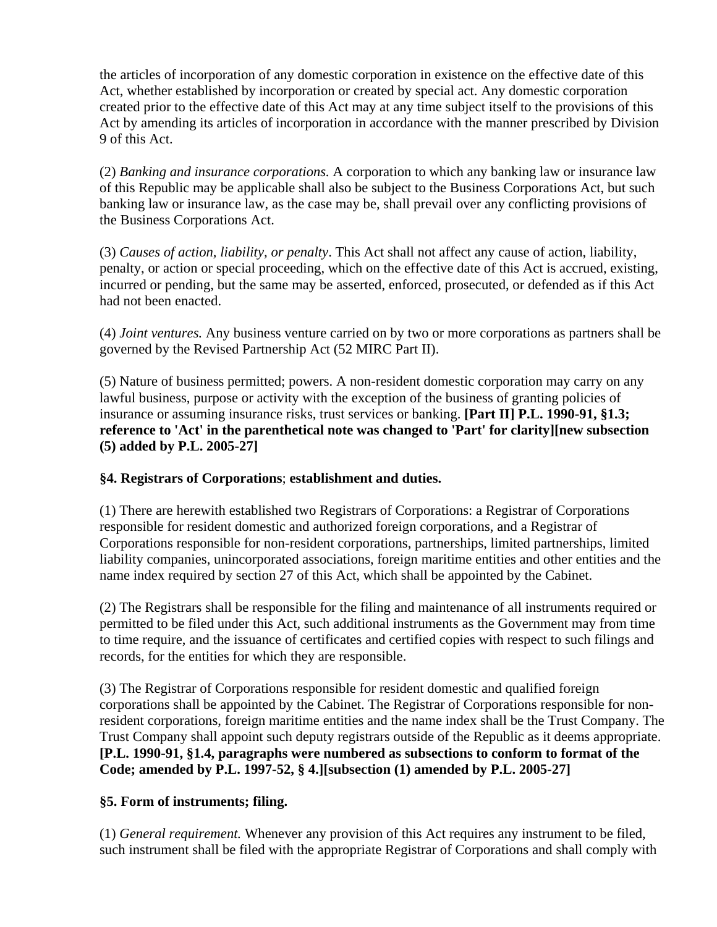the articles of incorporation of any domestic corporation in existence on the effective date of this Act, whether established by incorporation or created by special act. Any domestic corporation created prior to the effective date of this Act may at any time subject itself to the provisions of this Act by amending its articles of incorporation in accordance with the manner prescribed by Division 9 of this Act.

(2) *Banking and insurance corporations.* A corporation to which any banking law or insurance law of this Republic may be applicable shall also be subject to the Business Corporations Act, but such banking law or insurance law, as the case may be, shall prevail over any conflicting provisions of the Business Corporations Act.

(3) *Causes of action, liability, or penalty*. This Act shall not affect any cause of action, liability, penalty, or action or special proceeding, which on the effective date of this Act is accrued, existing, incurred or pending, but the same may be asserted, enforced, prosecuted, or defended as if this Act had not been enacted.

(4) *Joint ventures.* Any business venture carried on by two or more corporations as partners shall be governed by the Revised Partnership Act (52 MIRC Part II).

(5) Nature of business permitted; powers. A non-resident domestic corporation may carry on any lawful business, purpose or activity with the exception of the business of granting policies of insurance or assuming insurance risks, trust services or banking. **[Part II] P.L. 1990-91, §1.3; reference to 'Act' in the parenthetical note was changed to 'Part' for clarity][new subsection (5) added by P.L. 2005-27]**

### **§4. Registrars of Corporations**; **establishment and duties.**

(1) There are herewith established two Registrars of Corporations: a Registrar of Corporations responsible for resident domestic and authorized foreign corporations, and a Registrar of Corporations responsible for non-resident corporations, partnerships, limited partnerships, limited liability companies, unincorporated associations, foreign maritime entities and other entities and the name index required by section 27 of this Act, which shall be appointed by the Cabinet.

(2) The Registrars shall be responsible for the filing and maintenance of all instruments required or permitted to be filed under this Act, such additional instruments as the Government may from time to time require, and the issuance of certificates and certified copies with respect to such filings and records, for the entities for which they are responsible.

(3) The Registrar of Corporations responsible for resident domestic and qualified foreign corporations shall be appointed by the Cabinet. The Registrar of Corporations responsible for nonresident corporations, foreign maritime entities and the name index shall be the Trust Company. The Trust Company shall appoint such deputy registrars outside of the Republic as it deems appropriate. **[P.L. 1990-91, §1.4, paragraphs were numbered as subsections to conform to format of the Code; amended by P.L. 1997-52, § 4.][subsection (1) amended by P.L. 2005-27]**

# **§5. Form of instruments; filing.**

(1) *General requirement.* Whenever any provision of this Act requires any instrument to be filed, such instrument shall be filed with the appropriate Registrar of Corporations and shall comply with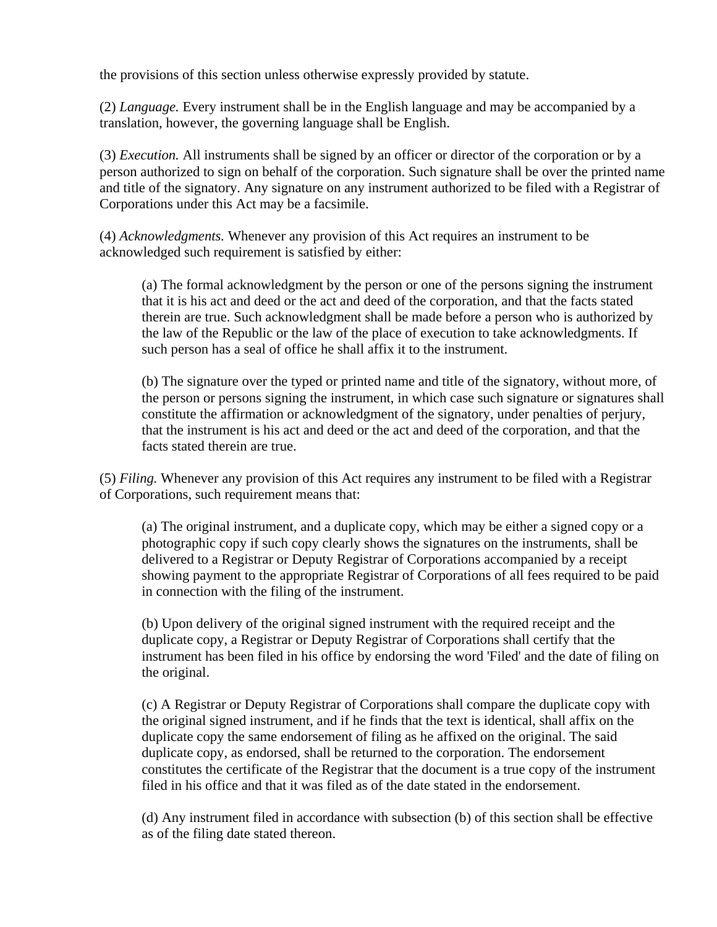the provisions of this section unless otherwise expressly provided by statute.

(2) *Language.* Every instrument shall be in the English language and may be accompanied by a translation, however, the governing language shall be English.

(3) *Execution.* All instruments shall be signed by an officer or director of the corporation or by a person authorized to sign on behalf of the corporation. Such signature shall be over the printed name and title of the signatory. Any signature on any instrument authorized to be filed with a Registrar of Corporations under this Act may be a facsimile.

(4) *Acknowledgments.* Whenever any provision of this Act requires an instrument to be acknowledged such requirement is satisfied by either:

(a) The formal acknowledgment by the person or one of the persons signing the instrument that it is his act and deed or the act and deed of the corporation, and that the facts stated therein are true. Such acknowledgment shall be made before a person who is authorized by the law of the Republic or the law of the place of execution to take acknowledgments. If such person has a seal of office he shall affix it to the instrument.

(b) The signature over the typed or printed name and title of the signatory, without more, of the person or persons signing the instrument, in which case such signature or signatures shall constitute the affirmation or acknowledgment of the signatory, under penalties of perjury, that the instrument is his act and deed or the act and deed of the corporation, and that the facts stated therein are true.

(5) *Filing.* Whenever any provision of this Act requires any instrument to be filed with a Registrar of Corporations, such requirement means that:

(a) The original instrument, and a duplicate copy, which may be either a signed copy or a photographic copy if such copy clearly shows the signatures on the instruments, shall be delivered to a Registrar or Deputy Registrar of Corporations accompanied by a receipt showing payment to the appropriate Registrar of Corporations of all fees required to be paid in connection with the filing of the instrument.

(b) Upon delivery of the original signed instrument with the required receipt and the duplicate copy, a Registrar or Deputy Registrar of Corporations shall certify that the instrument has been filed in his office by endorsing the word 'Filed' and the date of filing on the original.

(c) A Registrar or Deputy Registrar of Corporations shall compare the duplicate copy with the original signed instrument, and if he finds that the text is identical, shall affix on the duplicate copy the same endorsement of filing as he affixed on the original. The said duplicate copy, as endorsed, shall be returned to the corporation. The endorsement constitutes the certificate of the Registrar that the document is a true copy of the instrument filed in his office and that it was filed as of the date stated in the endorsement.

(d) Any instrument filed in accordance with subsection (b) of this section shall be effective as of the filing date stated thereon.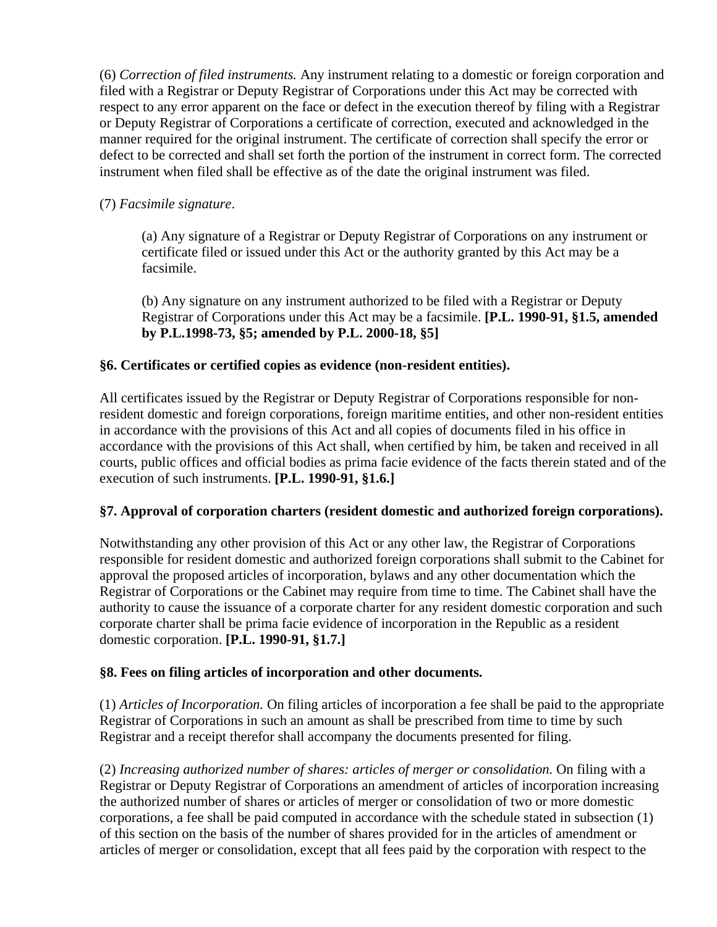(6) *Correction of filed instruments.* Any instrument relating to a domestic or foreign corporation and filed with a Registrar or Deputy Registrar of Corporations under this Act may be corrected with respect to any error apparent on the face or defect in the execution thereof by filing with a Registrar or Deputy Registrar of Corporations a certificate of correction, executed and acknowledged in the manner required for the original instrument. The certificate of correction shall specify the error or defect to be corrected and shall set forth the portion of the instrument in correct form. The corrected instrument when filed shall be effective as of the date the original instrument was filed.

## (7) *Facsimile signature*.

(a) Any signature of a Registrar or Deputy Registrar of Corporations on any instrument or certificate filed or issued under this Act or the authority granted by this Act may be a facsimile.

(b) Any signature on any instrument authorized to be filed with a Registrar or Deputy Registrar of Corporations under this Act may be a facsimile. **[P.L. 1990-91, §1.5, amended by P.L.1998-73, §5; amended by P.L. 2000-18, §5]**

## **§6. Certificates or certified copies as evidence (non-resident entities).**

All certificates issued by the Registrar or Deputy Registrar of Corporations responsible for nonresident domestic and foreign corporations, foreign maritime entities, and other non-resident entities in accordance with the provisions of this Act and all copies of documents filed in his office in accordance with the provisions of this Act shall, when certified by him, be taken and received in all courts, public offices and official bodies as prima facie evidence of the facts therein stated and of the execution of such instruments. **[P.L. 1990-91, §1.6.]**

### **§7. Approval of corporation charters (resident domestic and authorized foreign corporations).**

Notwithstanding any other provision of this Act or any other law, the Registrar of Corporations responsible for resident domestic and authorized foreign corporations shall submit to the Cabinet for approval the proposed articles of incorporation, bylaws and any other documentation which the Registrar of Corporations or the Cabinet may require from time to time. The Cabinet shall have the authority to cause the issuance of a corporate charter for any resident domestic corporation and such corporate charter shall be prima facie evidence of incorporation in the Republic as a resident domestic corporation. **[P.L. 1990-91, §1.7.]**

### **§8. Fees on filing articles of incorporation and other documents.**

(1) *Articles of Incorporation.* On filing articles of incorporation a fee shall be paid to the appropriate Registrar of Corporations in such an amount as shall be prescribed from time to time by such Registrar and a receipt therefor shall accompany the documents presented for filing.

(2) *Increasing authorized number of shares: articles of merger or consolidation.* On filing with a Registrar or Deputy Registrar of Corporations an amendment of articles of incorporation increasing the authorized number of shares or articles of merger or consolidation of two or more domestic corporations, a fee shall be paid computed in accordance with the schedule stated in subsection (1) of this section on the basis of the number of shares provided for in the articles of amendment or articles of merger or consolidation, except that all fees paid by the corporation with respect to the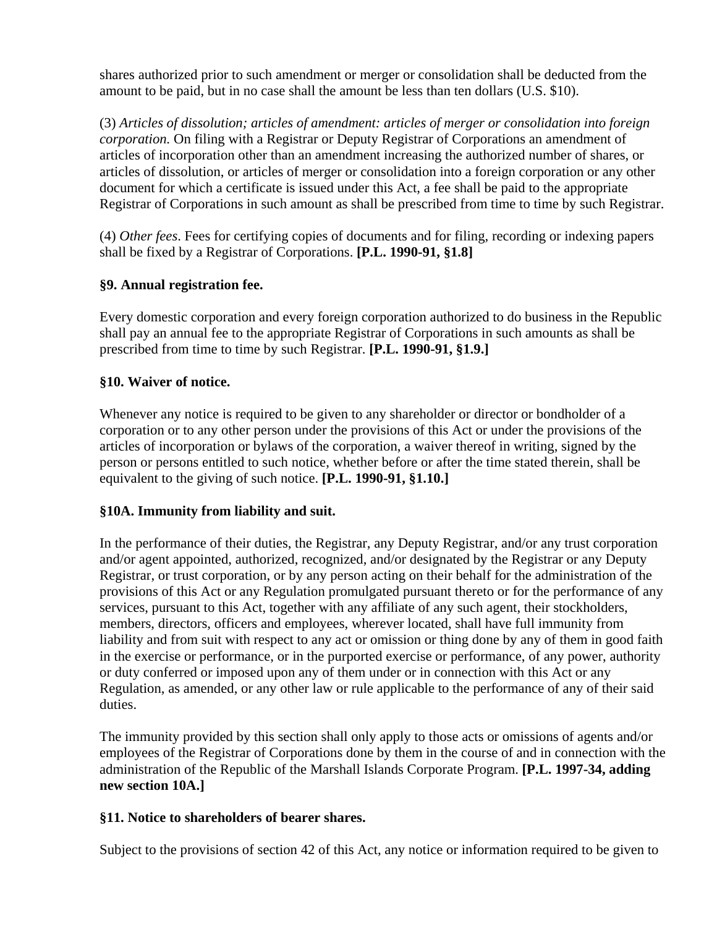shares authorized prior to such amendment or merger or consolidation shall be deducted from the amount to be paid, but in no case shall the amount be less than ten dollars (U.S. \$10).

(3) *Articles of dissolution; articles of amendment: articles of merger or consolidation into foreign corporation.* On filing with a Registrar or Deputy Registrar of Corporations an amendment of articles of incorporation other than an amendment increasing the authorized number of shares, or articles of dissolution, or articles of merger or consolidation into a foreign corporation or any other document for which a certificate is issued under this Act, a fee shall be paid to the appropriate Registrar of Corporations in such amount as shall be prescribed from time to time by such Registrar.

(4) *Other fees*. Fees for certifying copies of documents and for filing, recording or indexing papers shall be fixed by a Registrar of Corporations. **[P.L. 1990-91, §1.8]**

### **§9. Annual registration fee.**

Every domestic corporation and every foreign corporation authorized to do business in the Republic shall pay an annual fee to the appropriate Registrar of Corporations in such amounts as shall be prescribed from time to time by such Registrar. **[P.L. 1990-91, §1.9.]**

## **§10. Waiver of notice.**

Whenever any notice is required to be given to any shareholder or director or bondholder of a corporation or to any other person under the provisions of this Act or under the provisions of the articles of incorporation or bylaws of the corporation, a waiver thereof in writing, signed by the person or persons entitled to such notice, whether before or after the time stated therein, shall be equivalent to the giving of such notice. **[P.L. 1990-91, §1.10.]**

### **§10A. Immunity from liability and suit.**

In the performance of their duties, the Registrar, any Deputy Registrar, and/or any trust corporation and/or agent appointed, authorized, recognized, and/or designated by the Registrar or any Deputy Registrar, or trust corporation, or by any person acting on their behalf for the administration of the provisions of this Act or any Regulation promulgated pursuant thereto or for the performance of any services, pursuant to this Act, together with any affiliate of any such agent, their stockholders, members, directors, officers and employees, wherever located, shall have full immunity from liability and from suit with respect to any act or omission or thing done by any of them in good faith in the exercise or performance, or in the purported exercise or performance, of any power, authority or duty conferred or imposed upon any of them under or in connection with this Act or any Regulation, as amended, or any other law or rule applicable to the performance of any of their said duties.

The immunity provided by this section shall only apply to those acts or omissions of agents and/or employees of the Registrar of Corporations done by them in the course of and in connection with the administration of the Republic of the Marshall Islands Corporate Program. **[P.L. 1997-34, adding new section 10A.]**

### **§11. Notice to shareholders of bearer shares.**

Subject to the provisions of section 42 of this Act, any notice or information required to be given to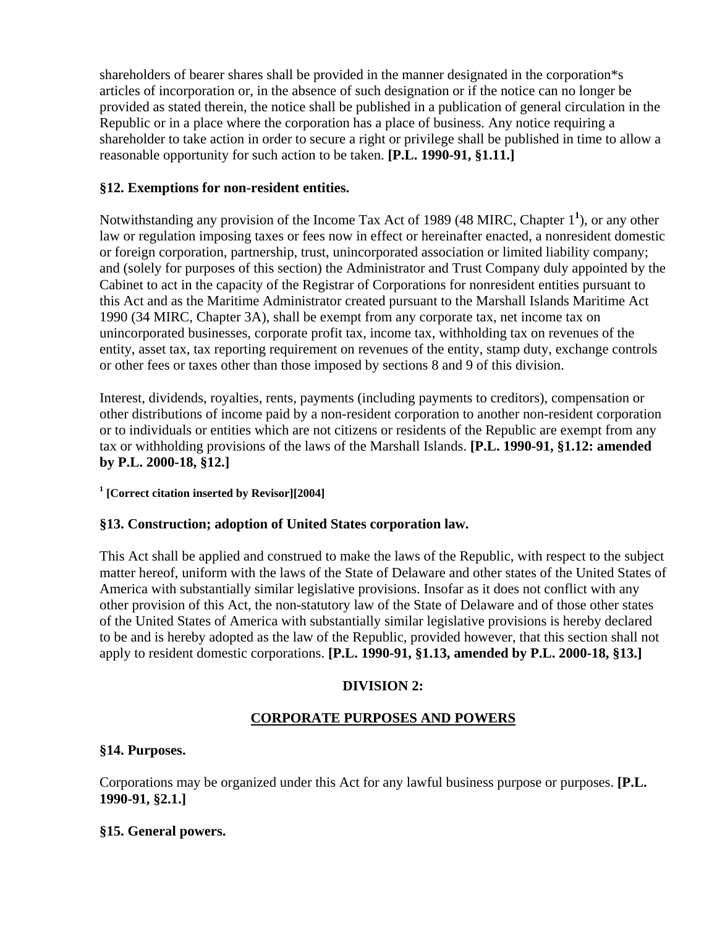shareholders of bearer shares shall be provided in the manner designated in the corporation\*s articles of incorporation or, in the absence of such designation or if the notice can no longer be provided as stated therein, the notice shall be published in a publication of general circulation in the Republic or in a place where the corporation has a place of business. Any notice requiring a shareholder to take action in order to secure a right or privilege shall be published in time to allow a reasonable opportunity for such action to be taken. **[P.L. 1990-91, §1.11.]**

### **§12. Exemptions for non-resident entities.**

Notwithstanding any provision of the Income Tax Act of 1989 (48 MIRC, Chapter 1**<sup>1</sup>** ), or any other law or regulation imposing taxes or fees now in effect or hereinafter enacted, a nonresident domestic or foreign corporation, partnership, trust, unincorporated association or limited liability company; and (solely for purposes of this section) the Administrator and Trust Company duly appointed by the Cabinet to act in the capacity of the Registrar of Corporations for nonresident entities pursuant to this Act and as the Maritime Administrator created pursuant to the Marshall Islands Maritime Act 1990 (34 MIRC, Chapter 3A), shall be exempt from any corporate tax, net income tax on unincorporated businesses, corporate profit tax, income tax, withholding tax on revenues of the entity, asset tax, tax reporting requirement on revenues of the entity, stamp duty, exchange controls or other fees or taxes other than those imposed by sections 8 and 9 of this division.

Interest, dividends, royalties, rents, payments (including payments to creditors), compensation or other distributions of income paid by a non-resident corporation to another non-resident corporation or to individuals or entities which are not citizens or residents of the Republic are exempt from any tax or withholding provisions of the laws of the Marshall Islands. **[P.L. 1990-91, §1.12: amended by P.L. 2000-18, §12.]**

**1 [Correct citation inserted by Revisor][2004]**

#### **§13. Construction; adoption of United States corporation law.**

This Act shall be applied and construed to make the laws of the Republic, with respect to the subject matter hereof, uniform with the laws of the State of Delaware and other states of the United States of America with substantially similar legislative provisions. Insofar as it does not conflict with any other provision of this Act, the non-statutory law of the State of Delaware and of those other states of the United States of America with substantially similar legislative provisions is hereby declared to be and is hereby adopted as the law of the Republic, provided however, that this section shall not apply to resident domestic corporations. **[P.L. 1990-91, §1.13, amended by P.L. 2000-18, §13.]**

### **DIVISION 2:**

### **CORPORATE PURPOSES AND POWERS**

#### **§14. Purposes.**

Corporations may be organized under this Act for any lawful business purpose or purposes. **[P.L. 1990-91, §2.1.]**

#### **§15. General powers.**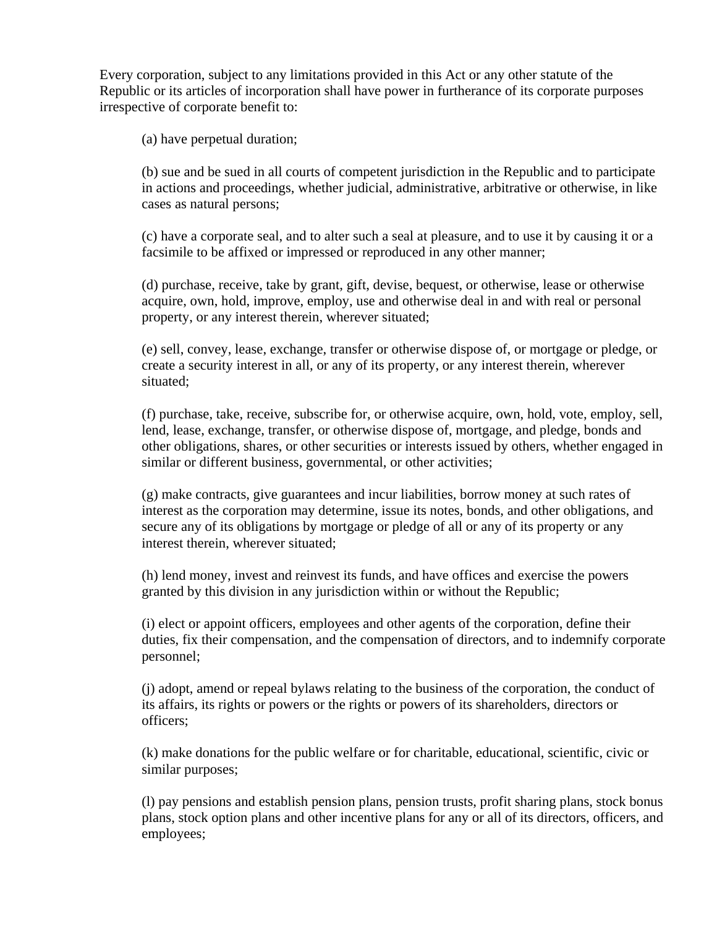Every corporation, subject to any limitations provided in this Act or any other statute of the Republic or its articles of incorporation shall have power in furtherance of its corporate purposes irrespective of corporate benefit to:

(a) have perpetual duration;

(b) sue and be sued in all courts of competent jurisdiction in the Republic and to participate in actions and proceedings, whether judicial, administrative, arbitrative or otherwise, in like cases as natural persons;

(c) have a corporate seal, and to alter such a seal at pleasure, and to use it by causing it or a facsimile to be affixed or impressed or reproduced in any other manner;

(d) purchase, receive, take by grant, gift, devise, bequest, or otherwise, lease or otherwise acquire, own, hold, improve, employ, use and otherwise deal in and with real or personal property, or any interest therein, wherever situated;

(e) sell, convey, lease, exchange, transfer or otherwise dispose of, or mortgage or pledge, or create a security interest in all, or any of its property, or any interest therein, wherever situated;

(f) purchase, take, receive, subscribe for, or otherwise acquire, own, hold, vote, employ, sell, lend, lease, exchange, transfer, or otherwise dispose of, mortgage, and pledge, bonds and other obligations, shares, or other securities or interests issued by others, whether engaged in similar or different business, governmental, or other activities;

(g) make contracts, give guarantees and incur liabilities, borrow money at such rates of interest as the corporation may determine, issue its notes, bonds, and other obligations, and secure any of its obligations by mortgage or pledge of all or any of its property or any interest therein, wherever situated;

(h) lend money, invest and reinvest its funds, and have offices and exercise the powers granted by this division in any jurisdiction within or without the Republic;

(i) elect or appoint officers, employees and other agents of the corporation, define their duties, fix their compensation, and the compensation of directors, and to indemnify corporate personnel;

(j) adopt, amend or repeal bylaws relating to the business of the corporation, the conduct of its affairs, its rights or powers or the rights or powers of its shareholders, directors or officers;

(k) make donations for the public welfare or for charitable, educational, scientific, civic or similar purposes;

(l) pay pensions and establish pension plans, pension trusts, profit sharing plans, stock bonus plans, stock option plans and other incentive plans for any or all of its directors, officers, and employees;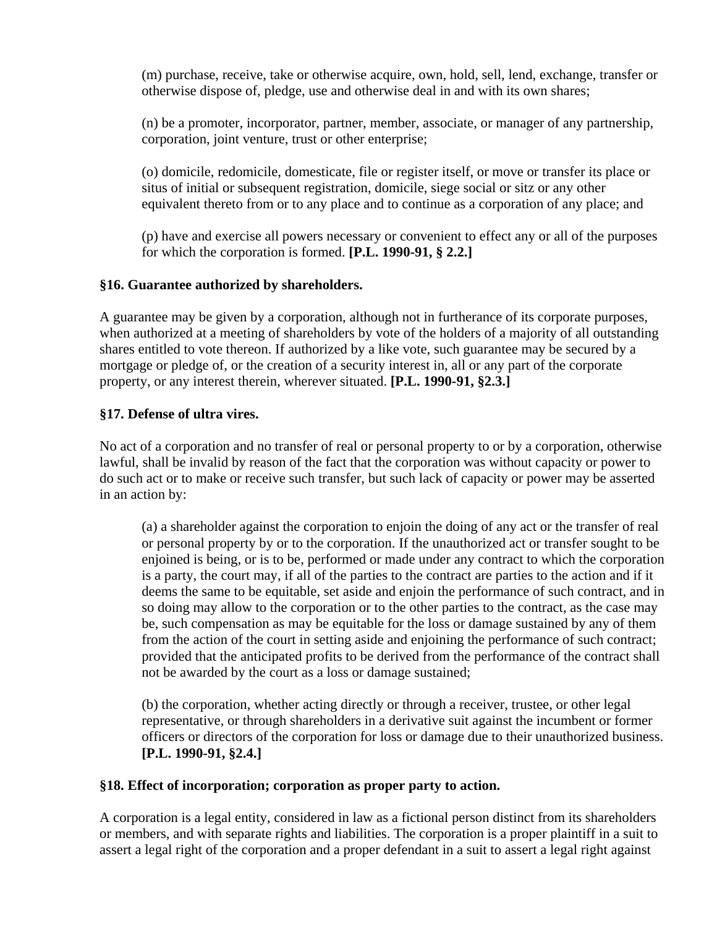(m) purchase, receive, take or otherwise acquire, own, hold, sell, lend, exchange, transfer or otherwise dispose of, pledge, use and otherwise deal in and with its own shares;

(n) be a promoter, incorporator, partner, member, associate, or manager of any partnership, corporation, joint venture, trust or other enterprise;

(o) domicile, redomicile, domesticate, file or register itself, or move or transfer its place or situs of initial or subsequent registration, domicile, siege social or sitz or any other equivalent thereto from or to any place and to continue as a corporation of any place; and

(p) have and exercise all powers necessary or convenient to effect any or all of the purposes for which the corporation is formed. **[P.L. 1990-91, § 2.2.]**

### **§16. Guarantee authorized by shareholders.**

A guarantee may be given by a corporation, although not in furtherance of its corporate purposes, when authorized at a meeting of shareholders by vote of the holders of a majority of all outstanding shares entitled to vote thereon. If authorized by a like vote, such guarantee may be secured by a mortgage or pledge of, or the creation of a security interest in, all or any part of the corporate property, or any interest therein, wherever situated. **[P.L. 1990-91, §2.3.]**

## **§17. Defense of ultra vires.**

No act of a corporation and no transfer of real or personal property to or by a corporation, otherwise lawful, shall be invalid by reason of the fact that the corporation was without capacity or power to do such act or to make or receive such transfer, but such lack of capacity or power may be asserted in an action by:

(a) a shareholder against the corporation to enjoin the doing of any act or the transfer of real or personal property by or to the corporation. If the unauthorized act or transfer sought to be enjoined is being, or is to be, performed or made under any contract to which the corporation is a party, the court may, if all of the parties to the contract are parties to the action and if it deems the same to be equitable, set aside and enjoin the performance of such contract, and in so doing may allow to the corporation or to the other parties to the contract, as the case may be, such compensation as may be equitable for the loss or damage sustained by any of them from the action of the court in setting aside and enjoining the performance of such contract; provided that the anticipated profits to be derived from the performance of the contract shall not be awarded by the court as a loss or damage sustained;

(b) the corporation, whether acting directly or through a receiver, trustee, or other legal representative, or through shareholders in a derivative suit against the incumbent or former officers or directors of the corporation for loss or damage due to their unauthorized business. **[P.L. 1990-91, §2.4.]**

### **§18. Effect of incorporation; corporation as proper party to action.**

A corporation is a legal entity, considered in law as a fictional person distinct from its shareholders or members, and with separate rights and liabilities. The corporation is a proper plaintiff in a suit to assert a legal right of the corporation and a proper defendant in a suit to assert a legal right against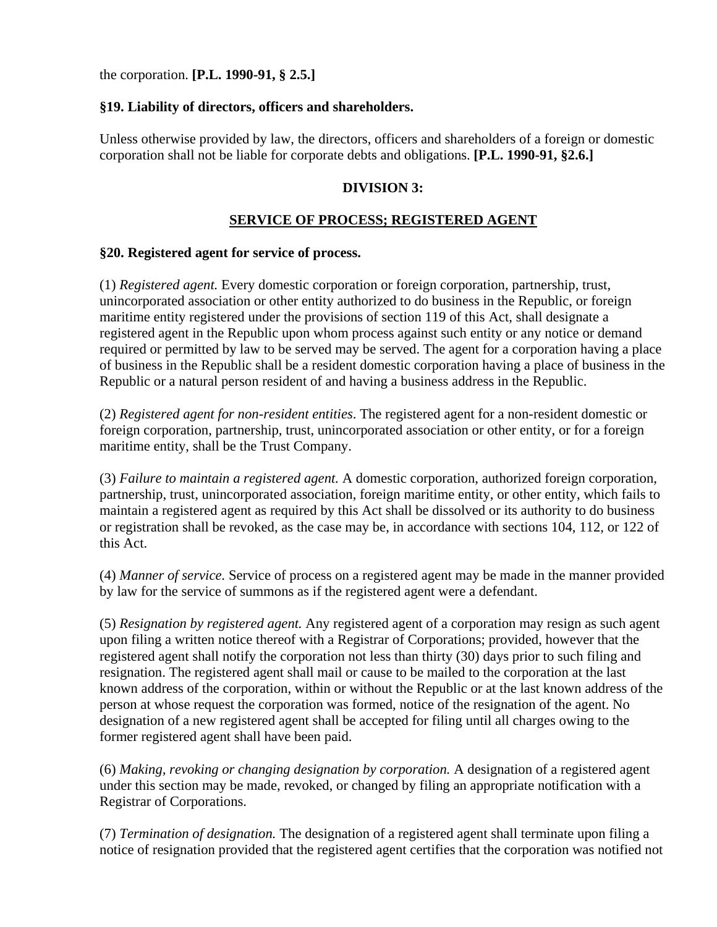the corporation. **[P.L. 1990-91, § 2.5.]**

### **§19. Liability of directors, officers and shareholders.**

Unless otherwise provided by law, the directors, officers and shareholders of a foreign or domestic corporation shall not be liable for corporate debts and obligations. **[P.L. 1990-91, §2.6.]**

#### **DIVISION 3:**

### **SERVICE OF PROCESS; REGISTERED AGENT**

#### **§20. Registered agent for service of process.**

(1) *Registered agent.* Every domestic corporation or foreign corporation, partnership, trust, unincorporated association or other entity authorized to do business in the Republic, or foreign maritime entity registered under the provisions of section 119 of this Act, shall designate a registered agent in the Republic upon whom process against such entity or any notice or demand required or permitted by law to be served may be served. The agent for a corporation having a place of business in the Republic shall be a resident domestic corporation having a place of business in the Republic or a natural person resident of and having a business address in the Republic.

(2) *Registered agent for non-resident entities*. The registered agent for a non-resident domestic or foreign corporation, partnership, trust, unincorporated association or other entity, or for a foreign maritime entity, shall be the Trust Company.

(3) *Failure to maintain a registered agent.* A domestic corporation, authorized foreign corporation, partnership, trust, unincorporated association, foreign maritime entity, or other entity, which fails to maintain a registered agent as required by this Act shall be dissolved or its authority to do business or registration shall be revoked, as the case may be, in accordance with sections 104, 112, or 122 of this Act.

(4) *Manner of service.* Service of process on a registered agent may be made in the manner provided by law for the service of summons as if the registered agent were a defendant.

(5) *Resignation by registered agent.* Any registered agent of a corporation may resign as such agent upon filing a written notice thereof with a Registrar of Corporations; provided, however that the registered agent shall notify the corporation not less than thirty (30) days prior to such filing and resignation. The registered agent shall mail or cause to be mailed to the corporation at the last known address of the corporation, within or without the Republic or at the last known address of the person at whose request the corporation was formed, notice of the resignation of the agent. No designation of a new registered agent shall be accepted for filing until all charges owing to the former registered agent shall have been paid.

(6) *Making, revoking or changing designation by corporation.* A designation of a registered agent under this section may be made, revoked, or changed by filing an appropriate notification with a Registrar of Corporations.

(7) *Termination of designation.* The designation of a registered agent shall terminate upon filing a notice of resignation provided that the registered agent certifies that the corporation was notified not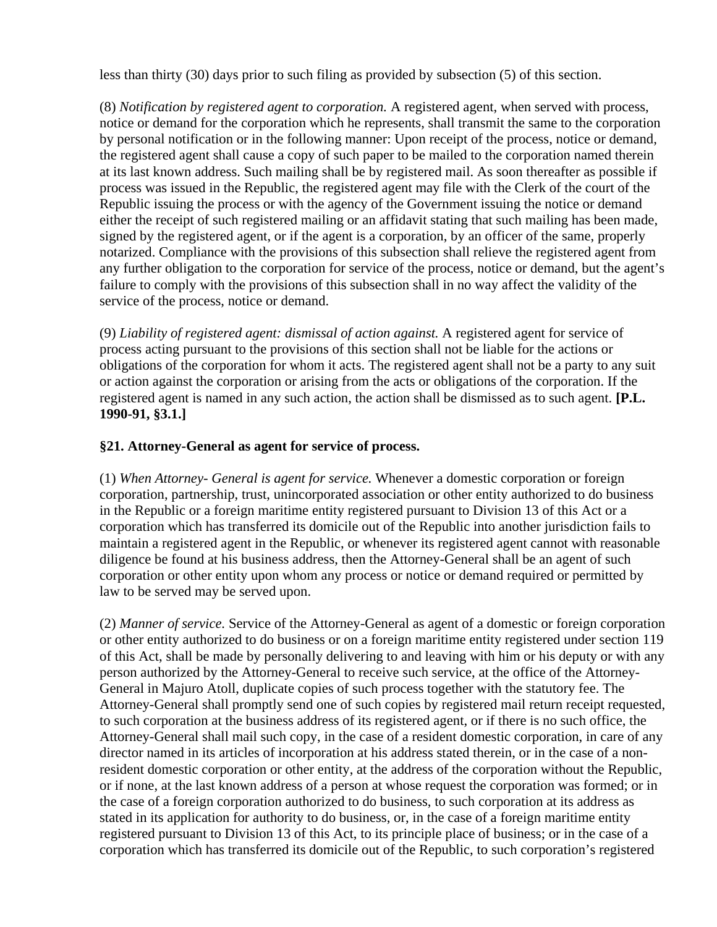less than thirty (30) days prior to such filing as provided by subsection (5) of this section.

(8) *Notification by registered agent to corporation.* A registered agent, when served with process, notice or demand for the corporation which he represents, shall transmit the same to the corporation by personal notification or in the following manner: Upon receipt of the process, notice or demand, the registered agent shall cause a copy of such paper to be mailed to the corporation named therein at its last known address. Such mailing shall be by registered mail. As soon thereafter as possible if process was issued in the Republic, the registered agent may file with the Clerk of the court of the Republic issuing the process or with the agency of the Government issuing the notice or demand either the receipt of such registered mailing or an affidavit stating that such mailing has been made, signed by the registered agent, or if the agent is a corporation, by an officer of the same, properly notarized. Compliance with the provisions of this subsection shall relieve the registered agent from any further obligation to the corporation for service of the process, notice or demand, but the agent's failure to comply with the provisions of this subsection shall in no way affect the validity of the service of the process, notice or demand.

(9) *Liability of registered agent: dismissal of action against.* A registered agent for service of process acting pursuant to the provisions of this section shall not be liable for the actions or obligations of the corporation for whom it acts. The registered agent shall not be a party to any suit or action against the corporation or arising from the acts or obligations of the corporation. If the registered agent is named in any such action, the action shall be dismissed as to such agent. **[P.L. 1990-91, §3.1.]**

### **§21. Attorney-General as agent for service of process.**

(1) *When Attorney- General is agent for service.* Whenever a domestic corporation or foreign corporation, partnership, trust, unincorporated association or other entity authorized to do business in the Republic or a foreign maritime entity registered pursuant to Division 13 of this Act or a corporation which has transferred its domicile out of the Republic into another jurisdiction fails to maintain a registered agent in the Republic, or whenever its registered agent cannot with reasonable diligence be found at his business address, then the Attorney-General shall be an agent of such corporation or other entity upon whom any process or notice or demand required or permitted by law to be served may be served upon.

(2) *Manner of service.* Service of the Attorney-General as agent of a domestic or foreign corporation or other entity authorized to do business or on a foreign maritime entity registered under section 119 of this Act, shall be made by personally delivering to and leaving with him or his deputy or with any person authorized by the Attorney-General to receive such service, at the office of the Attorney-General in Majuro Atoll, duplicate copies of such process together with the statutory fee. The Attorney-General shall promptly send one of such copies by registered mail return receipt requested, to such corporation at the business address of its registered agent, or if there is no such office, the Attorney-General shall mail such copy, in the case of a resident domestic corporation, in care of any director named in its articles of incorporation at his address stated therein, or in the case of a nonresident domestic corporation or other entity, at the address of the corporation without the Republic, or if none, at the last known address of a person at whose request the corporation was formed; or in the case of a foreign corporation authorized to do business, to such corporation at its address as stated in its application for authority to do business, or, in the case of a foreign maritime entity registered pursuant to Division 13 of this Act, to its principle place of business; or in the case of a corporation which has transferred its domicile out of the Republic, to such corporation's registered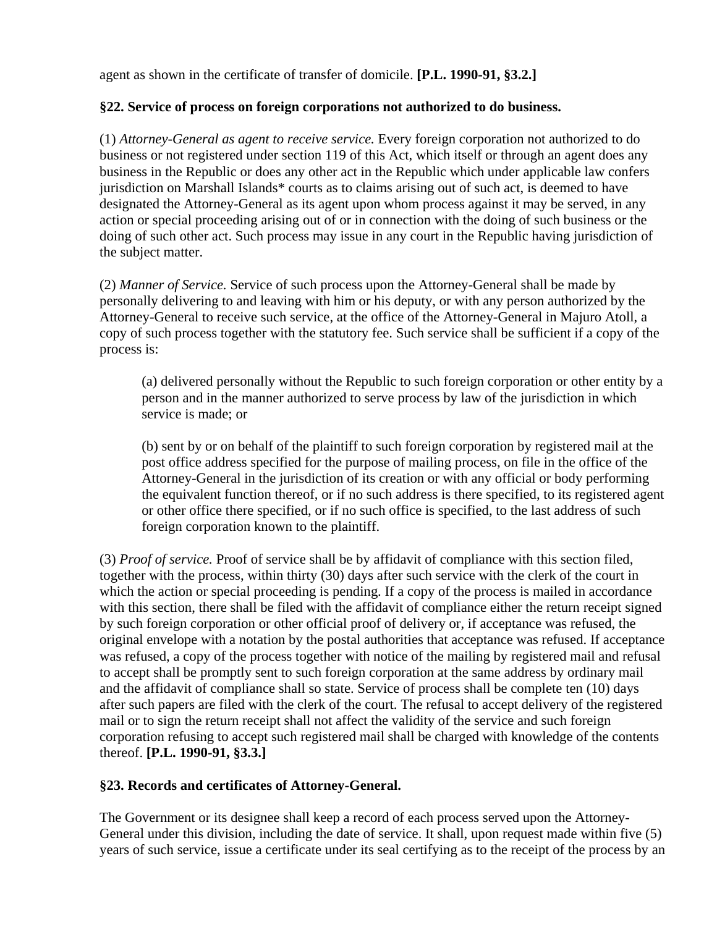agent as shown in the certificate of transfer of domicile. **[P.L. 1990-91, §3.2.]**

### **§22. Service of process on foreign corporations not authorized to do business.**

(1) *Attorney-General as agent to receive service.* Every foreign corporation not authorized to do business or not registered under section 119 of this Act, which itself or through an agent does any business in the Republic or does any other act in the Republic which under applicable law confers jurisdiction on Marshall Islands\* courts as to claims arising out of such act, is deemed to have designated the Attorney-General as its agent upon whom process against it may be served, in any action or special proceeding arising out of or in connection with the doing of such business or the doing of such other act. Such process may issue in any court in the Republic having jurisdiction of the subject matter.

(2) *Manner of Service.* Service of such process upon the Attorney-General shall be made by personally delivering to and leaving with him or his deputy, or with any person authorized by the Attorney-General to receive such service, at the office of the Attorney-General in Majuro Atoll, a copy of such process together with the statutory fee. Such service shall be sufficient if a copy of the process is:

(a) delivered personally without the Republic to such foreign corporation or other entity by a person and in the manner authorized to serve process by law of the jurisdiction in which service is made; or

(b) sent by or on behalf of the plaintiff to such foreign corporation by registered mail at the post office address specified for the purpose of mailing process, on file in the office of the Attorney-General in the jurisdiction of its creation or with any official or body performing the equivalent function thereof, or if no such address is there specified, to its registered agent or other office there specified, or if no such office is specified, to the last address of such foreign corporation known to the plaintiff.

(3) *Proof of service.* Proof of service shall be by affidavit of compliance with this section filed, together with the process, within thirty (30) days after such service with the clerk of the court in which the action or special proceeding is pending. If a copy of the process is mailed in accordance with this section, there shall be filed with the affidavit of compliance either the return receipt signed by such foreign corporation or other official proof of delivery or, if acceptance was refused, the original envelope with a notation by the postal authorities that acceptance was refused. If acceptance was refused, a copy of the process together with notice of the mailing by registered mail and refusal to accept shall be promptly sent to such foreign corporation at the same address by ordinary mail and the affidavit of compliance shall so state. Service of process shall be complete ten (10) days after such papers are filed with the clerk of the court. The refusal to accept delivery of the registered mail or to sign the return receipt shall not affect the validity of the service and such foreign corporation refusing to accept such registered mail shall be charged with knowledge of the contents thereof. **[P.L. 1990-91, §3.3.]**

### **§23. Records and certificates of Attorney-General.**

The Government or its designee shall keep a record of each process served upon the Attorney-General under this division, including the date of service. It shall, upon request made within five (5) years of such service, issue a certificate under its seal certifying as to the receipt of the process by an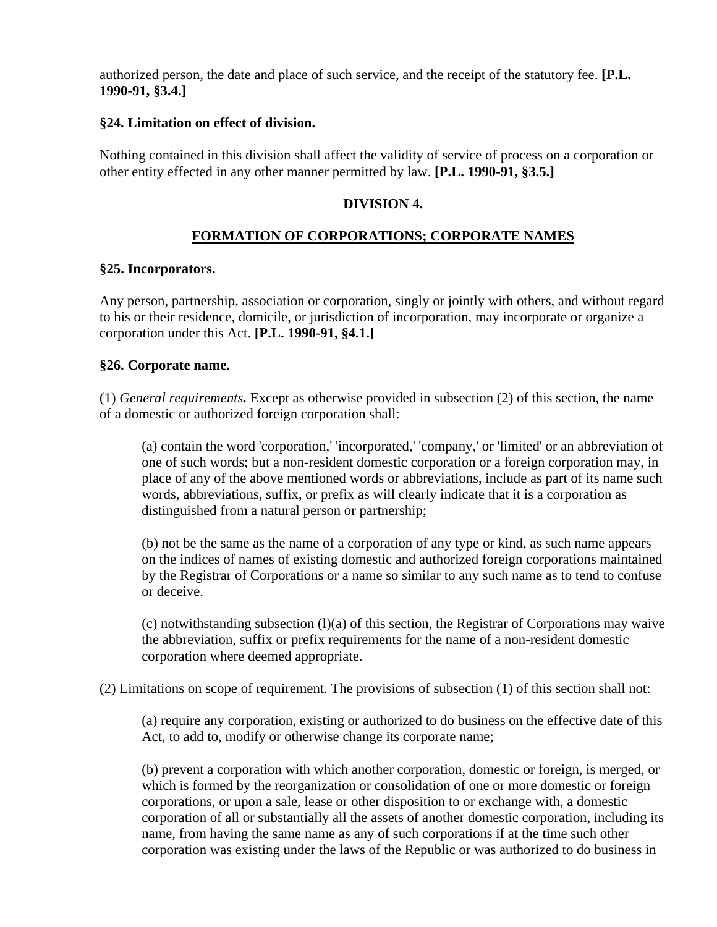authorized person, the date and place of such service, and the receipt of the statutory fee. **[P.L. 1990-91, §3.4.]**

### **§24. Limitation on effect of division.**

Nothing contained in this division shall affect the validity of service of process on a corporation or other entity effected in any other manner permitted by law. **[P.L. 1990-91, §3.5.]**

### **DIVISION 4.**

## **FORMATION OF CORPORATIONS; CORPORATE NAMES**

#### **§25. Incorporators.**

Any person, partnership, association or corporation, singly or jointly with others, and without regard to his or their residence, domicile, or jurisdiction of incorporation, may incorporate or organize a corporation under this Act. **[P.L. 1990-91, §4.1.]**

#### **§26. Corporate name.**

(1) *General requirements.* Except as otherwise provided in subsection (2) of this section, the name of a domestic or authorized foreign corporation shall:

(a) contain the word 'corporation,' 'incorporated,' 'company,' or 'limited' or an abbreviation of one of such words; but a non-resident domestic corporation or a foreign corporation may, in place of any of the above mentioned words or abbreviations, include as part of its name such words, abbreviations, suffix, or prefix as will clearly indicate that it is a corporation as distinguished from a natural person or partnership;

(b) not be the same as the name of a corporation of any type or kind, as such name appears on the indices of names of existing domestic and authorized foreign corporations maintained by the Registrar of Corporations or a name so similar to any such name as to tend to confuse or deceive.

 $(c)$  notwithstanding subsection  $(l)(a)$  of this section, the Registrar of Corporations may waive the abbreviation, suffix or prefix requirements for the name of a non-resident domestic corporation where deemed appropriate.

#### (2) Limitations on scope of requirement. The provisions of subsection (1) of this section shall not:

(a) require any corporation, existing or authorized to do business on the effective date of this Act, to add to, modify or otherwise change its corporate name;

(b) prevent a corporation with which another corporation, domestic or foreign, is merged, or which is formed by the reorganization or consolidation of one or more domestic or foreign corporations, or upon a sale, lease or other disposition to or exchange with, a domestic corporation of all or substantially all the assets of another domestic corporation, including its name, from having the same name as any of such corporations if at the time such other corporation was existing under the laws of the Republic or was authorized to do business in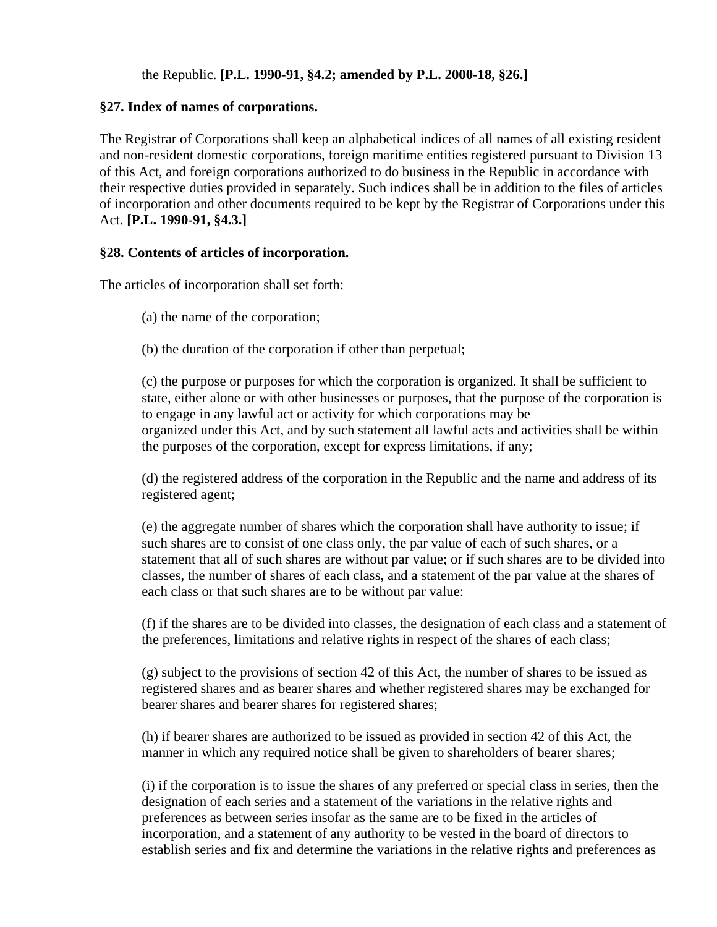the Republic. **[P.L. 1990-91, §4.2; amended by P.L. 2000-18, §26.]**

### **§27. Index of names of corporations.**

The Registrar of Corporations shall keep an alphabetical indices of all names of all existing resident and non-resident domestic corporations, foreign maritime entities registered pursuant to Division 13 of this Act, and foreign corporations authorized to do business in the Republic in accordance with their respective duties provided in separately. Such indices shall be in addition to the files of articles of incorporation and other documents required to be kept by the Registrar of Corporations under this Act. **[P.L. 1990-91, §4.3.]**

### **§28. Contents of articles of incorporation.**

The articles of incorporation shall set forth:

(a) the name of the corporation;

(b) the duration of the corporation if other than perpetual;

(c) the purpose or purposes for which the corporation is organized. It shall be sufficient to state, either alone or with other businesses or purposes, that the purpose of the corporation is to engage in any lawful act or activity for which corporations may be organized under this Act, and by such statement all lawful acts and activities shall be within the purposes of the corporation, except for express limitations, if any;

(d) the registered address of the corporation in the Republic and the name and address of its registered agent;

(e) the aggregate number of shares which the corporation shall have authority to issue; if such shares are to consist of one class only, the par value of each of such shares, or a statement that all of such shares are without par value; or if such shares are to be divided into classes, the number of shares of each class, and a statement of the par value at the shares of each class or that such shares are to be without par value:

(f) if the shares are to be divided into classes, the designation of each class and a statement of the preferences, limitations and relative rights in respect of the shares of each class;

(g) subject to the provisions of section 42 of this Act, the number of shares to be issued as registered shares and as bearer shares and whether registered shares may be exchanged for bearer shares and bearer shares for registered shares;

(h) if bearer shares are authorized to be issued as provided in section 42 of this Act, the manner in which any required notice shall be given to shareholders of bearer shares;

(i) if the corporation is to issue the shares of any preferred or special class in series, then the designation of each series and a statement of the variations in the relative rights and preferences as between series insofar as the same are to be fixed in the articles of incorporation, and a statement of any authority to be vested in the board of directors to establish series and fix and determine the variations in the relative rights and preferences as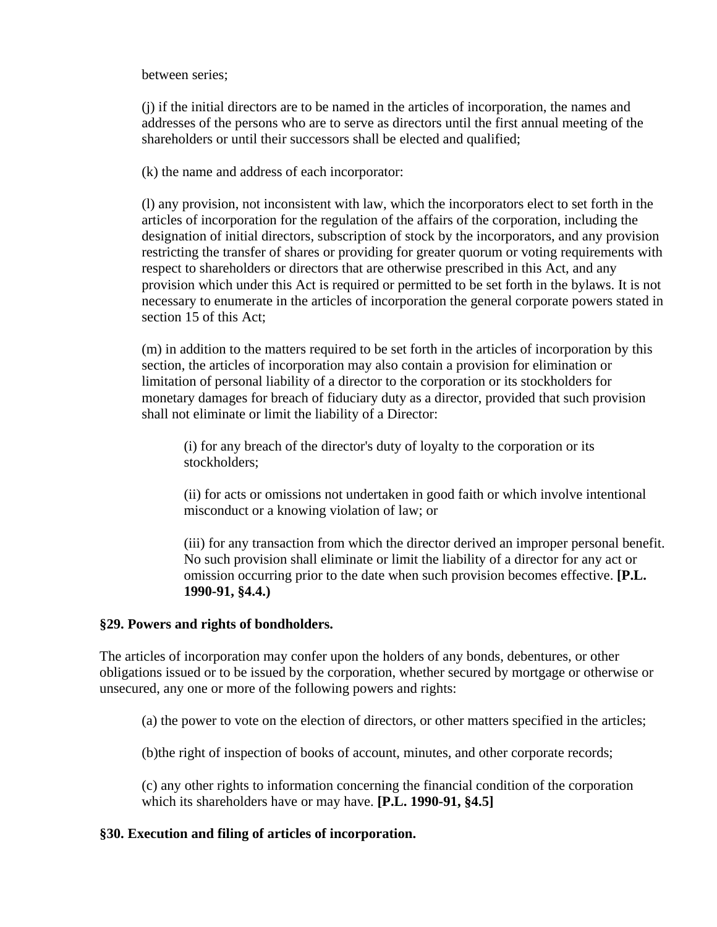between series;

(j) if the initial directors are to be named in the articles of incorporation, the names and addresses of the persons who are to serve as directors until the first annual meeting of the shareholders or until their successors shall be elected and qualified;

(k) the name and address of each incorporator:

(l) any provision, not inconsistent with law, which the incorporators elect to set forth in the articles of incorporation for the regulation of the affairs of the corporation, including the designation of initial directors, subscription of stock by the incorporators, and any provision restricting the transfer of shares or providing for greater quorum or voting requirements with respect to shareholders or directors that are otherwise prescribed in this Act, and any provision which under this Act is required or permitted to be set forth in the bylaws. It is not necessary to enumerate in the articles of incorporation the general corporate powers stated in section 15 of this Act;

(m) in addition to the matters required to be set forth in the articles of incorporation by this section, the articles of incorporation may also contain a provision for elimination or limitation of personal liability of a director to the corporation or its stockholders for monetary damages for breach of fiduciary duty as a director, provided that such provision shall not eliminate or limit the liability of a Director:

(i) for any breach of the director's duty of loyalty to the corporation or its stockholders;

(ii) for acts or omissions not undertaken in good faith or which involve intentional misconduct or a knowing violation of law; or

(iii) for any transaction from which the director derived an improper personal benefit. No such provision shall eliminate or limit the liability of a director for any act or omission occurring prior to the date when such provision becomes effective. **[P.L. 1990-91, §4.4.)**

#### **§29. Powers and rights of bondholders.**

The articles of incorporation may confer upon the holders of any bonds, debentures, or other obligations issued or to be issued by the corporation, whether secured by mortgage or otherwise or unsecured, any one or more of the following powers and rights:

(a) the power to vote on the election of directors, or other matters specified in the articles;

(b)the right of inspection of books of account, minutes, and other corporate records;

(c) any other rights to information concerning the financial condition of the corporation which its shareholders have or may have. **[P.L. 1990-91, §4.5]**

#### **§30. Execution and filing of articles of incorporation.**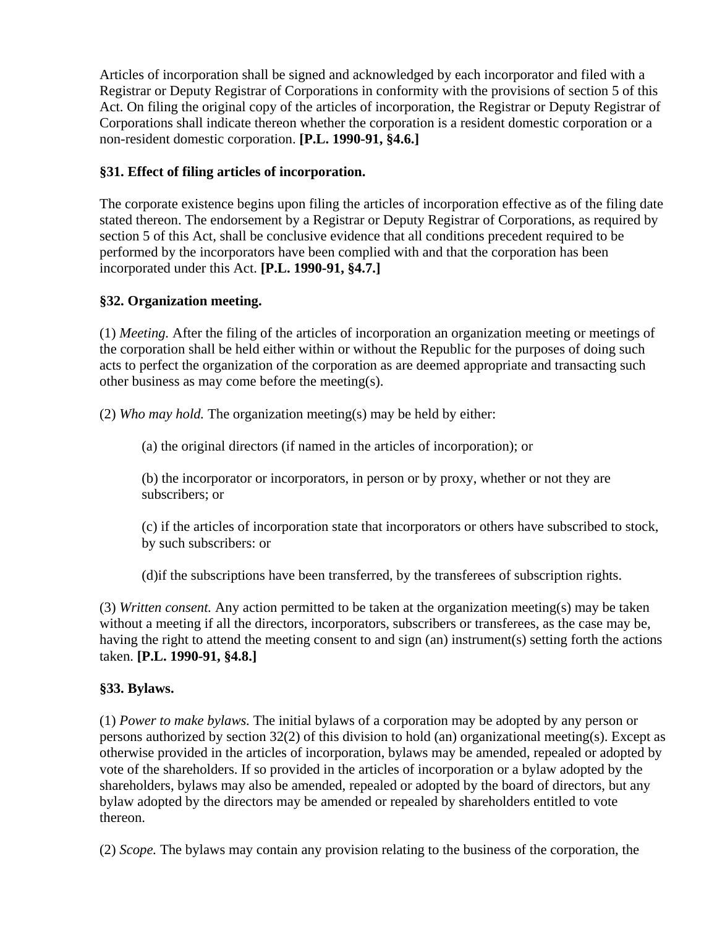Articles of incorporation shall be signed and acknowledged by each incorporator and filed with a Registrar or Deputy Registrar of Corporations in conformity with the provisions of section 5 of this Act. On filing the original copy of the articles of incorporation, the Registrar or Deputy Registrar of Corporations shall indicate thereon whether the corporation is a resident domestic corporation or a non-resident domestic corporation. **[P.L. 1990-91, §4.6.]**

## **§31. Effect of filing articles of incorporation.**

The corporate existence begins upon filing the articles of incorporation effective as of the filing date stated thereon. The endorsement by a Registrar or Deputy Registrar of Corporations, as required by section 5 of this Act, shall be conclusive evidence that all conditions precedent required to be performed by the incorporators have been complied with and that the corporation has been incorporated under this Act. **[P.L. 1990-91, §4.7.]**

### **§32. Organization meeting.**

(1) *Meeting.* After the filing of the articles of incorporation an organization meeting or meetings of the corporation shall be held either within or without the Republic for the purposes of doing such acts to perfect the organization of the corporation as are deemed appropriate and transacting such other business as may come before the meeting(s).

(2) *Who may hold.* The organization meeting(s) may be held by either:

(a) the original directors (if named in the articles of incorporation); or

(b) the incorporator or incorporators, in person or by proxy, whether or not they are subscribers; or

(c) if the articles of incorporation state that incorporators or others have subscribed to stock, by such subscribers: or

(d)if the subscriptions have been transferred, by the transferees of subscription rights.

(3) *Written consent.* Any action permitted to be taken at the organization meeting(s) may be taken without a meeting if all the directors, incorporators, subscribers or transferees, as the case may be, having the right to attend the meeting consent to and sign (an) instrument(s) setting forth the actions taken. **[P.L. 1990-91, §4.8.]**

### **§33. Bylaws.**

(1) *Power to make bylaws.* The initial bylaws of a corporation may be adopted by any person or persons authorized by section 32(2) of this division to hold (an) organizational meeting(s). Except as otherwise provided in the articles of incorporation, bylaws may be amended, repealed or adopted by vote of the shareholders. If so provided in the articles of incorporation or a bylaw adopted by the shareholders, bylaws may also be amended, repealed or adopted by the board of directors, but any bylaw adopted by the directors may be amended or repealed by shareholders entitled to vote thereon.

(2) *Scope.* The bylaws may contain any provision relating to the business of the corporation, the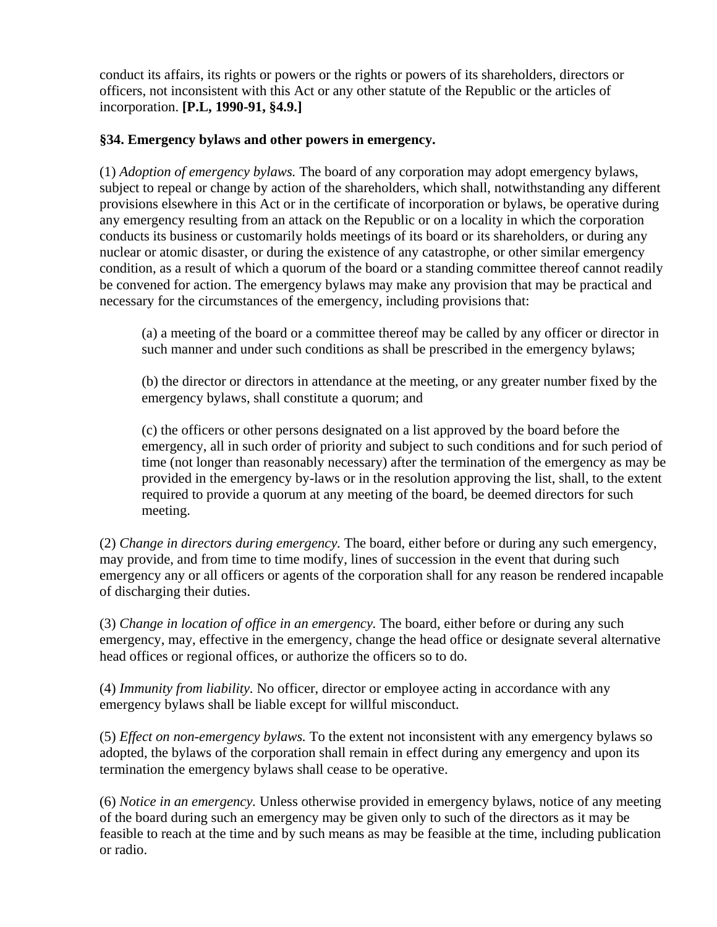conduct its affairs, its rights or powers or the rights or powers of its shareholders, directors or officers, not inconsistent with this Act or any other statute of the Republic or the articles of incorporation. **[P.L, 1990-91, §4.9.]**

## **§34. Emergency bylaws and other powers in emergency.**

(1) *Adoption of emergency bylaws.* The board of any corporation may adopt emergency bylaws, subject to repeal or change by action of the shareholders, which shall, notwithstanding any different provisions elsewhere in this Act or in the certificate of incorporation or bylaws, be operative during any emergency resulting from an attack on the Republic or on a locality in which the corporation conducts its business or customarily holds meetings of its board or its shareholders, or during any nuclear or atomic disaster, or during the existence of any catastrophe, or other similar emergency condition, as a result of which a quorum of the board or a standing committee thereof cannot readily be convened for action. The emergency bylaws may make any provision that may be practical and necessary for the circumstances of the emergency, including provisions that:

(a) a meeting of the board or a committee thereof may be called by any officer or director in such manner and under such conditions as shall be prescribed in the emergency bylaws;

(b) the director or directors in attendance at the meeting, or any greater number fixed by the emergency bylaws, shall constitute a quorum; and

(c) the officers or other persons designated on a list approved by the board before the emergency, all in such order of priority and subject to such conditions and for such period of time (not longer than reasonably necessary) after the termination of the emergency as may be provided in the emergency by-laws or in the resolution approving the list, shall, to the extent required to provide a quorum at any meeting of the board, be deemed directors for such meeting.

(2) *Change in directors during emergency.* The board, either before or during any such emergency, may provide, and from time to time modify, lines of succession in the event that during such emergency any or all officers or agents of the corporation shall for any reason be rendered incapable of discharging their duties.

(3) *Change in location of office in an emergency.* The board, either before or during any such emergency, may, effective in the emergency, change the head office or designate several alternative head offices or regional offices, or authorize the officers so to do.

(4) *Immunity from liability.* No officer, director or employee acting in accordance with any emergency bylaws shall be liable except for willful misconduct.

(5) *Effect on non-emergency bylaws.* To the extent not inconsistent with any emergency bylaws so adopted, the bylaws of the corporation shall remain in effect during any emergency and upon its termination the emergency bylaws shall cease to be operative.

(6) *Notice in an emergency.* Unless otherwise provided in emergency bylaws, notice of any meeting of the board during such an emergency may be given only to such of the directors as it may be feasible to reach at the time and by such means as may be feasible at the time, including publication or radio.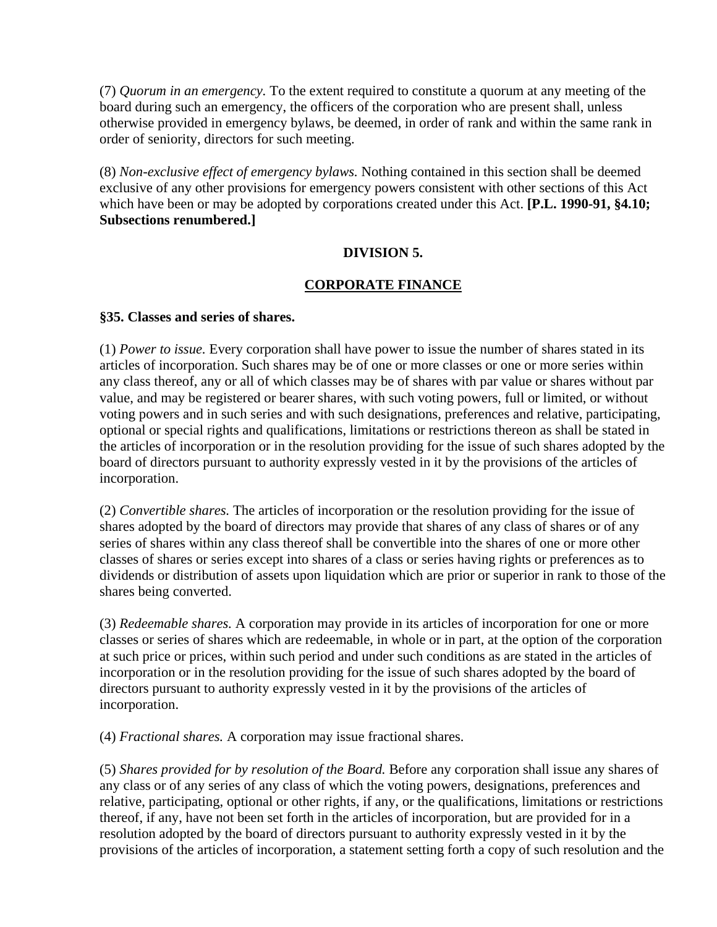(7) *Quorum in an emergency.* To the extent required to constitute a quorum at any meeting of the board during such an emergency, the officers of the corporation who are present shall, unless otherwise provided in emergency bylaws, be deemed, in order of rank and within the same rank in order of seniority, directors for such meeting.

(8) *Non-exclusive effect of emergency bylaws.* Nothing contained in this section shall be deemed exclusive of any other provisions for emergency powers consistent with other sections of this Act which have been or may be adopted by corporations created under this Act. **[P.L. 1990-91, §4.10; Subsections renumbered.]**

### **DIVISION 5.**

### **CORPORATE FINANCE**

#### **§35. Classes and series of shares.**

(1) *Power to issue.* Every corporation shall have power to issue the number of shares stated in its articles of incorporation. Such shares may be of one or more classes or one or more series within any class thereof, any or all of which classes may be of shares with par value or shares without par value, and may be registered or bearer shares, with such voting powers, full or limited, or without voting powers and in such series and with such designations, preferences and relative, participating, optional or special rights and qualifications, limitations or restrictions thereon as shall be stated in the articles of incorporation or in the resolution providing for the issue of such shares adopted by the board of directors pursuant to authority expressly vested in it by the provisions of the articles of incorporation.

(2) *Convertible shares.* The articles of incorporation or the resolution providing for the issue of shares adopted by the board of directors may provide that shares of any class of shares or of any series of shares within any class thereof shall be convertible into the shares of one or more other classes of shares or series except into shares of a class or series having rights or preferences as to dividends or distribution of assets upon liquidation which are prior or superior in rank to those of the shares being converted.

(3) *Redeemable shares.* A corporation may provide in its articles of incorporation for one or more classes or series of shares which are redeemable, in whole or in part, at the option of the corporation at such price or prices, within such period and under such conditions as are stated in the articles of incorporation or in the resolution providing for the issue of such shares adopted by the board of directors pursuant to authority expressly vested in it by the provisions of the articles of incorporation.

(4) *Fractional shares.* A corporation may issue fractional shares.

(5) *Shares provided for by resolution of the Board.* Before any corporation shall issue any shares of any class or of any series of any class of which the voting powers, designations, preferences and relative, participating, optional or other rights, if any, or the qualifications, limitations or restrictions thereof, if any, have not been set forth in the articles of incorporation, but are provided for in a resolution adopted by the board of directors pursuant to authority expressly vested in it by the provisions of the articles of incorporation, a statement setting forth a copy of such resolution and the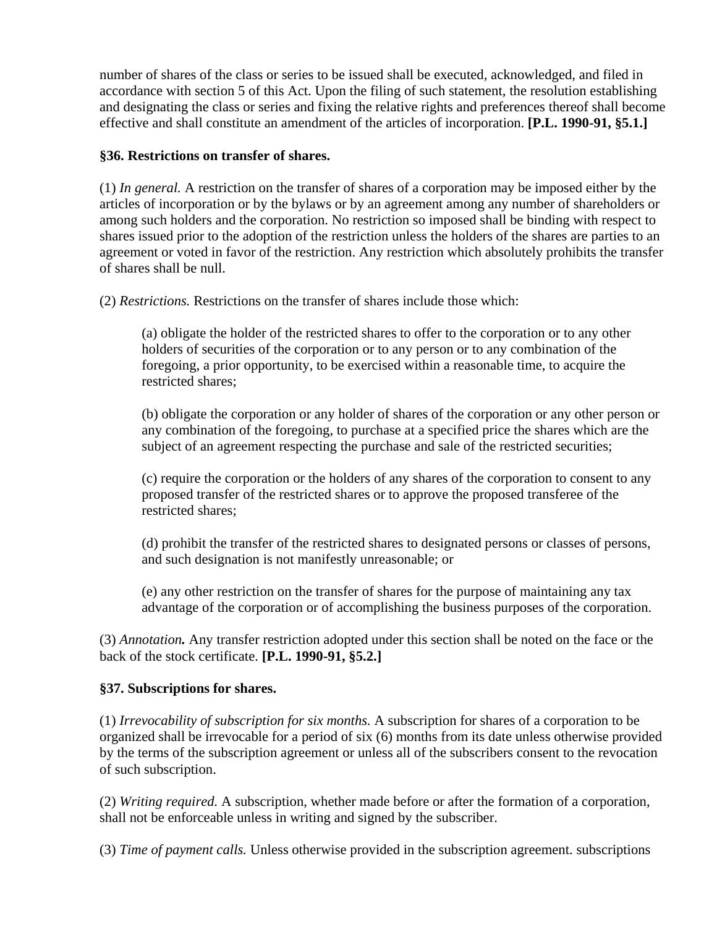number of shares of the class or series to be issued shall be executed, acknowledged, and filed in accordance with section 5 of this Act. Upon the filing of such statement, the resolution establishing and designating the class or series and fixing the relative rights and preferences thereof shall become effective and shall constitute an amendment of the articles of incorporation. **[P.L. 1990-91, §5.1.]**

### **§36. Restrictions on transfer of shares.**

(1) *In general.* A restriction on the transfer of shares of a corporation may be imposed either by the articles of incorporation or by the bylaws or by an agreement among any number of shareholders or among such holders and the corporation. No restriction so imposed shall be binding with respect to shares issued prior to the adoption of the restriction unless the holders of the shares are parties to an agreement or voted in favor of the restriction. Any restriction which absolutely prohibits the transfer of shares shall be null.

(2) *Restrictions.* Restrictions on the transfer of shares include those which:

(a) obligate the holder of the restricted shares to offer to the corporation or to any other holders of securities of the corporation or to any person or to any combination of the foregoing, a prior opportunity, to be exercised within a reasonable time, to acquire the restricted shares;

(b) obligate the corporation or any holder of shares of the corporation or any other person or any combination of the foregoing, to purchase at a specified price the shares which are the subject of an agreement respecting the purchase and sale of the restricted securities;

(c) require the corporation or the holders of any shares of the corporation to consent to any proposed transfer of the restricted shares or to approve the proposed transferee of the restricted shares;

(d) prohibit the transfer of the restricted shares to designated persons or classes of persons, and such designation is not manifestly unreasonable; or

(e) any other restriction on the transfer of shares for the purpose of maintaining any tax advantage of the corporation or of accomplishing the business purposes of the corporation.

(3) *Annotation.* Any transfer restriction adopted under this section shall be noted on the face or the back of the stock certificate. **[P.L. 1990-91, §5.2.]**

### **§37. Subscriptions for shares.**

(1) *Irrevocability of subscription for six months.* A subscription for shares of a corporation to be organized shall be irrevocable for a period of six (6) months from its date unless otherwise provided by the terms of the subscription agreement or unless all of the subscribers consent to the revocation of such subscription.

(2) *Writing required.* A subscription, whether made before or after the formation of a corporation, shall not be enforceable unless in writing and signed by the subscriber.

(3) *Time of payment calls.* Unless otherwise provided in the subscription agreement. subscriptions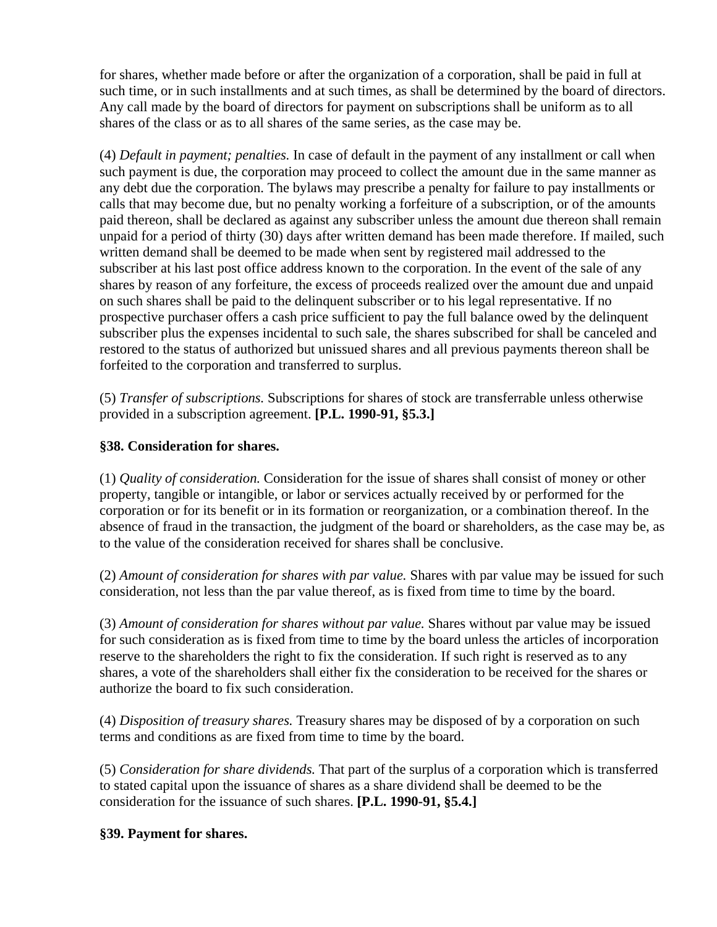for shares, whether made before or after the organization of a corporation, shall be paid in full at such time, or in such installments and at such times, as shall be determined by the board of directors. Any call made by the board of directors for payment on subscriptions shall be uniform as to all shares of the class or as to all shares of the same series, as the case may be.

(4) *Default in payment; penalties.* In case of default in the payment of any installment or call when such payment is due, the corporation may proceed to collect the amount due in the same manner as any debt due the corporation. The bylaws may prescribe a penalty for failure to pay installments or calls that may become due, but no penalty working a forfeiture of a subscription, or of the amounts paid thereon, shall be declared as against any subscriber unless the amount due thereon shall remain unpaid for a period of thirty (30) days after written demand has been made therefore. If mailed, such written demand shall be deemed to be made when sent by registered mail addressed to the subscriber at his last post office address known to the corporation. In the event of the sale of any shares by reason of any forfeiture, the excess of proceeds realized over the amount due and unpaid on such shares shall be paid to the delinquent subscriber or to his legal representative. If no prospective purchaser offers a cash price sufficient to pay the full balance owed by the delinquent subscriber plus the expenses incidental to such sale, the shares subscribed for shall be canceled and restored to the status of authorized but unissued shares and all previous payments thereon shall be forfeited to the corporation and transferred to surplus.

(5) *Transfer of subscriptions.* Subscriptions for shares of stock are transferrable unless otherwise provided in a subscription agreement. **[P.L. 1990-91, §5.3.]**

## **§38. Consideration for shares.**

(1) *Quality of consideration.* Consideration for the issue of shares shall consist of money or other property, tangible or intangible, or labor or services actually received by or performed for the corporation or for its benefit or in its formation or reorganization, or a combination thereof. In the absence of fraud in the transaction, the judgment of the board or shareholders, as the case may be, as to the value of the consideration received for shares shall be conclusive.

(2) *Amount of consideration for shares with par value.* Shares with par value may be issued for such consideration, not less than the par value thereof, as is fixed from time to time by the board.

(3) *Amount of consideration for shares without par value.* Shares without par value may be issued for such consideration as is fixed from time to time by the board unless the articles of incorporation reserve to the shareholders the right to fix the consideration. If such right is reserved as to any shares, a vote of the shareholders shall either fix the consideration to be received for the shares or authorize the board to fix such consideration.

(4) *Disposition of treasury shares.* Treasury shares may be disposed of by a corporation on such terms and conditions as are fixed from time to time by the board.

(5) *Consideration for share dividends.* That part of the surplus of a corporation which is transferred to stated capital upon the issuance of shares as a share dividend shall be deemed to be the consideration for the issuance of such shares. **[P.L. 1990-91, §5.4.]**

### **§39. Payment for shares.**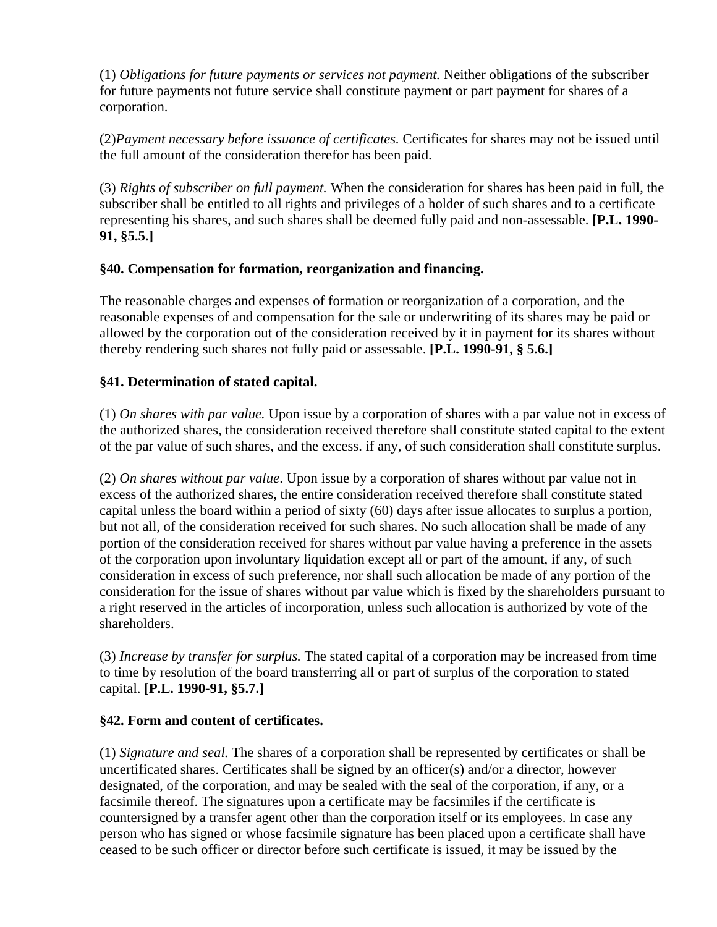(1) *Obligations for future payments or services not payment.* Neither obligations of the subscriber for future payments not future service shall constitute payment or part payment for shares of a corporation.

(2)*Payment necessary before issuance of certificates.* Certificates for shares may not be issued until the full amount of the consideration therefor has been paid.

(3) *Rights of subscriber on full payment.* When the consideration for shares has been paid in full, the subscriber shall be entitled to all rights and privileges of a holder of such shares and to a certificate representing his shares, and such shares shall be deemed fully paid and non-assessable. **[P.L. 1990- 91, §5.5.]**

### **§40. Compensation for formation, reorganization and financing.**

The reasonable charges and expenses of formation or reorganization of a corporation, and the reasonable expenses of and compensation for the sale or underwriting of its shares may be paid or allowed by the corporation out of the consideration received by it in payment for its shares without thereby rendering such shares not fully paid or assessable. **[P.L. 1990-91, § 5.6.]**

### **§41. Determination of stated capital.**

(1) *On shares with par value.* Upon issue by a corporation of shares with a par value not in excess of the authorized shares, the consideration received therefore shall constitute stated capital to the extent of the par value of such shares, and the excess. if any, of such consideration shall constitute surplus.

(2) *On shares without par value*. Upon issue by a corporation of shares without par value not in excess of the authorized shares, the entire consideration received therefore shall constitute stated capital unless the board within a period of sixty (60) days after issue allocates to surplus a portion, but not all, of the consideration received for such shares. No such allocation shall be made of any portion of the consideration received for shares without par value having a preference in the assets of the corporation upon involuntary liquidation except all or part of the amount, if any, of such consideration in excess of such preference, nor shall such allocation be made of any portion of the consideration for the issue of shares without par value which is fixed by the shareholders pursuant to a right reserved in the articles of incorporation, unless such allocation is authorized by vote of the shareholders.

(3) *Increase by transfer for surplus.* The stated capital of a corporation may be increased from time to time by resolution of the board transferring all or part of surplus of the corporation to stated capital. **[P.L. 1990-91, §5.7.]**

### **§42. Form and content of certificates.**

(1) *Signature and seal.* The shares of a corporation shall be represented by certificates or shall be uncertificated shares. Certificates shall be signed by an officer(s) and/or a director, however designated, of the corporation, and may be sealed with the seal of the corporation, if any, or a facsimile thereof. The signatures upon a certificate may be facsimiles if the certificate is countersigned by a transfer agent other than the corporation itself or its employees. In case any person who has signed or whose facsimile signature has been placed upon a certificate shall have ceased to be such officer or director before such certificate is issued, it may be issued by the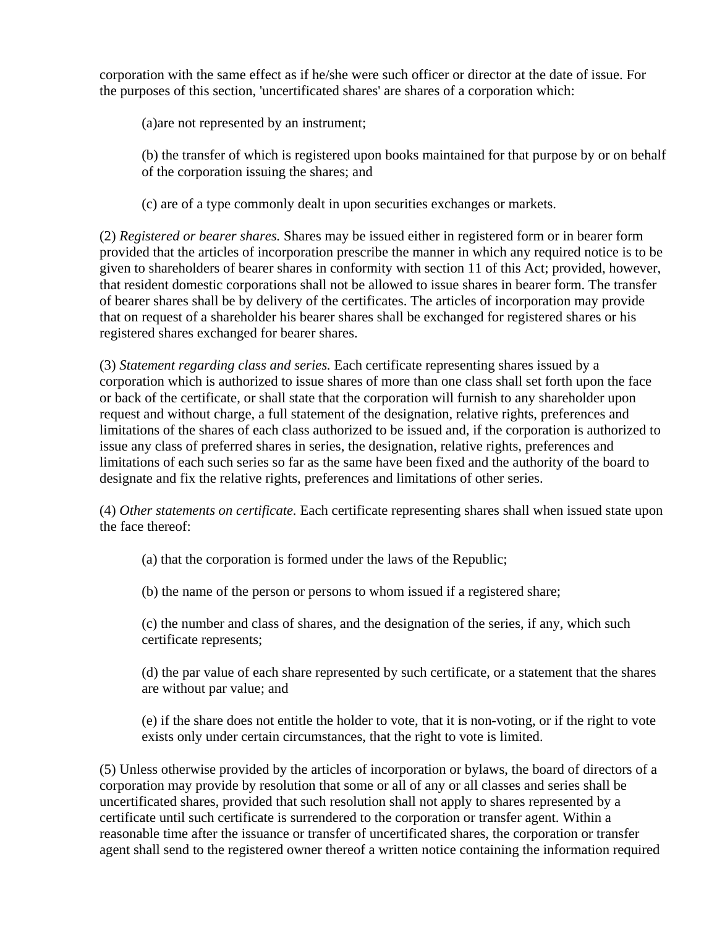corporation with the same effect as if he/she were such officer or director at the date of issue. For the purposes of this section, 'uncertificated shares' are shares of a corporation which:

(a)are not represented by an instrument;

(b) the transfer of which is registered upon books maintained for that purpose by or on behalf of the corporation issuing the shares; and

(c) are of a type commonly dealt in upon securities exchanges or markets.

(2) *Registered or bearer shares.* Shares may be issued either in registered form or in bearer form provided that the articles of incorporation prescribe the manner in which any required notice is to be given to shareholders of bearer shares in conformity with section 11 of this Act; provided, however, that resident domestic corporations shall not be allowed to issue shares in bearer form. The transfer of bearer shares shall be by delivery of the certificates. The articles of incorporation may provide that on request of a shareholder his bearer shares shall be exchanged for registered shares or his registered shares exchanged for bearer shares.

(3) *Statement regarding class and series.* Each certificate representing shares issued by a corporation which is authorized to issue shares of more than one class shall set forth upon the face or back of the certificate, or shall state that the corporation will furnish to any shareholder upon request and without charge, a full statement of the designation, relative rights, preferences and limitations of the shares of each class authorized to be issued and, if the corporation is authorized to issue any class of preferred shares in series, the designation, relative rights, preferences and limitations of each such series so far as the same have been fixed and the authority of the board to designate and fix the relative rights, preferences and limitations of other series.

(4) *Other statements on certificate.* Each certificate representing shares shall when issued state upon the face thereof:

(a) that the corporation is formed under the laws of the Republic;

(b) the name of the person or persons to whom issued if a registered share;

(c) the number and class of shares, and the designation of the series, if any, which such certificate represents;

(d) the par value of each share represented by such certificate, or a statement that the shares are without par value; and

(e) if the share does not entitle the holder to vote, that it is non-voting, or if the right to vote exists only under certain circumstances, that the right to vote is limited.

(5) Unless otherwise provided by the articles of incorporation or bylaws, the board of directors of a corporation may provide by resolution that some or all of any or all classes and series shall be uncertificated shares, provided that such resolution shall not apply to shares represented by a certificate until such certificate is surrendered to the corporation or transfer agent. Within a reasonable time after the issuance or transfer of uncertificated shares, the corporation or transfer agent shall send to the registered owner thereof a written notice containing the information required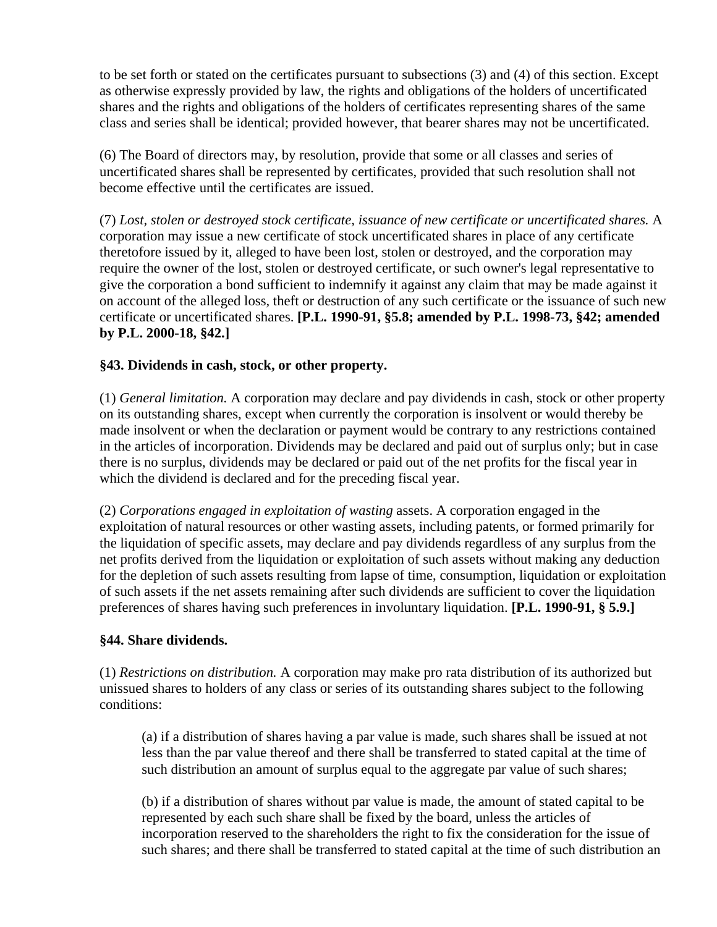to be set forth or stated on the certificates pursuant to subsections (3) and (4) of this section. Except as otherwise expressly provided by law, the rights and obligations of the holders of uncertificated shares and the rights and obligations of the holders of certificates representing shares of the same class and series shall be identical; provided however, that bearer shares may not be uncertificated.

(6) The Board of directors may, by resolution, provide that some or all classes and series of uncertificated shares shall be represented by certificates, provided that such resolution shall not become effective until the certificates are issued.

(7) *Lost, stolen or destroyed stock certificate, issuance of new certificate or uncertificated shares.* A corporation may issue a new certificate of stock uncertificated shares in place of any certificate theretofore issued by it, alleged to have been lost, stolen or destroyed, and the corporation may require the owner of the lost, stolen or destroyed certificate, or such owner's legal representative to give the corporation a bond sufficient to indemnify it against any claim that may be made against it on account of the alleged loss, theft or destruction of any such certificate or the issuance of such new certificate or uncertificated shares. **[P.L. 1990-91, §5.8; amended by P.L. 1998-73, §42; amended by P.L. 2000-18, §42.]**

### **§43. Dividends in cash, stock, or other property.**

(1) *General limitation.* A corporation may declare and pay dividends in cash, stock or other property on its outstanding shares, except when currently the corporation is insolvent or would thereby be made insolvent or when the declaration or payment would be contrary to any restrictions contained in the articles of incorporation. Dividends may be declared and paid out of surplus only; but in case there is no surplus, dividends may be declared or paid out of the net profits for the fiscal year in which the dividend is declared and for the preceding fiscal year.

(2) *Corporations engaged in exploitation of wasting* assets. A corporation engaged in the exploitation of natural resources or other wasting assets, including patents, or formed primarily for the liquidation of specific assets, may declare and pay dividends regardless of any surplus from the net profits derived from the liquidation or exploitation of such assets without making any deduction for the depletion of such assets resulting from lapse of time, consumption, liquidation or exploitation of such assets if the net assets remaining after such dividends are sufficient to cover the liquidation preferences of shares having such preferences in involuntary liquidation. **[P.L. 1990-91, § 5.9.]**

### **§44. Share dividends.**

(1) *Restrictions on distribution.* A corporation may make pro rata distribution of its authorized but unissued shares to holders of any class or series of its outstanding shares subject to the following conditions:

(a) if a distribution of shares having a par value is made, such shares shall be issued at not less than the par value thereof and there shall be transferred to stated capital at the time of such distribution an amount of surplus equal to the aggregate par value of such shares;

(b) if a distribution of shares without par value is made, the amount of stated capital to be represented by each such share shall be fixed by the board, unless the articles of incorporation reserved to the shareholders the right to fix the consideration for the issue of such shares; and there shall be transferred to stated capital at the time of such distribution an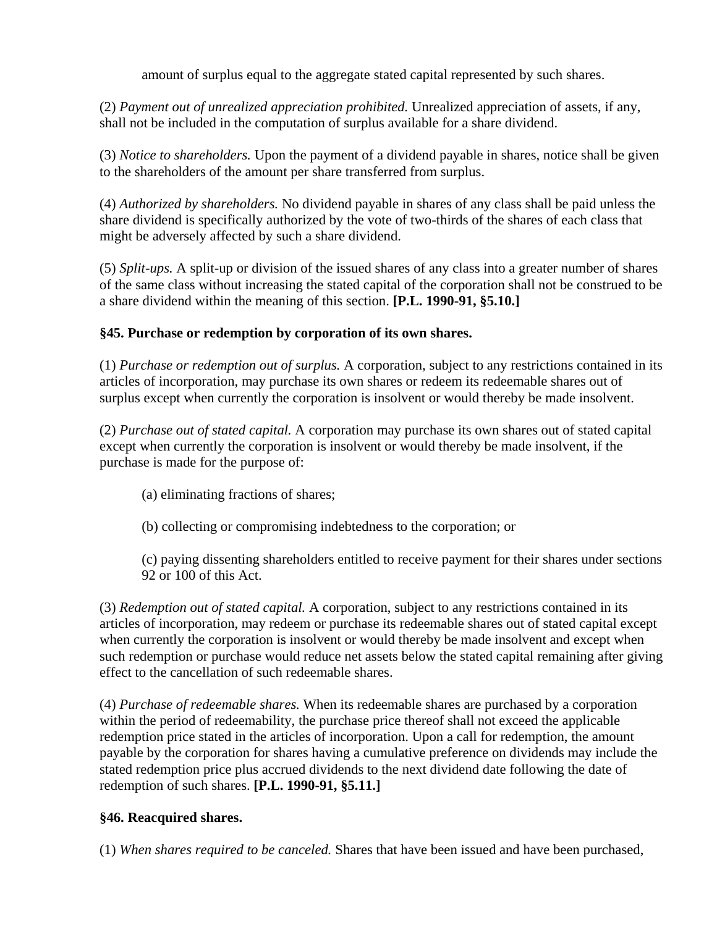amount of surplus equal to the aggregate stated capital represented by such shares.

(2) *Payment out of unrealized appreciation prohibited.* Unrealized appreciation of assets, if any, shall not be included in the computation of surplus available for a share dividend.

(3) *Notice to shareholders.* Upon the payment of a dividend payable in shares, notice shall be given to the shareholders of the amount per share transferred from surplus.

(4) *Authorized by shareholders.* No dividend payable in shares of any class shall be paid unless the share dividend is specifically authorized by the vote of two-thirds of the shares of each class that might be adversely affected by such a share dividend.

(5) *Split-ups.* A split-up or division of the issued shares of any class into a greater number of shares of the same class without increasing the stated capital of the corporation shall not be construed to be a share dividend within the meaning of this section. **[P.L. 1990-91, §5.10.]**

## **§45. Purchase or redemption by corporation of its own shares.**

(1) *Purchase or redemption out of surplus.* A corporation, subject to any restrictions contained in its articles of incorporation, may purchase its own shares or redeem its redeemable shares out of surplus except when currently the corporation is insolvent or would thereby be made insolvent.

(2) *Purchase out of stated capital.* A corporation may purchase its own shares out of stated capital except when currently the corporation is insolvent or would thereby be made insolvent, if the purchase is made for the purpose of:

- (a) eliminating fractions of shares;
- (b) collecting or compromising indebtedness to the corporation; or

(c) paying dissenting shareholders entitled to receive payment for their shares under sections 92 or 100 of this Act.

(3) *Redemption out of stated capital.* A corporation, subject to any restrictions contained in its articles of incorporation, may redeem or purchase its redeemable shares out of stated capital except when currently the corporation is insolvent or would thereby be made insolvent and except when such redemption or purchase would reduce net assets below the stated capital remaining after giving effect to the cancellation of such redeemable shares.

(4) *Purchase of redeemable shares.* When its redeemable shares are purchased by a corporation within the period of redeemability, the purchase price thereof shall not exceed the applicable redemption price stated in the articles of incorporation. Upon a call for redemption, the amount payable by the corporation for shares having a cumulative preference on dividends may include the stated redemption price plus accrued dividends to the next dividend date following the date of redemption of such shares. **[P.L. 1990-91, §5.11.]**

# **§46. Reacquired shares.**

(1) *When shares required to be canceled.* Shares that have been issued and have been purchased,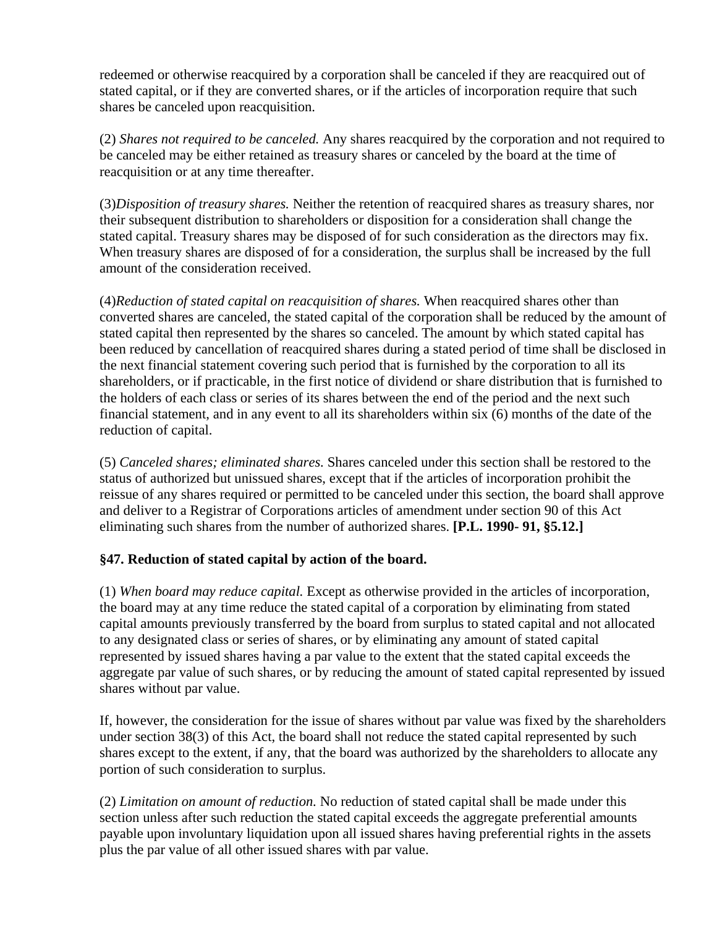redeemed or otherwise reacquired by a corporation shall be canceled if they are reacquired out of stated capital, or if they are converted shares, or if the articles of incorporation require that such shares be canceled upon reacquisition.

(2) *Shares not required to be canceled.* Any shares reacquired by the corporation and not required to be canceled may be either retained as treasury shares or canceled by the board at the time of reacquisition or at any time thereafter.

(3)*Disposition of treasury shares.* Neither the retention of reacquired shares as treasury shares, nor their subsequent distribution to shareholders or disposition for a consideration shall change the stated capital. Treasury shares may be disposed of for such consideration as the directors may fix. When treasury shares are disposed of for a consideration, the surplus shall be increased by the full amount of the consideration received.

(4)*Reduction of stated capital on reacquisition of shares.* When reacquired shares other than converted shares are canceled, the stated capital of the corporation shall be reduced by the amount of stated capital then represented by the shares so canceled. The amount by which stated capital has been reduced by cancellation of reacquired shares during a stated period of time shall be disclosed in the next financial statement covering such period that is furnished by the corporation to all its shareholders, or if practicable, in the first notice of dividend or share distribution that is furnished to the holders of each class or series of its shares between the end of the period and the next such financial statement, and in any event to all its shareholders within six (6) months of the date of the reduction of capital.

(5) *Canceled shares; eliminated shares.* Shares canceled under this section shall be restored to the status of authorized but unissued shares, except that if the articles of incorporation prohibit the reissue of any shares required or permitted to be canceled under this section, the board shall approve and deliver to a Registrar of Corporations articles of amendment under section 90 of this Act eliminating such shares from the number of authorized shares. **[P.L. 1990- 91, §5.12.]**

### **§47. Reduction of stated capital by action of the board.**

(1) *When board may reduce capital.* Except as otherwise provided in the articles of incorporation, the board may at any time reduce the stated capital of a corporation by eliminating from stated capital amounts previously transferred by the board from surplus to stated capital and not allocated to any designated class or series of shares, or by eliminating any amount of stated capital represented by issued shares having a par value to the extent that the stated capital exceeds the aggregate par value of such shares, or by reducing the amount of stated capital represented by issued shares without par value.

If, however, the consideration for the issue of shares without par value was fixed by the shareholders under section 38(3) of this Act, the board shall not reduce the stated capital represented by such shares except to the extent, if any, that the board was authorized by the shareholders to allocate any portion of such consideration to surplus.

(2) *Limitation on amount of reduction.* No reduction of stated capital shall be made under this section unless after such reduction the stated capital exceeds the aggregate preferential amounts payable upon involuntary liquidation upon all issued shares having preferential rights in the assets plus the par value of all other issued shares with par value.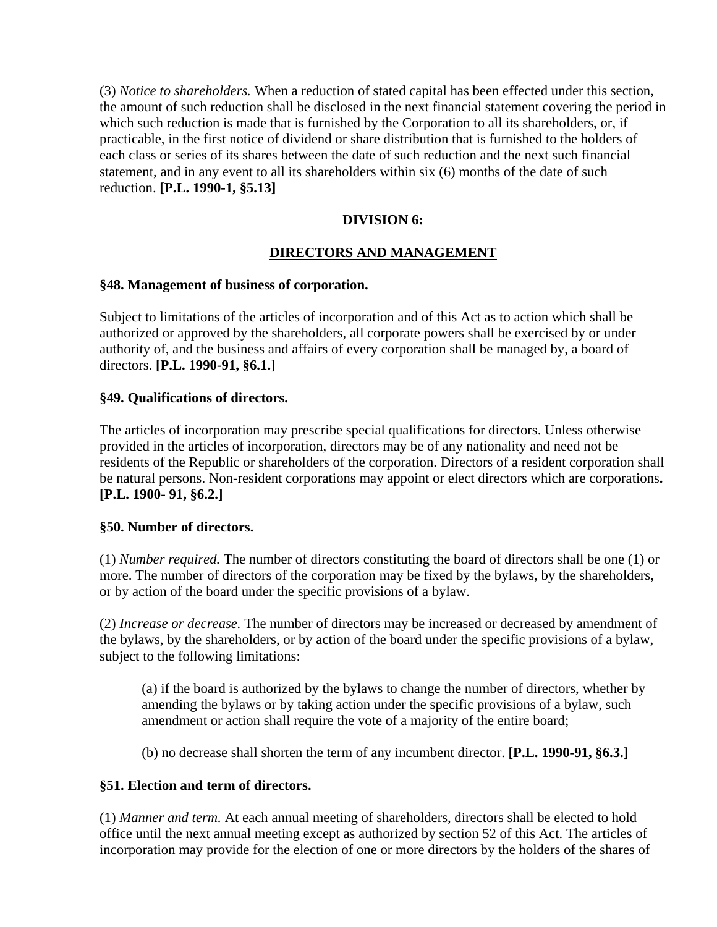(3) *Notice to shareholders.* When a reduction of stated capital has been effected under this section, the amount of such reduction shall be disclosed in the next financial statement covering the period in which such reduction is made that is furnished by the Corporation to all its shareholders, or, if practicable, in the first notice of dividend or share distribution that is furnished to the holders of each class or series of its shares between the date of such reduction and the next such financial statement, and in any event to all its shareholders within six (6) months of the date of such reduction. **[P.L. 1990-1, §5.13]**

### **DIVISION 6:**

### **DIRECTORS AND MANAGEMENT**

#### **§48. Management of business of corporation.**

Subject to limitations of the articles of incorporation and of this Act as to action which shall be authorized or approved by the shareholders, all corporate powers shall be exercised by or under authority of, and the business and affairs of every corporation shall be managed by, a board of directors. **[P.L. 1990-91, §6.1.]**

### **§49. Qualifications of directors.**

The articles of incorporation may prescribe special qualifications for directors. Unless otherwise provided in the articles of incorporation, directors may be of any nationality and need not be residents of the Republic or shareholders of the corporation. Directors of a resident corporation shall be natural persons. Non-resident corporations may appoint or elect directors which are corporations**. [P.L. 1900- 91, §6.2.]**

### **§50. Number of directors.**

(1) *Number required.* The number of directors constituting the board of directors shall be one (1) or more. The number of directors of the corporation may be fixed by the bylaws, by the shareholders, or by action of the board under the specific provisions of a bylaw.

(2) *Increase or decrease.* The number of directors may be increased or decreased by amendment of the bylaws, by the shareholders, or by action of the board under the specific provisions of a bylaw, subject to the following limitations:

(a) if the board is authorized by the bylaws to change the number of directors, whether by amending the bylaws or by taking action under the specific provisions of a bylaw, such amendment or action shall require the vote of a majority of the entire board;

(b) no decrease shall shorten the term of any incumbent director. **[P.L. 1990-91, §6.3.]**

### **§51. Election and term of directors.**

(1) *Manner and term.* At each annual meeting of shareholders, directors shall be elected to hold office until the next annual meeting except as authorized by section 52 of this Act. The articles of incorporation may provide for the election of one or more directors by the holders of the shares of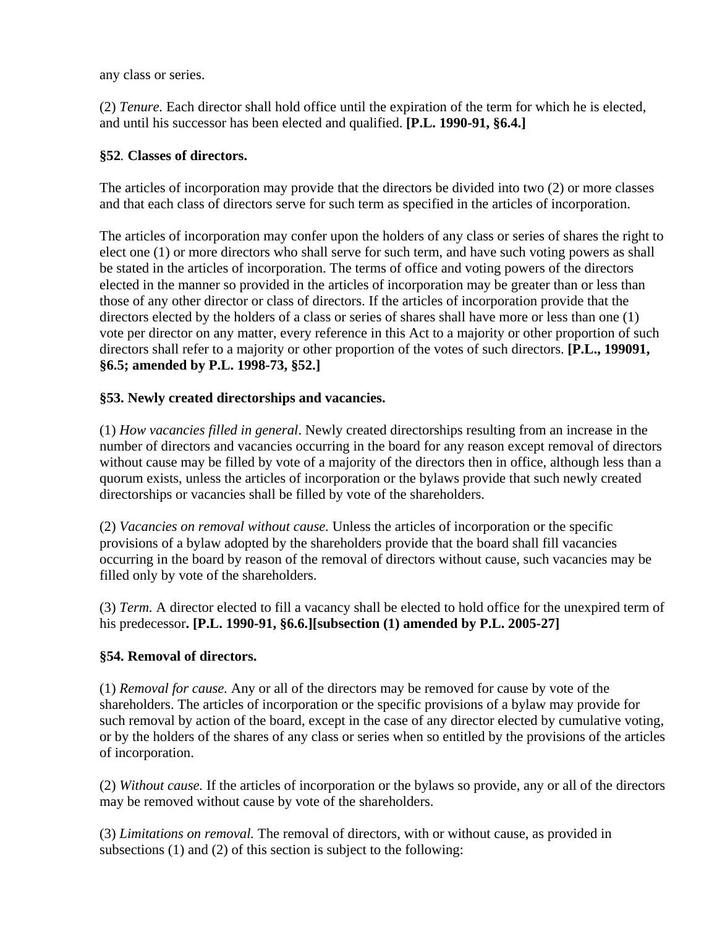any class or series.

(2) *Tenure.* Each director shall hold office until the expiration of the term for which he is elected, and until his successor has been elected and qualified. **[P.L. 1990-91, §6.4.]**

### **§52***.* **Classes of directors.**

The articles of incorporation may provide that the directors be divided into two (2) or more classes and that each class of directors serve for such term as specified in the articles of incorporation.

The articles of incorporation may confer upon the holders of any class or series of shares the right to elect one (1) or more directors who shall serve for such term, and have such voting powers as shall be stated in the articles of incorporation. The terms of office and voting powers of the directors elected in the manner so provided in the articles of incorporation may be greater than or less than those of any other director or class of directors. If the articles of incorporation provide that the directors elected by the holders of a class or series of shares shall have more or less than one (1) vote per director on any matter, every reference in this Act to a majority or other proportion of such directors shall refer to a majority or other proportion of the votes of such directors. **[P.L., 199091, §6.5; amended by P.L. 1998-73, §52.]**

### **§53. Newly created directorships and vacancies.**

(1) *How vacancies filled in general*. Newly created directorships resulting from an increase in the number of directors and vacancies occurring in the board for any reason except removal of directors without cause may be filled by vote of a majority of the directors then in office, although less than a quorum exists, unless the articles of incorporation or the bylaws provide that such newly created directorships or vacancies shall be filled by vote of the shareholders.

(2) *Vacancies on removal without cause.* Unless the articles of incorporation or the specific provisions of a bylaw adopted by the shareholders provide that the board shall fill vacancies occurring in the board by reason of the removal of directors without cause, such vacancies may be filled only by vote of the shareholders.

(3) *Term.* A director elected to fill a vacancy shall be elected to hold office for the unexpired term of his predecessor**. [P.L. 1990-91, §6.6.][subsection (1) amended by P.L. 2005-27]**

### **§54. Removal of directors.**

(1) *Removal for cause.* Any or all of the directors may be removed for cause by vote of the shareholders. The articles of incorporation or the specific provisions of a bylaw may provide for such removal by action of the board, except in the case of any director elected by cumulative voting, or by the holders of the shares of any class or series when so entitled by the provisions of the articles of incorporation.

(2) *Without cause.* If the articles of incorporation or the bylaws so provide, any or all of the directors may be removed without cause by vote of the shareholders.

(3) *Limitations on removal.* The removal of directors, with or without cause, as provided in subsections (1) and (2) of this section is subject to the following: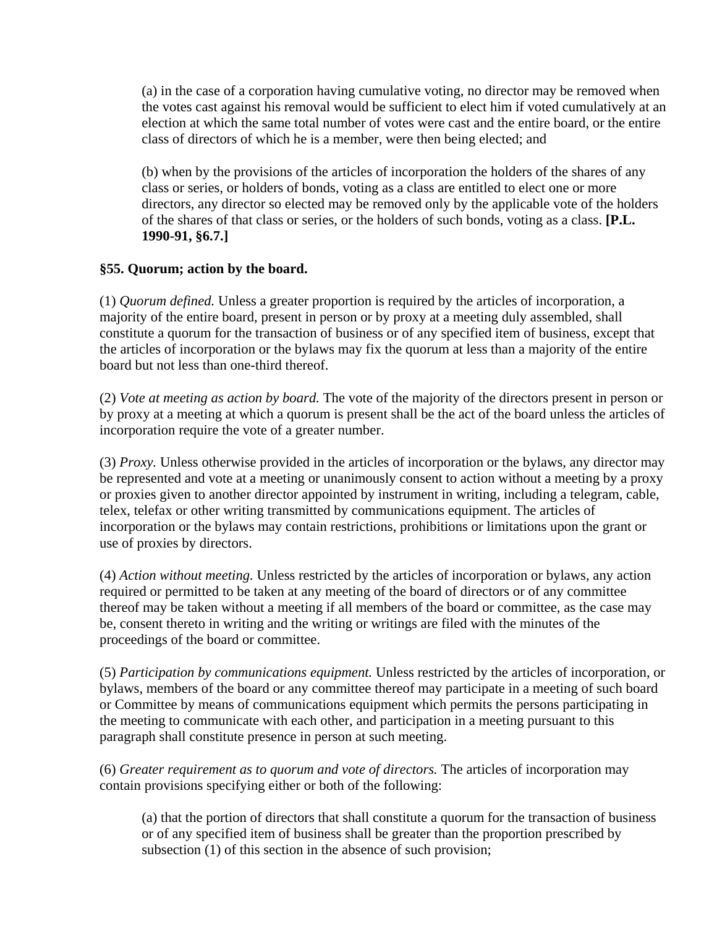(a) in the case of a corporation having cumulative voting, no director may be removed when the votes cast against his removal would be sufficient to elect him if voted cumulatively at an election at which the same total number of votes were cast and the entire board, or the entire class of directors of which he is a member, were then being elected; and

(b) when by the provisions of the articles of incorporation the holders of the shares of any class or series, or holders of bonds, voting as a class are entitled to elect one or more directors, any director so elected may be removed only by the applicable vote of the holders of the shares of that class or series, or the holders of such bonds, voting as a class. **[P.L. 1990-91, §6.7.]**

### **§55. Quorum; action by the board.**

(1) *Quorum defined.* Unless a greater proportion is required by the articles of incorporation, a majority of the entire board, present in person or by proxy at a meeting duly assembled, shall constitute a quorum for the transaction of business or of any specified item of business, except that the articles of incorporation or the bylaws may fix the quorum at less than a majority of the entire board but not less than one-third thereof.

(2) *Vote at meeting as action by board.* The vote of the majority of the directors present in person or by proxy at a meeting at which a quorum is present shall be the act of the board unless the articles of incorporation require the vote of a greater number.

(3) *Proxy.* Unless otherwise provided in the articles of incorporation or the bylaws, any director may be represented and vote at a meeting or unanimously consent to action without a meeting by a proxy or proxies given to another director appointed by instrument in writing, including a telegram, cable, telex, telefax or other writing transmitted by communications equipment. The articles of incorporation or the bylaws may contain restrictions, prohibitions or limitations upon the grant or use of proxies by directors.

(4) *Action without meeting.* Unless restricted by the articles of incorporation or bylaws, any action required or permitted to be taken at any meeting of the board of directors or of any committee thereof may be taken without a meeting if all members of the board or committee, as the case may be, consent thereto in writing and the writing or writings are filed with the minutes of the proceedings of the board or committee.

(5) *Participation by communications equipment.* Unless restricted by the articles of incorporation, or bylaws, members of the board or any committee thereof may participate in a meeting of such board or Committee by means of communications equipment which permits the persons participating in the meeting to communicate with each other, and participation in a meeting pursuant to this paragraph shall constitute presence in person at such meeting.

(6) *Greater requirement as to quorum and vote of directors.* The articles of incorporation may contain provisions specifying either or both of the following:

(a) that the portion of directors that shall constitute a quorum for the transaction of business or of any specified item of business shall be greater than the proportion prescribed by subsection (1) of this section in the absence of such provision;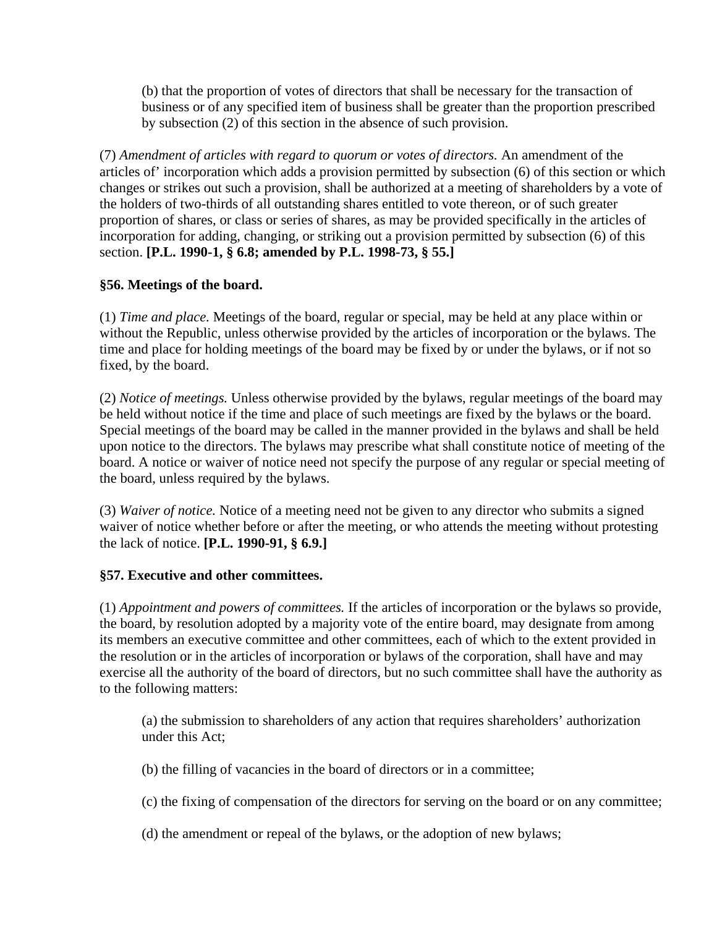(b) that the proportion of votes of directors that shall be necessary for the transaction of business or of any specified item of business shall be greater than the proportion prescribed by subsection (2) of this section in the absence of such provision.

(7) *Amendment of articles with regard to quorum or votes of directors.* An amendment of the articles of' incorporation which adds a provision permitted by subsection (6) of this section or which changes or strikes out such a provision, shall be authorized at a meeting of shareholders by a vote of the holders of two-thirds of all outstanding shares entitled to vote thereon, or of such greater proportion of shares, or class or series of shares, as may be provided specifically in the articles of incorporation for adding, changing, or striking out a provision permitted by subsection (6) of this section. **[P.L. 1990-1, § 6.8; amended by P.L. 1998-73, § 55.]**

### **§56. Meetings of the board.**

(1) *Time and place.* Meetings of the board, regular or special, may be held at any place within or without the Republic, unless otherwise provided by the articles of incorporation or the bylaws. The time and place for holding meetings of the board may be fixed by or under the bylaws, or if not so fixed, by the board.

(2) *Notice of meetings.* Unless otherwise provided by the bylaws, regular meetings of the board may be held without notice if the time and place of such meetings are fixed by the bylaws or the board. Special meetings of the board may be called in the manner provided in the bylaws and shall be held upon notice to the directors. The bylaws may prescribe what shall constitute notice of meeting of the board. A notice or waiver of notice need not specify the purpose of any regular or special meeting of the board, unless required by the bylaws.

(3) *Waiver of notice.* Notice of a meeting need not be given to any director who submits a signed waiver of notice whether before or after the meeting, or who attends the meeting without protesting the lack of notice. **[P.L. 1990-91, § 6.9.]**

# **§57. Executive and other committees.**

(1) *Appointment and powers of committees.* If the articles of incorporation or the bylaws so provide, the board, by resolution adopted by a majority vote of the entire board, may designate from among its members an executive committee and other committees, each of which to the extent provided in the resolution or in the articles of incorporation or bylaws of the corporation, shall have and may exercise all the authority of the board of directors, but no such committee shall have the authority as to the following matters:

(a) the submission to shareholders of any action that requires shareholders' authorization under this Act;

(b) the filling of vacancies in the board of directors or in a committee;

(c) the fixing of compensation of the directors for serving on the board or on any committee;

(d) the amendment or repeal of the bylaws, or the adoption of new bylaws;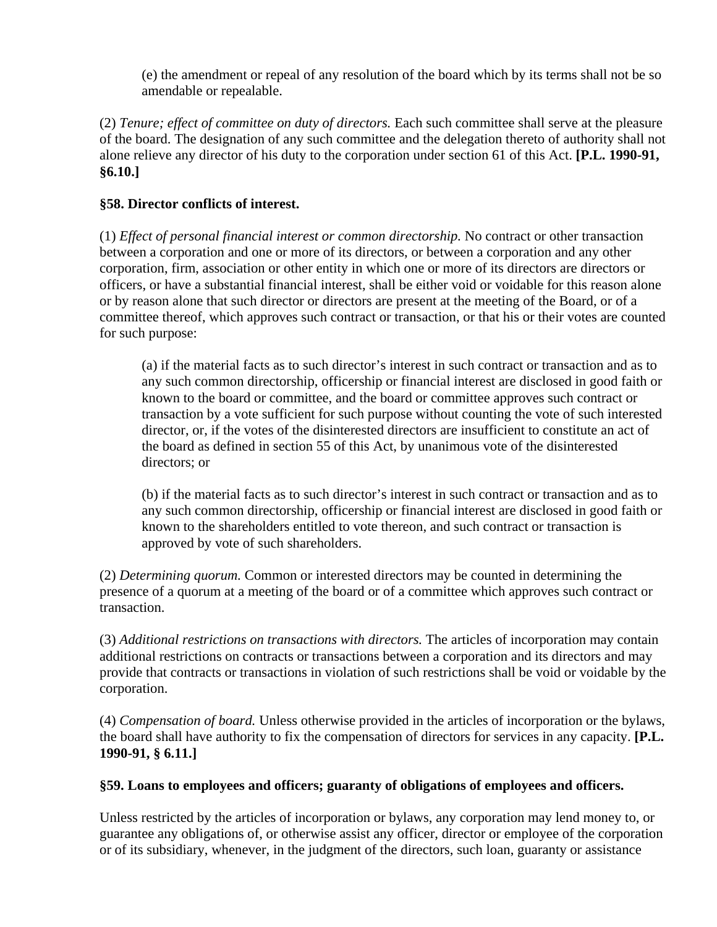(e) the amendment or repeal of any resolution of the board which by its terms shall not be so amendable or repealable.

(2) *Tenure; effect of committee on duty of directors.* Each such committee shall serve at the pleasure of the board. The designation of any such committee and the delegation thereto of authority shall not alone relieve any director of his duty to the corporation under section 61 of this Act. **[P.L. 1990-91, §6.10.]**

### **§58. Director conflicts of interest.**

(1) *Effect of personal financial interest or common directorship.* No contract or other transaction between a corporation and one or more of its directors, or between a corporation and any other corporation, firm, association or other entity in which one or more of its directors are directors or officers, or have a substantial financial interest, shall be either void or voidable for this reason alone or by reason alone that such director or directors are present at the meeting of the Board, or of a committee thereof, which approves such contract or transaction, or that his or their votes are counted for such purpose:

(a) if the material facts as to such director's interest in such contract or transaction and as to any such common directorship, officership or financial interest are disclosed in good faith or known to the board or committee, and the board or committee approves such contract or transaction by a vote sufficient for such purpose without counting the vote of such interested director, or, if the votes of the disinterested directors are insufficient to constitute an act of the board as defined in section 55 of this Act, by unanimous vote of the disinterested directors; or

(b) if the material facts as to such director's interest in such contract or transaction and as to any such common directorship, officership or financial interest are disclosed in good faith or known to the shareholders entitled to vote thereon, and such contract or transaction is approved by vote of such shareholders.

(2) *Determining quorum.* Common or interested directors may be counted in determining the presence of a quorum at a meeting of the board or of a committee which approves such contract or transaction.

(3) *Additional restrictions on transactions with directors.* The articles of incorporation may contain additional restrictions on contracts or transactions between a corporation and its directors and may provide that contracts or transactions in violation of such restrictions shall be void or voidable by the corporation.

(4) *Compensation of board.* Unless otherwise provided in the articles of incorporation or the bylaws, the board shall have authority to fix the compensation of directors for services in any capacity. **[P.L. 1990-91, § 6.11.]**

#### **§59. Loans to employees and officers; guaranty of obligations of employees and officers.**

Unless restricted by the articles of incorporation or bylaws, any corporation may lend money to, or guarantee any obligations of, or otherwise assist any officer, director or employee of the corporation or of its subsidiary, whenever, in the judgment of the directors, such loan, guaranty or assistance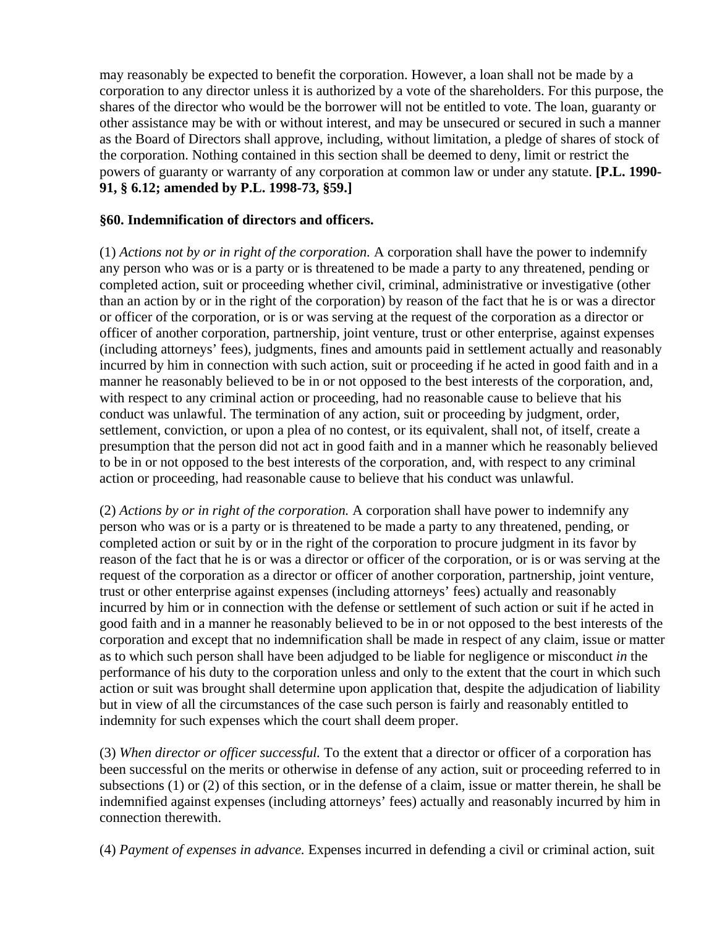may reasonably be expected to benefit the corporation. However, a loan shall not be made by a corporation to any director unless it is authorized by a vote of the shareholders. For this purpose, the shares of the director who would be the borrower will not be entitled to vote. The loan, guaranty or other assistance may be with or without interest, and may be unsecured or secured in such a manner as the Board of Directors shall approve, including, without limitation, a pledge of shares of stock of the corporation. Nothing contained in this section shall be deemed to deny, limit or restrict the powers of guaranty or warranty of any corporation at common law or under any statute. **[P.L. 1990- 91, § 6.12; amended by P.L. 1998-73, §59.]**

### **§60. Indemnification of directors and officers.**

(1) *Actions not by or in right of the corporation.* A corporation shall have the power to indemnify any person who was or is a party or is threatened to be made a party to any threatened, pending or completed action, suit or proceeding whether civil, criminal, administrative or investigative (other than an action by or in the right of the corporation) by reason of the fact that he is or was a director or officer of the corporation, or is or was serving at the request of the corporation as a director or officer of another corporation, partnership, joint venture, trust or other enterprise, against expenses (including attorneys' fees), judgments, fines and amounts paid in settlement actually and reasonably incurred by him in connection with such action, suit or proceeding if he acted in good faith and in a manner he reasonably believed to be in or not opposed to the best interests of the corporation, and, with respect to any criminal action or proceeding, had no reasonable cause to believe that his conduct was unlawful. The termination of any action, suit or proceeding by judgment, order, settlement, conviction, or upon a plea of no contest, or its equivalent, shall not, of itself, create a presumption that the person did not act in good faith and in a manner which he reasonably believed to be in or not opposed to the best interests of the corporation, and, with respect to any criminal action or proceeding, had reasonable cause to believe that his conduct was unlawful.

(2) *Actions by or in right of the corporation.* A corporation shall have power to indemnify any person who was or is a party or is threatened to be made a party to any threatened, pending, or completed action or suit by or in the right of the corporation to procure judgment in its favor by reason of the fact that he is or was a director or officer of the corporation, or is or was serving at the request of the corporation as a director or officer of another corporation, partnership, joint venture, trust or other enterprise against expenses (including attorneys' fees) actually and reasonably incurred by him or in connection with the defense or settlement of such action or suit if he acted in good faith and in a manner he reasonably believed to be in or not opposed to the best interests of the corporation and except that no indemnification shall be made in respect of any claim, issue or matter as to which such person shall have been adjudged to be liable for negligence or misconduct *in* the performance of his duty to the corporation unless and only to the extent that the court in which such action or suit was brought shall determine upon application that, despite the adjudication of liability but in view of all the circumstances of the case such person is fairly and reasonably entitled to indemnity for such expenses which the court shall deem proper.

(3) *When director or officer successful.* To the extent that a director or officer of a corporation has been successful on the merits or otherwise in defense of any action, suit or proceeding referred to in subsections (1) or (2) of this section, or in the defense of a claim, issue or matter therein, he shall be indemnified against expenses (including attorneys' fees) actually and reasonably incurred by him in connection therewith.

(4) *Payment of expenses in advance.* Expenses incurred in defending a civil or criminal action, suit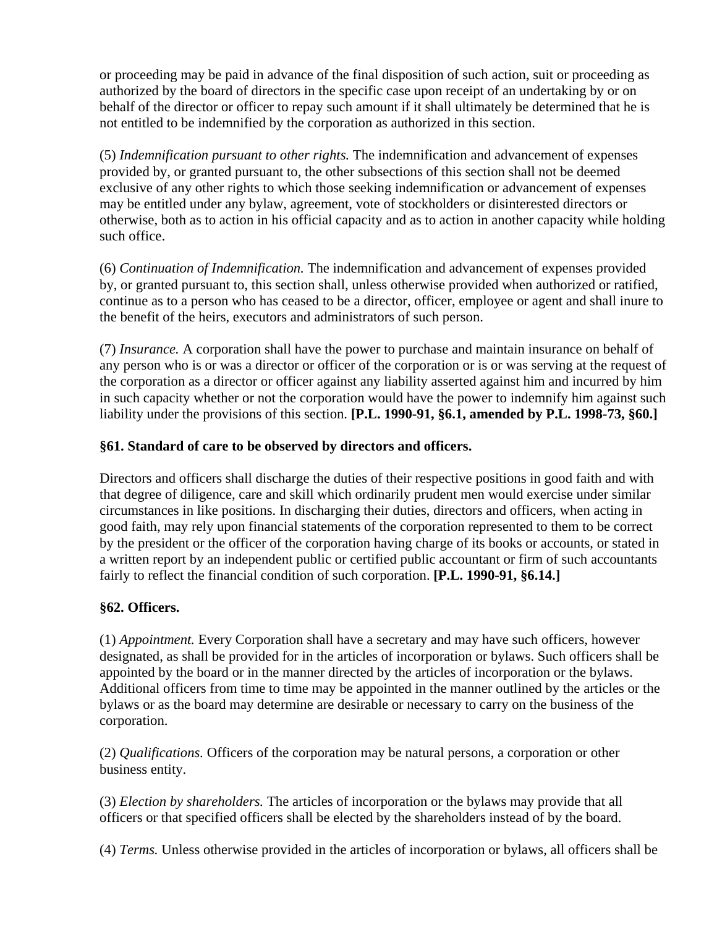or proceeding may be paid in advance of the final disposition of such action, suit or proceeding as authorized by the board of directors in the specific case upon receipt of an undertaking by or on behalf of the director or officer to repay such amount if it shall ultimately be determined that he is not entitled to be indemnified by the corporation as authorized in this section.

(5) *Indemnification pursuant to other rights.* The indemnification and advancement of expenses provided by, or granted pursuant to, the other subsections of this section shall not be deemed exclusive of any other rights to which those seeking indemnification or advancement of expenses may be entitled under any bylaw, agreement, vote of stockholders or disinterested directors or otherwise, both as to action in his official capacity and as to action in another capacity while holding such office.

(6) *Continuation of Indemnification.* The indemnification and advancement of expenses provided by, or granted pursuant to, this section shall, unless otherwise provided when authorized or ratified, continue as to a person who has ceased to be a director, officer, employee or agent and shall inure to the benefit of the heirs, executors and administrators of such person.

(7) *Insurance.* A corporation shall have the power to purchase and maintain insurance on behalf of any person who is or was a director or officer of the corporation or is or was serving at the request of the corporation as a director or officer against any liability asserted against him and incurred by him in such capacity whether or not the corporation would have the power to indemnify him against such liability under the provisions of this section. **[P.L. 1990-91, §6.1, amended by P.L. 1998-73, §60.]**

## **§61. Standard of care to be observed by directors and officers.**

Directors and officers shall discharge the duties of their respective positions in good faith and with that degree of diligence, care and skill which ordinarily prudent men would exercise under similar circumstances in like positions. In discharging their duties, directors and officers, when acting in good faith, may rely upon financial statements of the corporation represented to them to be correct by the president or the officer of the corporation having charge of its books or accounts, or stated in a written report by an independent public or certified public accountant or firm of such accountants fairly to reflect the financial condition of such corporation. **[P.L. 1990-91, §6.14.]**

## **§62. Officers.**

(1) *Appointment.* Every Corporation shall have a secretary and may have such officers, however designated, as shall be provided for in the articles of incorporation or bylaws. Such officers shall be appointed by the board or in the manner directed by the articles of incorporation or the bylaws. Additional officers from time to time may be appointed in the manner outlined by the articles or the bylaws or as the board may determine are desirable or necessary to carry on the business of the corporation.

(2) *Qualifications.* Officers of the corporation may be natural persons, a corporation or other business entity.

(3) *Election by shareholders.* The articles of incorporation or the bylaws may provide that all officers or that specified officers shall be elected by the shareholders instead of by the board.

(4) *Terms.* Unless otherwise provided in the articles of incorporation or bylaws, all officers shall be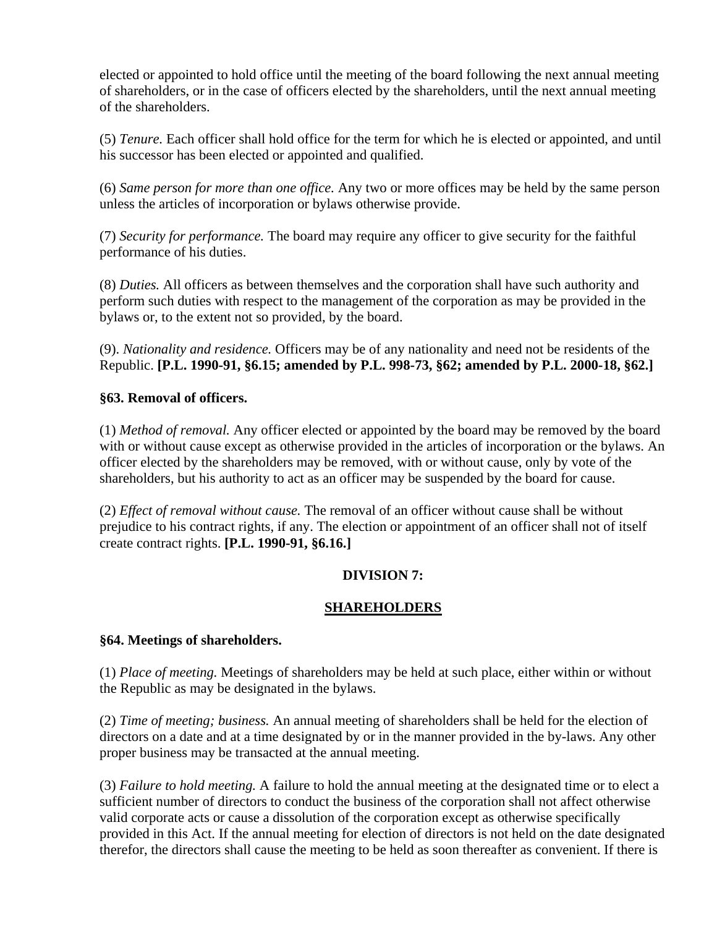elected or appointed to hold office until the meeting of the board following the next annual meeting of shareholders, or in the case of officers elected by the shareholders, until the next annual meeting of the shareholders.

(5) *Tenure.* Each officer shall hold office for the term for which he is elected or appointed, and until his successor has been elected or appointed and qualified.

(6) *Same person for more than one office.* Any two or more offices may be held by the same person unless the articles of incorporation or bylaws otherwise provide.

(7) *Security for performance.* The board may require any officer to give security for the faithful performance of his duties.

(8) *Duties.* All officers as between themselves and the corporation shall have such authority and perform such duties with respect to the management of the corporation as may be provided in the bylaws or, to the extent not so provided, by the board.

(9). *Nationality and residence.* Officers may be of any nationality and need not be residents of the Republic. **[P.L. 1990-91, §6.15; amended by P.L. 998-73, §62; amended by P.L. 2000-18, §62.]**

## **§63. Removal of officers.**

(1) *Method of removal.* Any officer elected or appointed by the board may be removed by the board with or without cause except as otherwise provided in the articles of incorporation or the bylaws. An officer elected by the shareholders may be removed, with or without cause, only by vote of the shareholders, but his authority to act as an officer may be suspended by the board for cause.

(2) *Effect of removal without cause.* The removal of an officer without cause shall be without prejudice to his contract rights, if any. The election or appointment of an officer shall not of itself create contract rights. **[P.L. 1990-91, §6.16.]**

## **DIVISION 7:**

## **SHAREHOLDERS**

### **§64. Meetings of shareholders.**

(1) *Place of meeting.* Meetings of shareholders may be held at such place, either within or without the Republic as may be designated in the bylaws.

(2) *Time of meeting; business.* An annual meeting of shareholders shall be held for the election of directors on a date and at a time designated by or in the manner provided in the by-laws. Any other proper business may be transacted at the annual meeting.

(3) *Failure to hold meeting.* A failure to hold the annual meeting at the designated time or to elect a sufficient number of directors to conduct the business of the corporation shall not affect otherwise valid corporate acts or cause a dissolution of the corporation except as otherwise specifically provided in this Act. If the annual meeting for election of directors is not held on the date designated therefor, the directors shall cause the meeting to be held as soon thereafter as convenient. If there is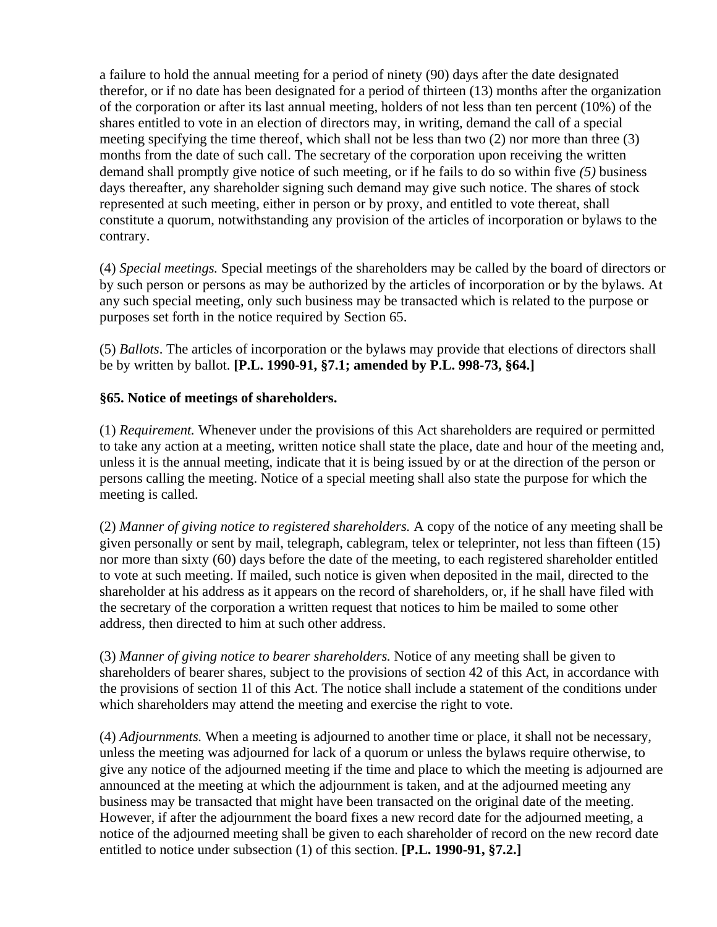a failure to hold the annual meeting for a period of ninety (90) days after the date designated therefor, or if no date has been designated for a period of thirteen (13) months after the organization of the corporation or after its last annual meeting, holders of not less than ten percent (10%) of the shares entitled to vote in an election of directors may, in writing, demand the call of a special meeting specifying the time thereof, which shall not be less than two (2) nor more than three (3) months from the date of such call. The secretary of the corporation upon receiving the written demand shall promptly give notice of such meeting, or if he fails to do so within five *(5)* business days thereafter, any shareholder signing such demand may give such notice. The shares of stock represented at such meeting, either in person or by proxy, and entitled to vote thereat, shall constitute a quorum, notwithstanding any provision of the articles of incorporation or bylaws to the contrary.

(4) *Special meetings.* Special meetings of the shareholders may be called by the board of directors or by such person or persons as may be authorized by the articles of incorporation or by the bylaws. At any such special meeting, only such business may be transacted which is related to the purpose or purposes set forth in the notice required by Section 65.

(5) *Ballots*. The articles of incorporation or the bylaws may provide that elections of directors shall be by written by ballot. **[P.L. 1990-91, §7.1; amended by P.L. 998-73, §64.]**

## **§65. Notice of meetings of shareholders.**

(1) *Requirement.* Whenever under the provisions of this Act shareholders are required or permitted to take any action at a meeting, written notice shall state the place, date and hour of the meeting and, unless it is the annual meeting, indicate that it is being issued by or at the direction of the person or persons calling the meeting. Notice of a special meeting shall also state the purpose for which the meeting is called.

(2) *Manner of giving notice to registered shareholders.* A copy of the notice of any meeting shall be given personally or sent by mail, telegraph, cablegram, telex or teleprinter, not less than fifteen (15) nor more than sixty (60) days before the date of the meeting, to each registered shareholder entitled to vote at such meeting. If mailed, such notice is given when deposited in the mail, directed to the shareholder at his address as it appears on the record of shareholders, or, if he shall have filed with the secretary of the corporation a written request that notices to him be mailed to some other address, then directed to him at such other address.

(3) *Manner of giving notice to bearer shareholders.* Notice of any meeting shall be given to shareholders of bearer shares, subject to the provisions of section 42 of this Act, in accordance with the provisions of section 1l of this Act. The notice shall include a statement of the conditions under which shareholders may attend the meeting and exercise the right to vote.

(4) *Adjournments.* When a meeting is adjourned to another time or place, it shall not be necessary, unless the meeting was adjourned for lack of a quorum or unless the bylaws require otherwise, to give any notice of the adjourned meeting if the time and place to which the meeting is adjourned are announced at the meeting at which the adjournment is taken, and at the adjourned meeting any business may be transacted that might have been transacted on the original date of the meeting. However, if after the adjournment the board fixes a new record date for the adjourned meeting, a notice of the adjourned meeting shall be given to each shareholder of record on the new record date entitled to notice under subsection (1) of this section. **[P.L. 1990-91, §7.2.]**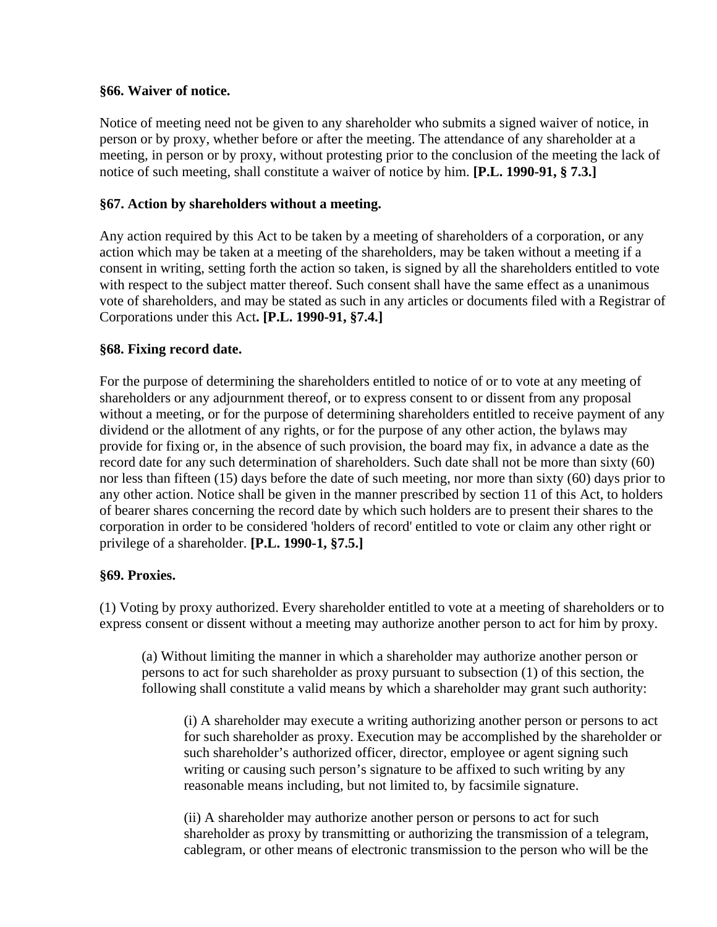### **§66. Waiver of notice.**

Notice of meeting need not be given to any shareholder who submits a signed waiver of notice, in person or by proxy, whether before or after the meeting. The attendance of any shareholder at a meeting, in person or by proxy, without protesting prior to the conclusion of the meeting the lack of notice of such meeting, shall constitute a waiver of notice by him. **[P.L. 1990-91, § 7.3.]**

## **§67. Action by shareholders without a meeting.**

Any action required by this Act to be taken by a meeting of shareholders of a corporation, or any action which may be taken at a meeting of the shareholders, may be taken without a meeting if a consent in writing, setting forth the action so taken, is signed by all the shareholders entitled to vote with respect to the subject matter thereof. Such consent shall have the same effect as a unanimous vote of shareholders, and may be stated as such in any articles or documents filed with a Registrar of Corporations under this Act**. [P.L. 1990-91, §7.4.]**

## **§68. Fixing record date.**

For the purpose of determining the shareholders entitled to notice of or to vote at any meeting of shareholders or any adjournment thereof, or to express consent to or dissent from any proposal without a meeting, or for the purpose of determining shareholders entitled to receive payment of any dividend or the allotment of any rights, or for the purpose of any other action, the bylaws may provide for fixing or, in the absence of such provision, the board may fix, in advance a date as the record date for any such determination of shareholders. Such date shall not be more than sixty (60) nor less than fifteen (15) days before the date of such meeting, nor more than sixty (60) days prior to any other action. Notice shall be given in the manner prescribed by section 11 of this Act, to holders of bearer shares concerning the record date by which such holders are to present their shares to the corporation in order to be considered 'holders of record' entitled to vote or claim any other right or privilege of a shareholder. **[P.L. 1990-1, §7.5.]**

## **§69. Proxies.**

(1) Voting by proxy authorized. Every shareholder entitled to vote at a meeting of shareholders or to express consent or dissent without a meeting may authorize another person to act for him by proxy.

(a) Without limiting the manner in which a shareholder may authorize another person or persons to act for such shareholder as proxy pursuant to subsection (1) of this section, the following shall constitute a valid means by which a shareholder may grant such authority:

(i) A shareholder may execute a writing authorizing another person or persons to act for such shareholder as proxy. Execution may be accomplished by the shareholder or such shareholder's authorized officer, director, employee or agent signing such writing or causing such person's signature to be affixed to such writing by any reasonable means including, but not limited to, by facsimile signature.

(ii) A shareholder may authorize another person or persons to act for such shareholder as proxy by transmitting or authorizing the transmission of a telegram, cablegram, or other means of electronic transmission to the person who will be the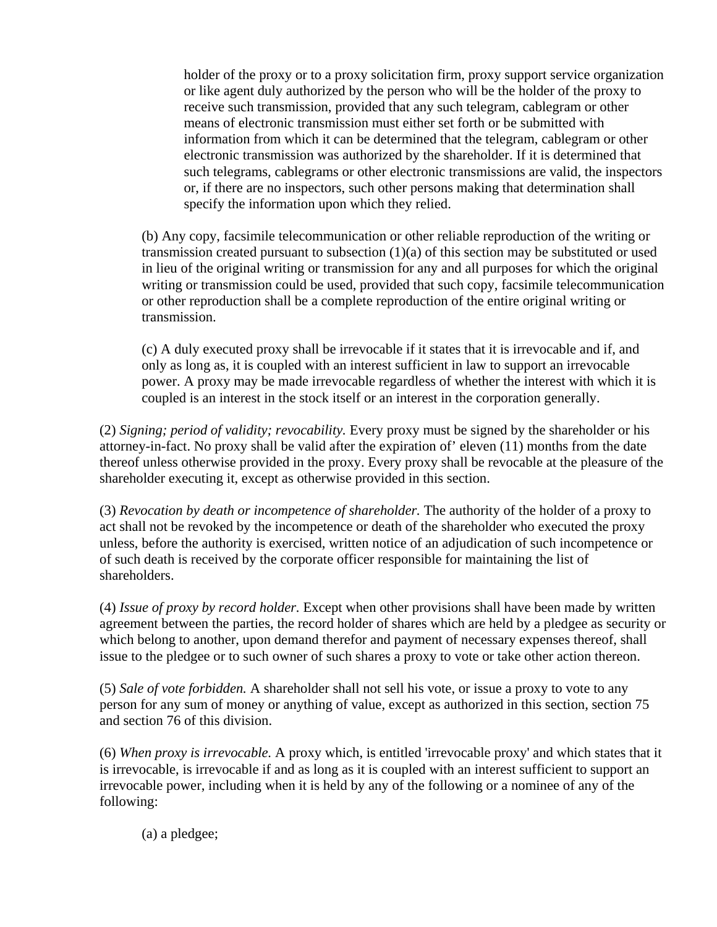holder of the proxy or to a proxy solicitation firm, proxy support service organization or like agent duly authorized by the person who will be the holder of the proxy to receive such transmission, provided that any such telegram, cablegram or other means of electronic transmission must either set forth or be submitted with information from which it can be determined that the telegram, cablegram or other electronic transmission was authorized by the shareholder. If it is determined that such telegrams, cablegrams or other electronic transmissions are valid, the inspectors or, if there are no inspectors, such other persons making that determination shall specify the information upon which they relied.

(b) Any copy, facsimile telecommunication or other reliable reproduction of the writing or transmission created pursuant to subsection (1)(a) of this section may be substituted or used in lieu of the original writing or transmission for any and all purposes for which the original writing or transmission could be used, provided that such copy, facsimile telecommunication or other reproduction shall be a complete reproduction of the entire original writing or transmission.

(c) A duly executed proxy shall be irrevocable if it states that it is irrevocable and if, and only as long as, it is coupled with an interest sufficient in law to support an irrevocable power. A proxy may be made irrevocable regardless of whether the interest with which it is coupled is an interest in the stock itself or an interest in the corporation generally.

(2) *Signing; period of validity; revocability.* Every proxy must be signed by the shareholder or his attorney-in-fact. No proxy shall be valid after the expiration of' eleven (11) months from the date thereof unless otherwise provided in the proxy. Every proxy shall be revocable at the pleasure of the shareholder executing it, except as otherwise provided in this section.

(3) *Revocation by death or incompetence of shareholder.* The authority of the holder of a proxy to act shall not be revoked by the incompetence or death of the shareholder who executed the proxy unless, before the authority is exercised, written notice of an adjudication of such incompetence or of such death is received by the corporate officer responsible for maintaining the list of shareholders.

(4) *Issue of proxy by record holder.* Except when other provisions shall have been made by written agreement between the parties, the record holder of shares which are held by a pledgee as security or which belong to another, upon demand therefor and payment of necessary expenses thereof, shall issue to the pledgee or to such owner of such shares a proxy to vote or take other action thereon.

(5) *Sale of vote forbidden.* A shareholder shall not sell his vote, or issue a proxy to vote to any person for any sum of money or anything of value, except as authorized in this section, section 75 and section 76 of this division.

(6) *When proxy is irrevocable.* A proxy which, is entitled 'irrevocable proxy' and which states that it is irrevocable, is irrevocable if and as long as it is coupled with an interest sufficient to support an irrevocable power, including when it is held by any of the following or a nominee of any of the following:

(a) a pledgee;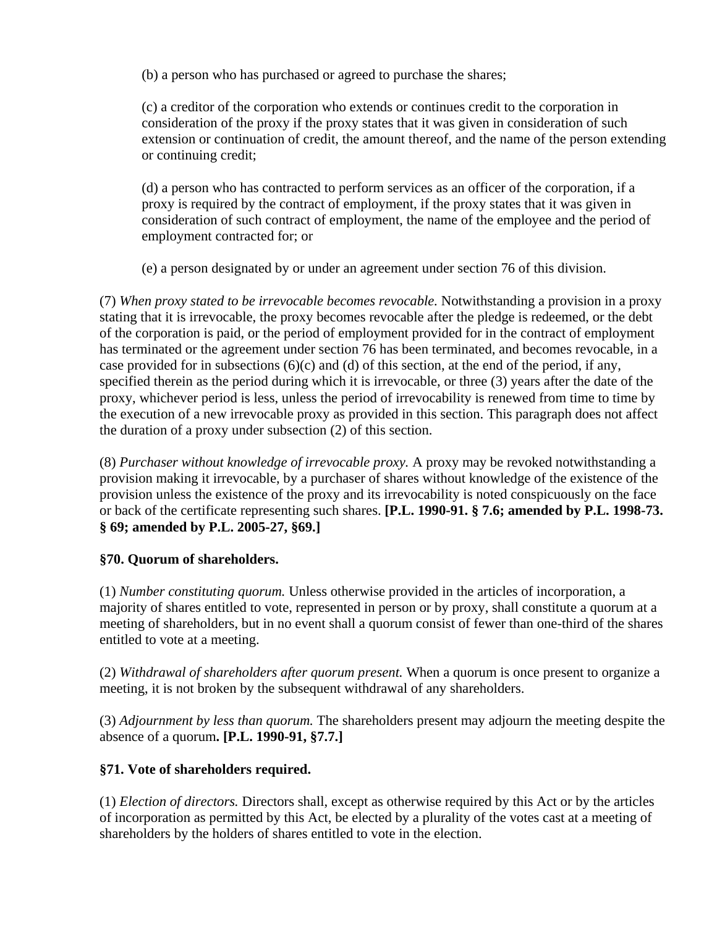(b) a person who has purchased or agreed to purchase the shares;

(c) a creditor of the corporation who extends or continues credit to the corporation in consideration of the proxy if the proxy states that it was given in consideration of such extension or continuation of credit, the amount thereof, and the name of the person extending or continuing credit;

(d) a person who has contracted to perform services as an officer of the corporation, if a proxy is required by the contract of employment, if the proxy states that it was given in consideration of such contract of employment, the name of the employee and the period of employment contracted for; or

(e) a person designated by or under an agreement under section 76 of this division.

(7) *When proxy stated to be irrevocable becomes revocable.* Notwithstanding a provision in a proxy stating that it is irrevocable, the proxy becomes revocable after the pledge is redeemed, or the debt of the corporation is paid, or the period of employment provided for in the contract of employment has terminated or the agreement under section 76 has been terminated, and becomes revocable, in a case provided for in subsections  $(6)(c)$  and (d) of this section, at the end of the period, if any, specified therein as the period during which it is irrevocable, or three (3) years after the date of the proxy, whichever period is less, unless the period of irrevocability is renewed from time to time by the execution of a new irrevocable proxy as provided in this section. This paragraph does not affect the duration of a proxy under subsection (2) of this section.

(8) *Purchaser without knowledge of irrevocable proxy.* A proxy may be revoked notwithstanding a provision making it irrevocable, by a purchaser of shares without knowledge of the existence of the provision unless the existence of the proxy and its irrevocability is noted conspicuously on the face or back of the certificate representing such shares. **[P.L. 1990-91. § 7.6; amended by P.L. 1998-73. § 69; amended by P.L. 2005-27, §69.]**

## **§70. Quorum of shareholders.**

(1) *Number constituting quorum.* Unless otherwise provided in the articles of incorporation, a majority of shares entitled to vote, represented in person or by proxy, shall constitute a quorum at a meeting of shareholders, but in no event shall a quorum consist of fewer than one-third of the shares entitled to vote at a meeting.

(2) *Withdrawal of shareholders after quorum present.* When a quorum is once present to organize a meeting, it is not broken by the subsequent withdrawal of any shareholders.

(3) *Adjournment by less than quorum.* The shareholders present may adjourn the meeting despite the absence of a quorum**. [P.L. 1990-91, §7.7.]** 

## **§71. Vote of shareholders required.**

(1) *Election of directors.* Directors shall, except as otherwise required by this Act or by the articles of incorporation as permitted by this Act, be elected by a plurality of the votes cast at a meeting of shareholders by the holders of shares entitled to vote in the election.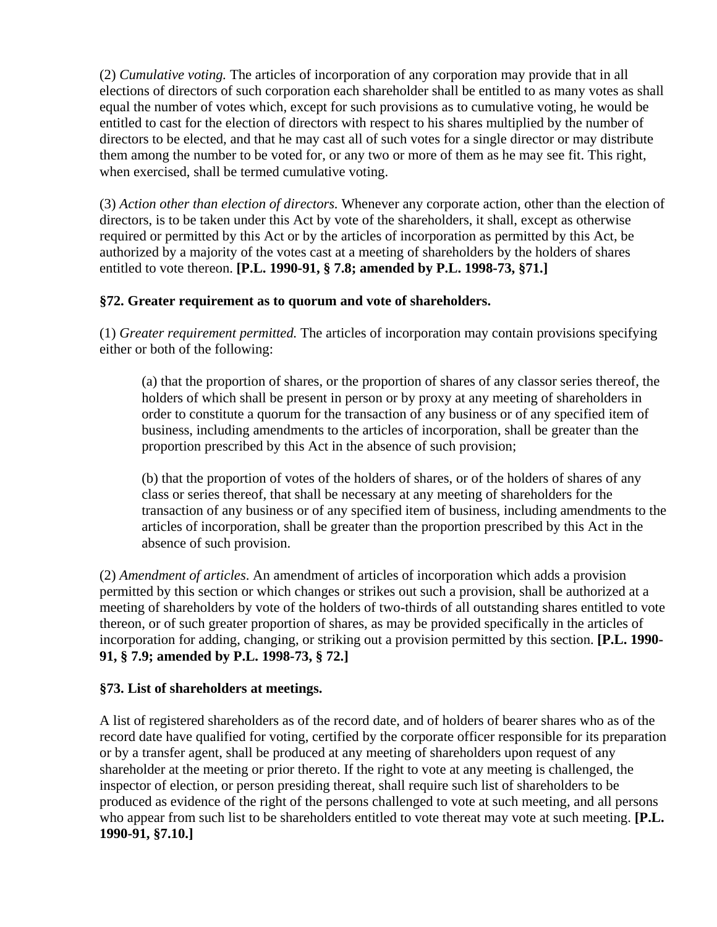(2) *Cumulative voting.* The articles of incorporation of any corporation may provide that in all elections of directors of such corporation each shareholder shall be entitled to as many votes as shall equal the number of votes which, except for such provisions as to cumulative voting, he would be entitled to cast for the election of directors with respect to his shares multiplied by the number of directors to be elected, and that he may cast all of such votes for a single director or may distribute them among the number to be voted for, or any two or more of them as he may see fit. This right, when exercised, shall be termed cumulative voting.

(3) *Action other than election of directors.* Whenever any corporate action, other than the election of directors, is to be taken under this Act by vote of the shareholders, it shall, except as otherwise required or permitted by this Act or by the articles of incorporation as permitted by this Act, be authorized by a majority of the votes cast at a meeting of shareholders by the holders of shares entitled to vote thereon. **[P.L. 1990-91, § 7.8; amended by P.L. 1998-73, §71.]**

## **§72. Greater requirement as to quorum and vote of shareholders.**

(1) *Greater requirement permitted.* The articles of incorporation may contain provisions specifying either or both of the following:

(a) that the proportion of shares, or the proportion of shares of any classor series thereof, the holders of which shall be present in person or by proxy at any meeting of shareholders in order to constitute a quorum for the transaction of any business or of any specified item of business, including amendments to the articles of incorporation, shall be greater than the proportion prescribed by this Act in the absence of such provision;

(b) that the proportion of votes of the holders of shares, or of the holders of shares of any class or series thereof, that shall be necessary at any meeting of shareholders for the transaction of any business or of any specified item of business, including amendments to the articles of incorporation, shall be greater than the proportion prescribed by this Act in the absence of such provision.

(2) *Amendment of articles*. An amendment of articles of incorporation which adds a provision permitted by this section or which changes or strikes out such a provision, shall be authorized at a meeting of shareholders by vote of the holders of two-thirds of all outstanding shares entitled to vote thereon, or of such greater proportion of shares, as may be provided specifically in the articles of incorporation for adding, changing, or striking out a provision permitted by this section. **[P.L. 1990- 91, § 7.9; amended by P.L. 1998-73, § 72.]**

## **§73. List of shareholders at meetings.**

A list of registered shareholders as of the record date, and of holders of bearer shares who as of the record date have qualified for voting, certified by the corporate officer responsible for its preparation or by a transfer agent, shall be produced at any meeting of shareholders upon request of any shareholder at the meeting or prior thereto. If the right to vote at any meeting is challenged, the inspector of election, or person presiding thereat, shall require such list of shareholders to be produced as evidence of the right of the persons challenged to vote at such meeting, and all persons who appear from such list to be shareholders entitled to vote thereat may vote at such meeting. **[P.L. 1990-91, §7.10.]**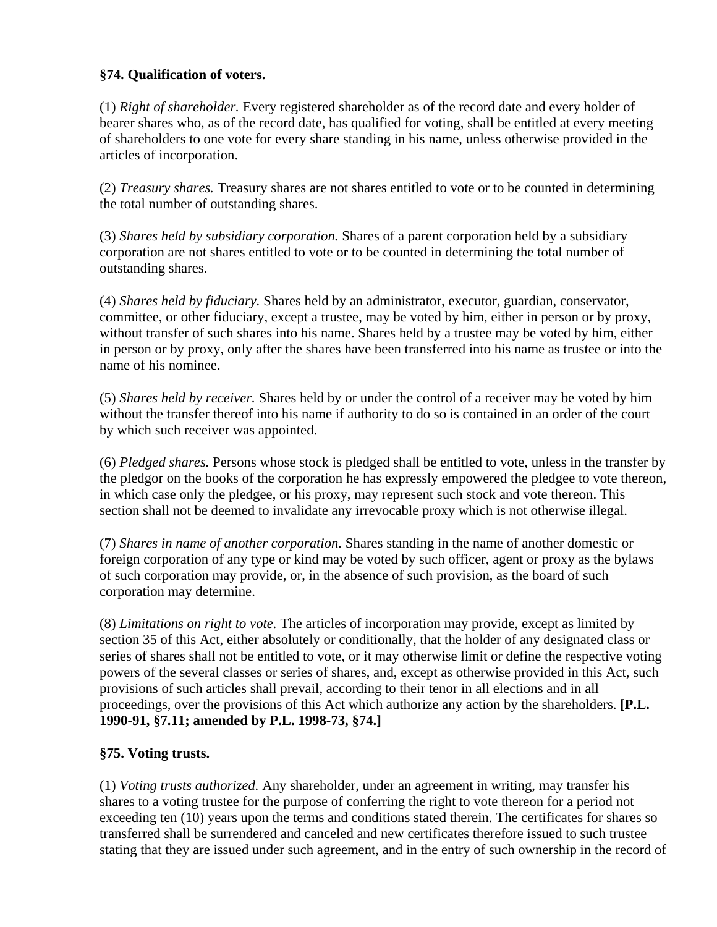# **§74. Qualification of voters.**

(1) *Right of shareholder.* Every registered shareholder as of the record date and every holder of bearer shares who, as of the record date, has qualified for voting, shall be entitled at every meeting of shareholders to one vote for every share standing in his name, unless otherwise provided in the articles of incorporation.

(2) *Treasury shares.* Treasury shares are not shares entitled to vote or to be counted in determining the total number of outstanding shares.

(3) *Shares held by subsidiary corporation.* Shares of a parent corporation held by a subsidiary corporation are not shares entitled to vote or to be counted in determining the total number of outstanding shares.

(4) *Shares held by fiduciary.* Shares held by an administrator, executor, guardian, conservator, committee, or other fiduciary, except a trustee, may be voted by him, either in person or by proxy, without transfer of such shares into his name. Shares held by a trustee may be voted by him, either in person or by proxy, only after the shares have been transferred into his name as trustee or into the name of his nominee.

(5) *Shares held by receiver.* Shares held by or under the control of a receiver may be voted by him without the transfer thereof into his name if authority to do so is contained in an order of the court by which such receiver was appointed.

(6) *Pledged shares.* Persons whose stock is pledged shall be entitled to vote, unless in the transfer by the pledgor on the books of the corporation he has expressly empowered the pledgee to vote thereon, in which case only the pledgee, or his proxy, may represent such stock and vote thereon. This section shall not be deemed to invalidate any irrevocable proxy which is not otherwise illegal.

(7) *Shares in name of another corporation.* Shares standing in the name of another domestic or foreign corporation of any type or kind may be voted by such officer, agent or proxy as the bylaws of such corporation may provide, or, in the absence of such provision, as the board of such corporation may determine.

(8) *Limitations on right to vote.* The articles of incorporation may provide, except as limited by section 35 of this Act, either absolutely or conditionally, that the holder of any designated class or series of shares shall not be entitled to vote, or it may otherwise limit or define the respective voting powers of the several classes or series of shares, and, except as otherwise provided in this Act, such provisions of such articles shall prevail, according to their tenor in all elections and in all proceedings, over the provisions of this Act which authorize any action by the shareholders. **[P.L. 1990-91, §7.11; amended by P.L. 1998-73, §74.]**

# **§75. Voting trusts.**

(1) *Voting trusts authorized.* Any shareholder, under an agreement in writing, may transfer his shares to a voting trustee for the purpose of conferring the right to vote thereon for a period not exceeding ten (10) years upon the terms and conditions stated therein. The certificates for shares so transferred shall be surrendered and canceled and new certificates therefore issued to such trustee stating that they are issued under such agreement, and in the entry of such ownership in the record of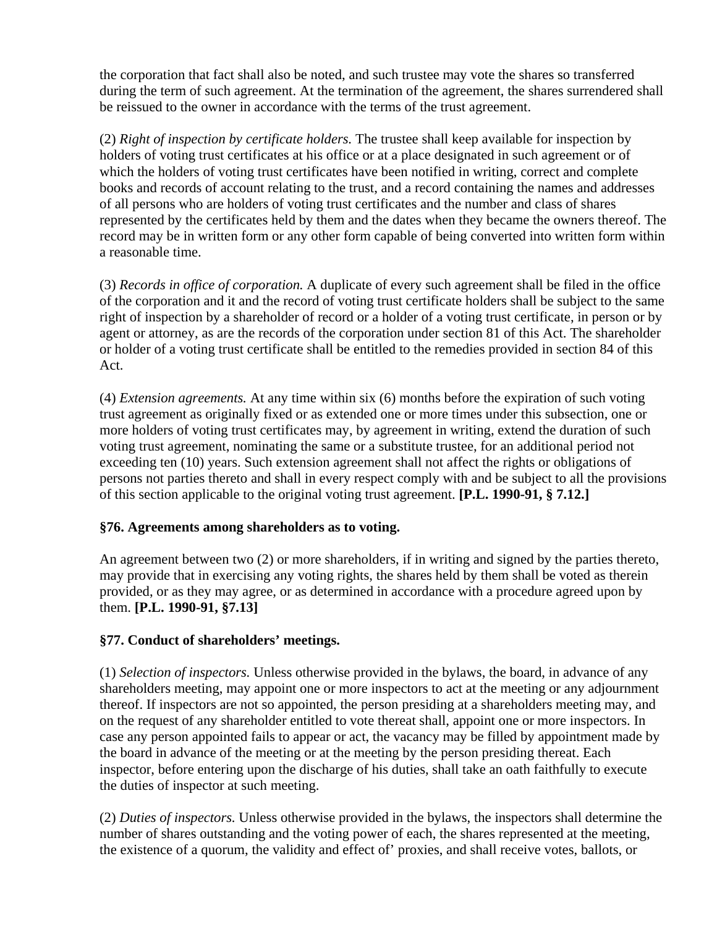the corporation that fact shall also be noted, and such trustee may vote the shares so transferred during the term of such agreement. At the termination of the agreement, the shares surrendered shall be reissued to the owner in accordance with the terms of the trust agreement.

(2) *Right of inspection by certificate holders.* The trustee shall keep available for inspection by holders of voting trust certificates at his office or at a place designated in such agreement or of which the holders of voting trust certificates have been notified in writing, correct and complete books and records of account relating to the trust, and a record containing the names and addresses of all persons who are holders of voting trust certificates and the number and class of shares represented by the certificates held by them and the dates when they became the owners thereof. The record may be in written form or any other form capable of being converted into written form within a reasonable time.

(3) *Records in office of corporation.* A duplicate of every such agreement shall be filed in the office of the corporation and it and the record of voting trust certificate holders shall be subject to the same right of inspection by a shareholder of record or a holder of a voting trust certificate, in person or by agent or attorney, as are the records of the corporation under section 81 of this Act. The shareholder or holder of a voting trust certificate shall be entitled to the remedies provided in section 84 of this Act.

(4) *Extension agreements.* At any time within six (6) months before the expiration of such voting trust agreement as originally fixed or as extended one or more times under this subsection, one or more holders of voting trust certificates may, by agreement in writing, extend the duration of such voting trust agreement, nominating the same or a substitute trustee, for an additional period not exceeding ten (10) years. Such extension agreement shall not affect the rights or obligations of persons not parties thereto and shall in every respect comply with and be subject to all the provisions of this section applicable to the original voting trust agreement. **[P.L. 1990-91, § 7.12.]**

## **§76. Agreements among shareholders as to voting.**

An agreement between two (2) or more shareholders, if in writing and signed by the parties thereto, may provide that in exercising any voting rights, the shares held by them shall be voted as therein provided, or as they may agree, or as determined in accordance with a procedure agreed upon by them. **[P.L. 1990-91, §7.13]**

## **§77. Conduct of shareholders' meetings.**

(1) *Selection of inspectors.* Unless otherwise provided in the bylaws, the board, in advance of any shareholders meeting, may appoint one or more inspectors to act at the meeting or any adjournment thereof. If inspectors are not so appointed, the person presiding at a shareholders meeting may, and on the request of any shareholder entitled to vote thereat shall, appoint one or more inspectors. In case any person appointed fails to appear or act, the vacancy may be filled by appointment made by the board in advance of the meeting or at the meeting by the person presiding thereat. Each inspector, before entering upon the discharge of his duties, shall take an oath faithfully to execute the duties of inspector at such meeting.

(2) *Duties of inspectors.* Unless otherwise provided in the bylaws, the inspectors shall determine the number of shares outstanding and the voting power of each, the shares represented at the meeting, the existence of a quorum, the validity and effect of' proxies, and shall receive votes, ballots, or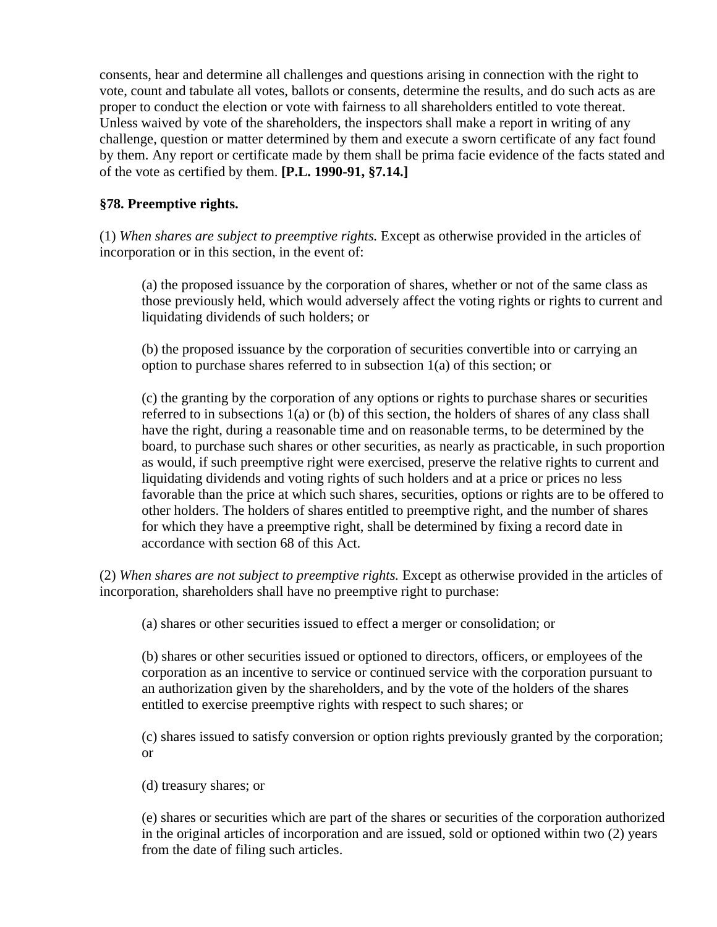consents, hear and determine all challenges and questions arising in connection with the right to vote, count and tabulate all votes, ballots or consents, determine the results, and do such acts as are proper to conduct the election or vote with fairness to all shareholders entitled to vote thereat. Unless waived by vote of the shareholders, the inspectors shall make a report in writing of any challenge, question or matter determined by them and execute a sworn certificate of any fact found by them. Any report or certificate made by them shall be prima facie evidence of the facts stated and of the vote as certified by them. **[P.L. 1990-91, §7.14.]**

### **§78. Preemptive rights.**

(1) *When shares are subject to preemptive rights.* Except as otherwise provided in the articles of incorporation or in this section, in the event of:

(a) the proposed issuance by the corporation of shares, whether or not of the same class as those previously held, which would adversely affect the voting rights or rights to current and liquidating dividends of such holders; or

(b) the proposed issuance by the corporation of securities convertible into or carrying an option to purchase shares referred to in subsection 1(a) of this section; or

(c) the granting by the corporation of any options or rights to purchase shares or securities referred to in subsections 1(a) or (b) of this section, the holders of shares of any class shall have the right, during a reasonable time and on reasonable terms, to be determined by the board, to purchase such shares or other securities, as nearly as practicable, in such proportion as would, if such preemptive right were exercised, preserve the relative rights to current and liquidating dividends and voting rights of such holders and at a price or prices no less favorable than the price at which such shares, securities, options or rights are to be offered to other holders. The holders of shares entitled to preemptive right, and the number of shares for which they have a preemptive right, shall be determined by fixing a record date in accordance with section 68 of this Act.

(2) *When shares are not subject to preemptive rights.* Except as otherwise provided in the articles of incorporation, shareholders shall have no preemptive right to purchase:

(a) shares or other securities issued to effect a merger or consolidation; or

(b) shares or other securities issued or optioned to directors, officers, or employees of the corporation as an incentive to service or continued service with the corporation pursuant to an authorization given by the shareholders, and by the vote of the holders of the shares entitled to exercise preemptive rights with respect to such shares; or

(c) shares issued to satisfy conversion or option rights previously granted by the corporation; or

(d) treasury shares; or

(e) shares or securities which are part of the shares or securities of the corporation authorized in the original articles of incorporation and are issued, sold or optioned within two (2) years from the date of filing such articles.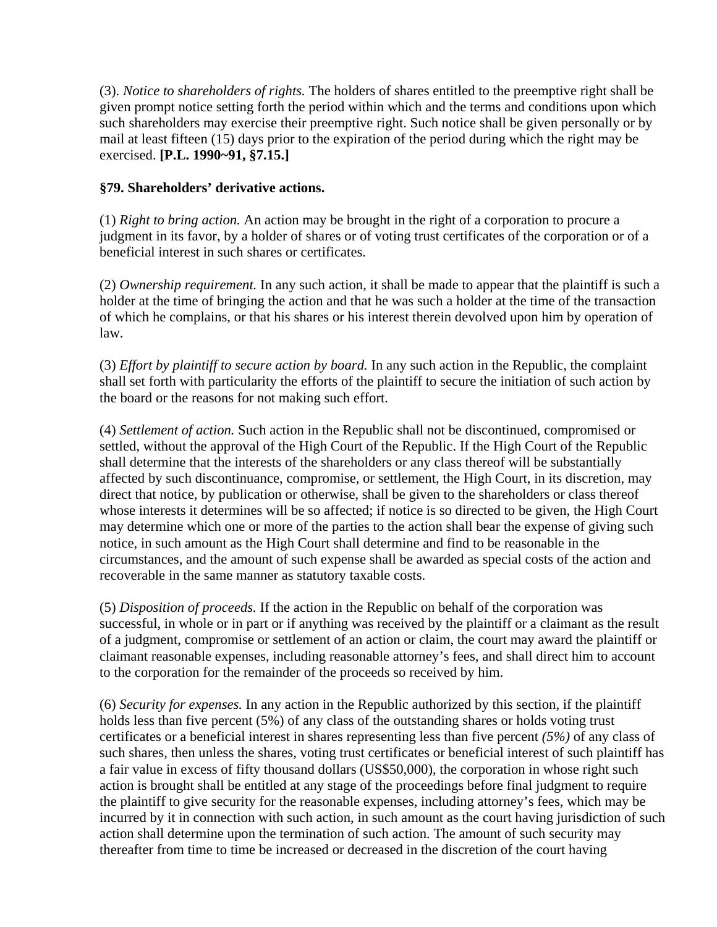(3). *Notice to shareholders of rights.* The holders of shares entitled to the preemptive right shall be given prompt notice setting forth the period within which and the terms and conditions upon which such shareholders may exercise their preemptive right. Such notice shall be given personally or by mail at least fifteen (15) days prior to the expiration of the period during which the right may be exercised. **[P.L. 1990~91, §7.15.]**

## **§79. Shareholders' derivative actions.**

(1) *Right to bring action.* An action may be brought in the right of a corporation to procure a judgment in its favor, by a holder of shares or of voting trust certificates of the corporation or of a beneficial interest in such shares or certificates.

(2) *Ownership requirement.* In any such action, it shall be made to appear that the plaintiff is such a holder at the time of bringing the action and that he was such a holder at the time of the transaction of which he complains, or that his shares or his interest therein devolved upon him by operation of law.

(3) *Effort by plaintiff to secure action by board.* In any such action in the Republic, the complaint shall set forth with particularity the efforts of the plaintiff to secure the initiation of such action by the board or the reasons for not making such effort.

(4) *Settlement of action.* Such action in the Republic shall not be discontinued, compromised or settled, without the approval of the High Court of the Republic. If the High Court of the Republic shall determine that the interests of the shareholders or any class thereof will be substantially affected by such discontinuance, compromise, or settlement, the High Court, in its discretion, may direct that notice, by publication or otherwise, shall be given to the shareholders or class thereof whose interests it determines will be so affected; if notice is so directed to be given, the High Court may determine which one or more of the parties to the action shall bear the expense of giving such notice, in such amount as the High Court shall determine and find to be reasonable in the circumstances, and the amount of such expense shall be awarded as special costs of the action and recoverable in the same manner as statutory taxable costs.

(5) *Disposition of proceeds.* If the action in the Republic on behalf of the corporation was successful, in whole or in part or if anything was received by the plaintiff or a claimant as the result of a judgment, compromise or settlement of an action or claim, the court may award the plaintiff or claimant reasonable expenses, including reasonable attorney's fees, and shall direct him to account to the corporation for the remainder of the proceeds so received by him.

(6) *Security for expenses.* In any action in the Republic authorized by this section, if the plaintiff holds less than five percent (5%) of any class of the outstanding shares or holds voting trust certificates or a beneficial interest in shares representing less than five percent *(5%)* of any class of such shares, then unless the shares, voting trust certificates or beneficial interest of such plaintiff has a fair value in excess of fifty thousand dollars (US\$50,000), the corporation in whose right such action is brought shall be entitled at any stage of the proceedings before final judgment to require the plaintiff to give security for the reasonable expenses, including attorney's fees, which may be incurred by it in connection with such action, in such amount as the court having jurisdiction of such action shall determine upon the termination of such action. The amount of such security may thereafter from time to time be increased or decreased in the discretion of the court having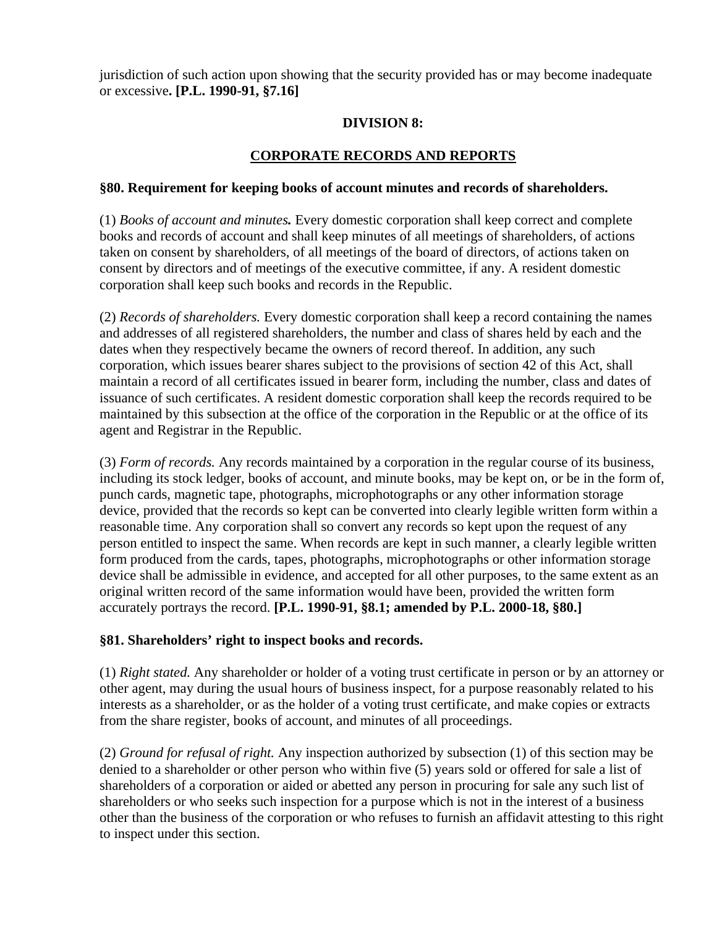jurisdiction of such action upon showing that the security provided has or may become inadequate or excessive**. [P.L. 1990-91, §7.16]**

## **DIVISION 8:**

# **CORPORATE RECORDS AND REPORTS**

### **§80. Requirement for keeping books of account minutes and records of shareholders.**

(1) *Books of account and minutes.* Every domestic corporation shall keep correct and complete books and records of account and shall keep minutes of all meetings of shareholders, of actions taken on consent by shareholders, of all meetings of the board of directors, of actions taken on consent by directors and of meetings of the executive committee, if any. A resident domestic corporation shall keep such books and records in the Republic.

(2) *Records of shareholders.* Every domestic corporation shall keep a record containing the names and addresses of all registered shareholders, the number and class of shares held by each and the dates when they respectively became the owners of record thereof. In addition, any such corporation, which issues bearer shares subject to the provisions of section 42 of this Act, shall maintain a record of all certificates issued in bearer form, including the number, class and dates of issuance of such certificates. A resident domestic corporation shall keep the records required to be maintained by this subsection at the office of the corporation in the Republic or at the office of its agent and Registrar in the Republic.

(3) *Form of records.* Any records maintained by a corporation in the regular course of its business, including its stock ledger, books of account, and minute books, may be kept on, or be in the form of, punch cards, magnetic tape, photographs, microphotographs or any other information storage device, provided that the records so kept can be converted into clearly legible written form within a reasonable time. Any corporation shall so convert any records so kept upon the request of any person entitled to inspect the same. When records are kept in such manner, a clearly legible written form produced from the cards, tapes, photographs, microphotographs or other information storage device shall be admissible in evidence, and accepted for all other purposes, to the same extent as an original written record of the same information would have been, provided the written form accurately portrays the record. **[P.L. 1990-91, §8.1; amended by P.L. 2000-18, §80.]**

## **§81. Shareholders' right to inspect books and records.**

(1) *Right stated.* Any shareholder or holder of a voting trust certificate in person or by an attorney or other agent, may during the usual hours of business inspect, for a purpose reasonably related to his interests as a shareholder, or as the holder of a voting trust certificate, and make copies or extracts from the share register, books of account, and minutes of all proceedings.

(2) *Ground for refusal of right.* Any inspection authorized by subsection (1) of this section may be denied to a shareholder or other person who within five (5) years sold or offered for sale a list of shareholders of a corporation or aided or abetted any person in procuring for sale any such list of shareholders or who seeks such inspection for a purpose which is not in the interest of a business other than the business of the corporation or who refuses to furnish an affidavit attesting to this right to inspect under this section.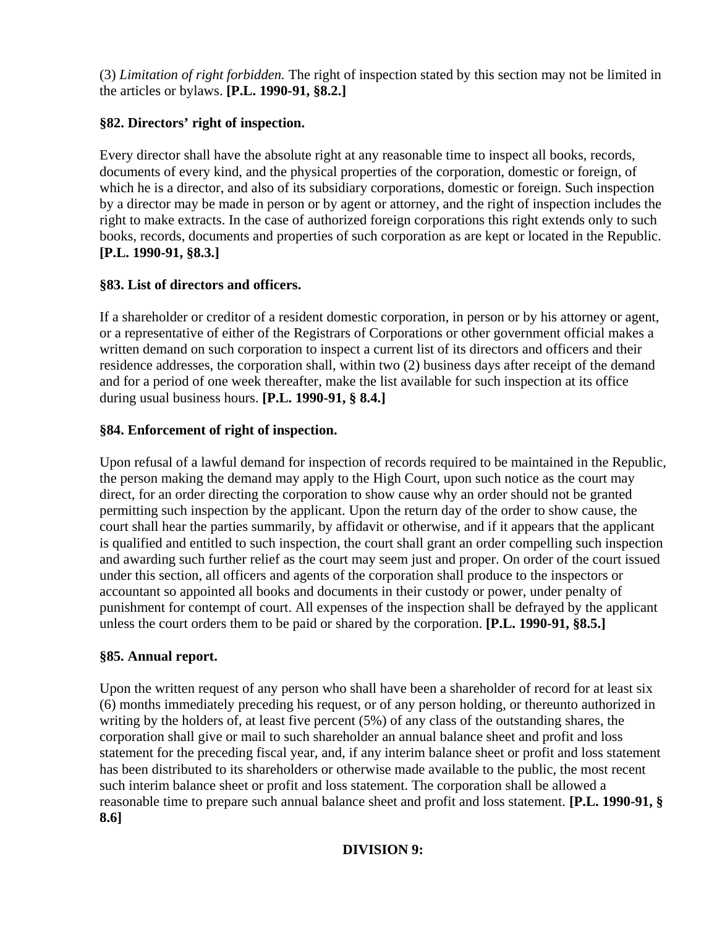(3) *Limitation of right forbidden.* The right of inspection stated by this section may not be limited in the articles or bylaws. **[P.L. 1990-91, §8.2.]**

# **§82. Directors' right of inspection.**

Every director shall have the absolute right at any reasonable time to inspect all books, records, documents of every kind, and the physical properties of the corporation, domestic or foreign, of which he is a director, and also of its subsidiary corporations, domestic or foreign. Such inspection by a director may be made in person or by agent or attorney, and the right of inspection includes the right to make extracts. In the case of authorized foreign corporations this right extends only to such books, records, documents and properties of such corporation as are kept or located in the Republic. **[P.L. 1990-91, §8.3.]**

## **§83. List of directors and officers.**

If a shareholder or creditor of a resident domestic corporation, in person or by his attorney or agent, or a representative of either of the Registrars of Corporations or other government official makes a written demand on such corporation to inspect a current list of its directors and officers and their residence addresses, the corporation shall, within two (2) business days after receipt of the demand and for a period of one week thereafter, make the list available for such inspection at its office during usual business hours. **[P.L. 1990-91, § 8.4.]**

# **§84. Enforcement of right of inspection.**

Upon refusal of a lawful demand for inspection of records required to be maintained in the Republic, the person making the demand may apply to the High Court, upon such notice as the court may direct, for an order directing the corporation to show cause why an order should not be granted permitting such inspection by the applicant. Upon the return day of the order to show cause, the court shall hear the parties summarily, by affidavit or otherwise, and if it appears that the applicant is qualified and entitled to such inspection, the court shall grant an order compelling such inspection and awarding such further relief as the court may seem just and proper. On order of the court issued under this section, all officers and agents of the corporation shall produce to the inspectors or accountant so appointed all books and documents in their custody or power, under penalty of punishment for contempt of court. All expenses of the inspection shall be defrayed by the applicant unless the court orders them to be paid or shared by the corporation. **[P.L. 1990-91, §8.5.]**

## **§85. Annual report.**

Upon the written request of any person who shall have been a shareholder of record for at least six (6) months immediately preceding his request, or of any person holding, or thereunto authorized in writing by the holders of, at least five percent (5%) of any class of the outstanding shares, the corporation shall give or mail to such shareholder an annual balance sheet and profit and loss statement for the preceding fiscal year, and, if any interim balance sheet or profit and loss statement has been distributed to its shareholders or otherwise made available to the public, the most recent such interim balance sheet or profit and loss statement. The corporation shall be allowed a reasonable time to prepare such annual balance sheet and profit and loss statement. **[P.L. 1990-91, § 8.6]**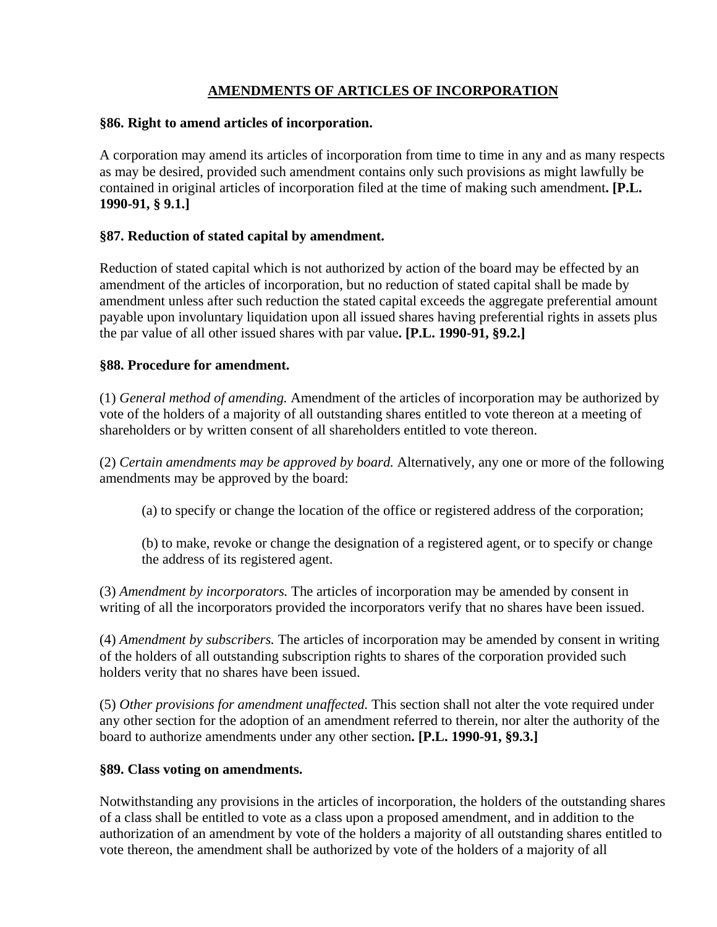# **AMENDMENTS OF ARTICLES OF INCORPORATION**

### **§86. Right to amend articles of incorporation.**

A corporation may amend its articles of incorporation from time to time in any and as many respects as may be desired, provided such amendment contains only such provisions as might lawfully be contained in original articles of incorporation filed at the time of making such amendment**. [P.L. 1990-91, § 9.1.]**

## **§87. Reduction of stated capital by amendment.**

Reduction of stated capital which is not authorized by action of the board may be effected by an amendment of the articles of incorporation, but no reduction of stated capital shall be made by amendment unless after such reduction the stated capital exceeds the aggregate preferential amount payable upon involuntary liquidation upon all issued shares having preferential rights in assets plus the par value of all other issued shares with par value**. [P.L. 1990-91, §9.2.]**

## **§88. Procedure for amendment.**

(1) *General method of amending.* Amendment of the articles of incorporation may be authorized by vote of the holders of a majority of all outstanding shares entitled to vote thereon at a meeting of shareholders or by written consent of all shareholders entitled to vote thereon.

(2) *Certain amendments may be approved by board.* Alternatively, any one or more of the following amendments may be approved by the board:

- (a) to specify or change the location of the office or registered address of the corporation;
- (b) to make, revoke or change the designation of a registered agent, or to specify or change the address of its registered agent.

(3) *Amendment by incorporators.* The articles of incorporation may be amended by consent in writing of all the incorporators provided the incorporators verify that no shares have been issued.

(4) *Amendment by subscribers.* The articles of incorporation may be amended by consent in writing of the holders of all outstanding subscription rights to shares of the corporation provided such holders verity that no shares have been issued.

(5) *Other provisions for amendment unaffected.* This section shall not alter the vote required under any other section for the adoption of an amendment referred to therein, nor alter the authority of the board to authorize amendments under any other section**. [P.L. 1990-91, §9.3.]**

## **§89. Class voting on amendments.**

Notwithstanding any provisions in the articles of incorporation, the holders of the outstanding shares of a class shall be entitled to vote as a class upon a proposed amendment, and in addition to the authorization of an amendment by vote of the holders a majority of all outstanding shares entitled to vote thereon, the amendment shall be authorized by vote of the holders of a majority of all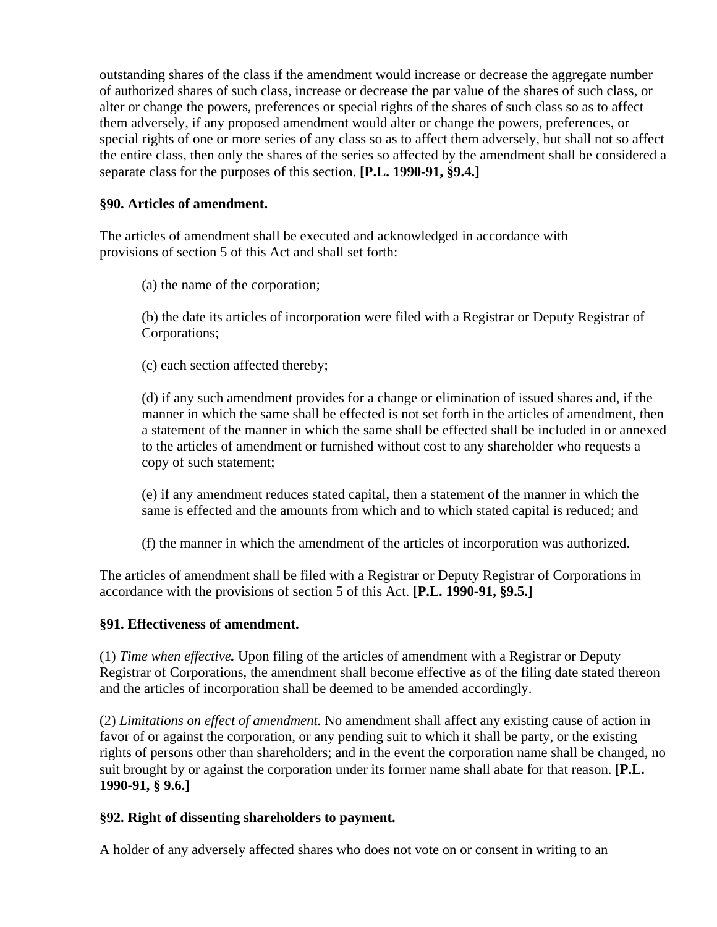outstanding shares of the class if the amendment would increase or decrease the aggregate number of authorized shares of such class, increase or decrease the par value of the shares of such class, or alter or change the powers, preferences or special rights of the shares of such class so as to affect them adversely, if any proposed amendment would alter or change the powers, preferences, or special rights of one or more series of any class so as to affect them adversely, but shall not so affect the entire class, then only the shares of the series so affected by the amendment shall be considered a separate class for the purposes of this section. **[P.L. 1990-91, §9.4.]**

## **§90. Articles of amendment.**

The articles of amendment shall be executed and acknowledged in accordance with provisions of section 5 of this Act and shall set forth:

(a) the name of the corporation;

(b) the date its articles of incorporation were filed with a Registrar or Deputy Registrar of Corporations;

(c) each section affected thereby;

(d) if any such amendment provides for a change or elimination of issued shares and, if the manner in which the same shall be effected is not set forth in the articles of amendment, then a statement of the manner in which the same shall be effected shall be included in or annexed to the articles of amendment or furnished without cost to any shareholder who requests a copy of such statement;

(e) if any amendment reduces stated capital, then a statement of the manner in which the same is effected and the amounts from which and to which stated capital is reduced; and

(f) the manner in which the amendment of the articles of incorporation was authorized.

The articles of amendment shall be filed with a Registrar or Deputy Registrar of Corporations in accordance with the provisions of section 5 of this Act. **[P.L. 1990-91, §9.5.]**

## **§91. Effectiveness of amendment.**

(1) *Time when effective.* Upon filing of the articles of amendment with a Registrar or Deputy Registrar of Corporations, the amendment shall become effective as of the filing date stated thereon and the articles of incorporation shall be deemed to be amended accordingly.

(2) *Limitations on effect of amendment.* No amendment shall affect any existing cause of action in favor of or against the corporation, or any pending suit to which it shall be party, or the existing rights of persons other than shareholders; and in the event the corporation name shall be changed, no suit brought by or against the corporation under its former name shall abate for that reason. **[P.L. 1990-91, § 9.6.]** 

## **§92. Right of dissenting shareholders to payment.**

A holder of any adversely affected shares who does not vote on or consent in writing to an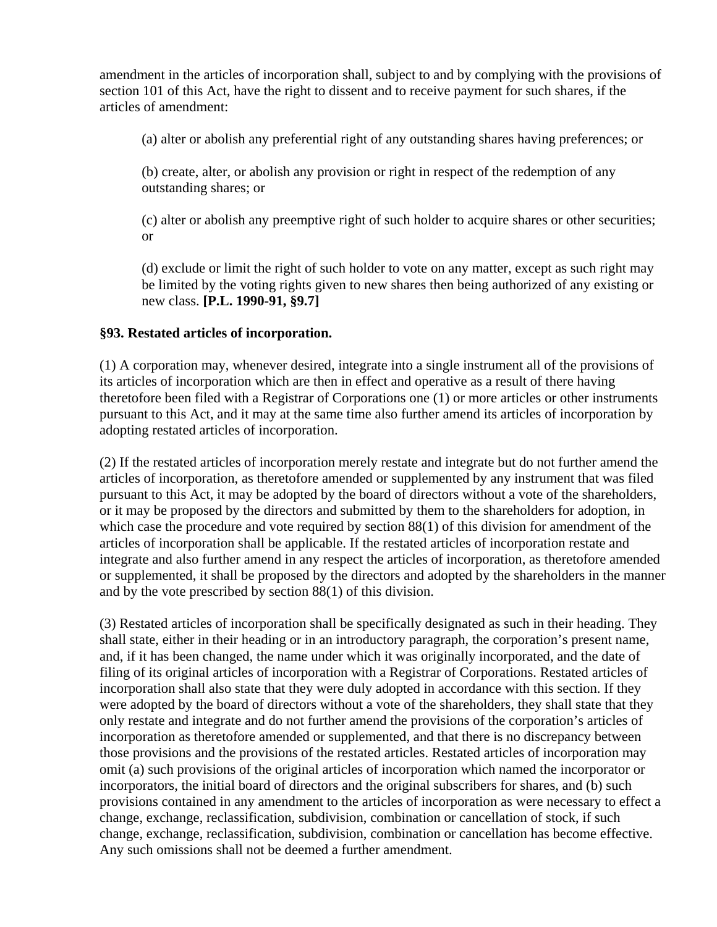amendment in the articles of incorporation shall, subject to and by complying with the provisions of section 101 of this Act, have the right to dissent and to receive payment for such shares, if the articles of amendment:

(a) alter or abolish any preferential right of any outstanding shares having preferences; or

(b) create, alter, or abolish any provision or right in respect of the redemption of any outstanding shares; or

(c) alter or abolish any preemptive right of such holder to acquire shares or other securities; or

(d) exclude or limit the right of such holder to vote on any matter, except as such right may be limited by the voting rights given to new shares then being authorized of any existing or new class. **[P.L. 1990-91, §9.7]** 

## **§93. Restated articles of incorporation.**

(1) A corporation may, whenever desired, integrate into a single instrument all of the provisions of its articles of incorporation which are then in effect and operative as a result of there having theretofore been filed with a Registrar of Corporations one (1) or more articles or other instruments pursuant to this Act, and it may at the same time also further amend its articles of incorporation by adopting restated articles of incorporation.

(2) If the restated articles of incorporation merely restate and integrate but do not further amend the articles of incorporation, as theretofore amended or supplemented by any instrument that was filed pursuant to this Act, it may be adopted by the board of directors without a vote of the shareholders, or it may be proposed by the directors and submitted by them to the shareholders for adoption, in which case the procedure and vote required by section 88(1) of this division for amendment of the articles of incorporation shall be applicable. If the restated articles of incorporation restate and integrate and also further amend in any respect the articles of incorporation, as theretofore amended or supplemented, it shall be proposed by the directors and adopted by the shareholders in the manner and by the vote prescribed by section 88(1) of this division.

(3) Restated articles of incorporation shall be specifically designated as such in their heading. They shall state, either in their heading or in an introductory paragraph, the corporation's present name, and, if it has been changed, the name under which it was originally incorporated, and the date of filing of its original articles of incorporation with a Registrar of Corporations. Restated articles of incorporation shall also state that they were duly adopted in accordance with this section. If they were adopted by the board of directors without a vote of the shareholders, they shall state that they only restate and integrate and do not further amend the provisions of the corporation's articles of incorporation as theretofore amended or supplemented, and that there is no discrepancy between those provisions and the provisions of the restated articles. Restated articles of incorporation may omit (a) such provisions of the original articles of incorporation which named the incorporator or incorporators, the initial board of directors and the original subscribers for shares, and (b) such provisions contained in any amendment to the articles of incorporation as were necessary to effect a change, exchange, reclassification, subdivision, combination or cancellation of stock, if such change, exchange, reclassification, subdivision, combination or cancellation has become effective. Any such omissions shall not be deemed a further amendment.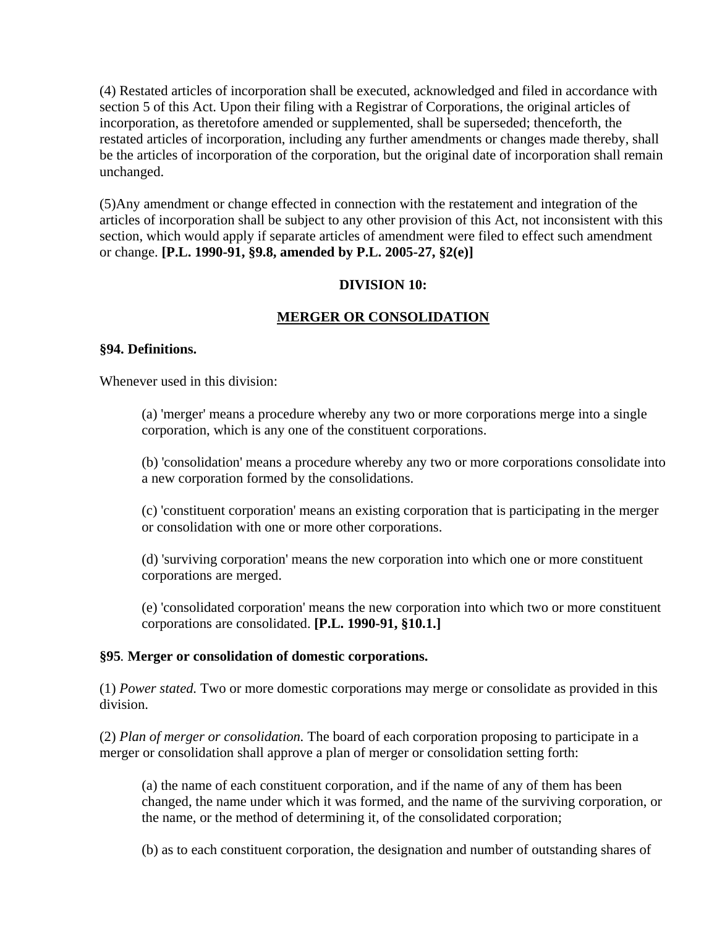(4) Restated articles of incorporation shall be executed, acknowledged and filed in accordance with section 5 of this Act. Upon their filing with a Registrar of Corporations, the original articles of incorporation, as theretofore amended or supplemented, shall be superseded; thenceforth, the restated articles of incorporation, including any further amendments or changes made thereby, shall be the articles of incorporation of the corporation, but the original date of incorporation shall remain unchanged.

(5)Any amendment or change effected in connection with the restatement and integration of the articles of incorporation shall be subject to any other provision of this Act, not inconsistent with this section, which would apply if separate articles of amendment were filed to effect such amendment or change. **[P.L. 1990-91, §9.8, amended by P.L. 2005-27, §2(e)]**

### **DIVISION 10:**

## **MERGER OR CONSOLIDATION**

#### **§94. Definitions.**

Whenever used in this division:

(a) 'merger' means a procedure whereby any two or more corporations merge into a single corporation, which is any one of the constituent corporations.

(b) 'consolidation' means a procedure whereby any two or more corporations consolidate into a new corporation formed by the consolidations.

(c) 'constituent corporation' means an existing corporation that is participating in the merger or consolidation with one or more other corporations.

(d) 'surviving corporation' means the new corporation into which one or more constituent corporations are merged.

(e) 'consolidated corporation' means the new corporation into which two or more constituent corporations are consolidated. **[P.L. 1990-91, §10.1.]**

#### **§95***.* **Merger or consolidation of domestic corporations.**

(1) *Power stated.* Two or more domestic corporations may merge or consolidate as provided in this division.

(2) *Plan of merger or consolidation.* The board of each corporation proposing to participate in a merger or consolidation shall approve a plan of merger or consolidation setting forth:

(a) the name of each constituent corporation, and if the name of any of them has been changed, the name under which it was formed, and the name of the surviving corporation, or the name, or the method of determining it, of the consolidated corporation;

(b) as to each constituent corporation, the designation and number of outstanding shares of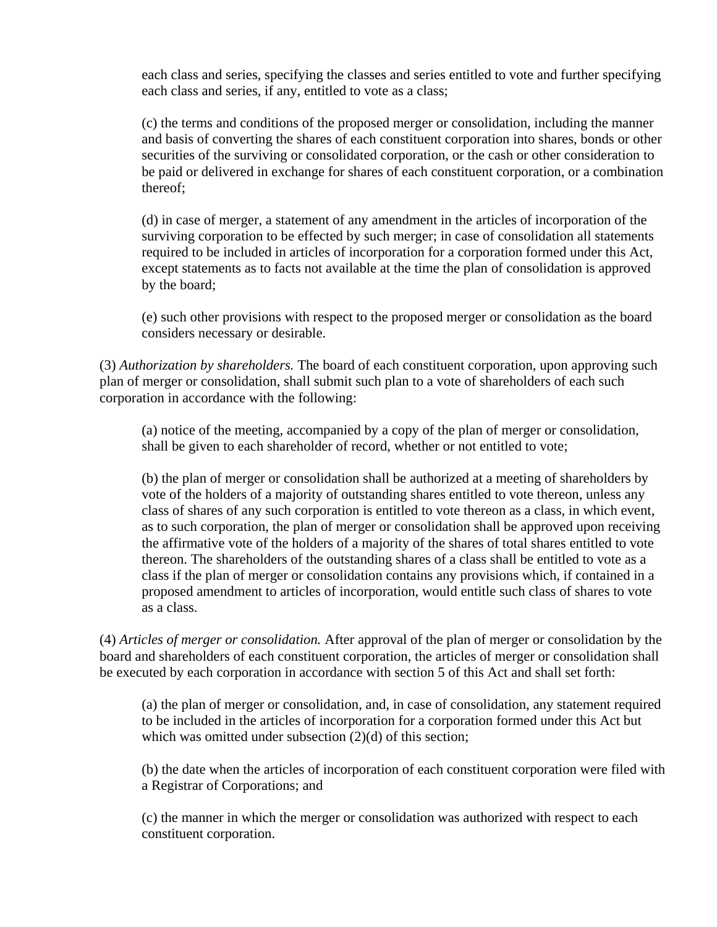each class and series, specifying the classes and series entitled to vote and further specifying each class and series, if any, entitled to vote as a class;

(c) the terms and conditions of the proposed merger or consolidation, including the manner and basis of converting the shares of each constituent corporation into shares, bonds or other securities of the surviving or consolidated corporation, or the cash or other consideration to be paid or delivered in exchange for shares of each constituent corporation, or a combination thereof;

(d) in case of merger, a statement of any amendment in the articles of incorporation of the surviving corporation to be effected by such merger; in case of consolidation all statements required to be included in articles of incorporation for a corporation formed under this Act, except statements as to facts not available at the time the plan of consolidation is approved by the board;

(e) such other provisions with respect to the proposed merger or consolidation as the board considers necessary or desirable.

(3) *Authorization by shareholders.* The board of each constituent corporation, upon approving such plan of merger or consolidation, shall submit such plan to a vote of shareholders of each such corporation in accordance with the following:

(a) notice of the meeting, accompanied by a copy of the plan of merger or consolidation, shall be given to each shareholder of record, whether or not entitled to vote;

(b) the plan of merger or consolidation shall be authorized at a meeting of shareholders by vote of the holders of a majority of outstanding shares entitled to vote thereon, unless any class of shares of any such corporation is entitled to vote thereon as a class, in which event, as to such corporation, the plan of merger or consolidation shall be approved upon receiving the affirmative vote of the holders of a majority of the shares of total shares entitled to vote thereon. The shareholders of the outstanding shares of a class shall be entitled to vote as a class if the plan of merger or consolidation contains any provisions which, if contained in a proposed amendment to articles of incorporation, would entitle such class of shares to vote as a class.

(4) *Articles of merger or consolidation.* After approval of the plan of merger or consolidation by the board and shareholders of each constituent corporation, the articles of merger or consolidation shall be executed by each corporation in accordance with section 5 of this Act and shall set forth:

(a) the plan of merger or consolidation, and, in case of consolidation, any statement required to be included in the articles of incorporation for a corporation formed under this Act but which was omitted under subsection (2)(d) of this section;

(b) the date when the articles of incorporation of each constituent corporation were filed with a Registrar of Corporations; and

(c) the manner in which the merger or consolidation was authorized with respect to each constituent corporation.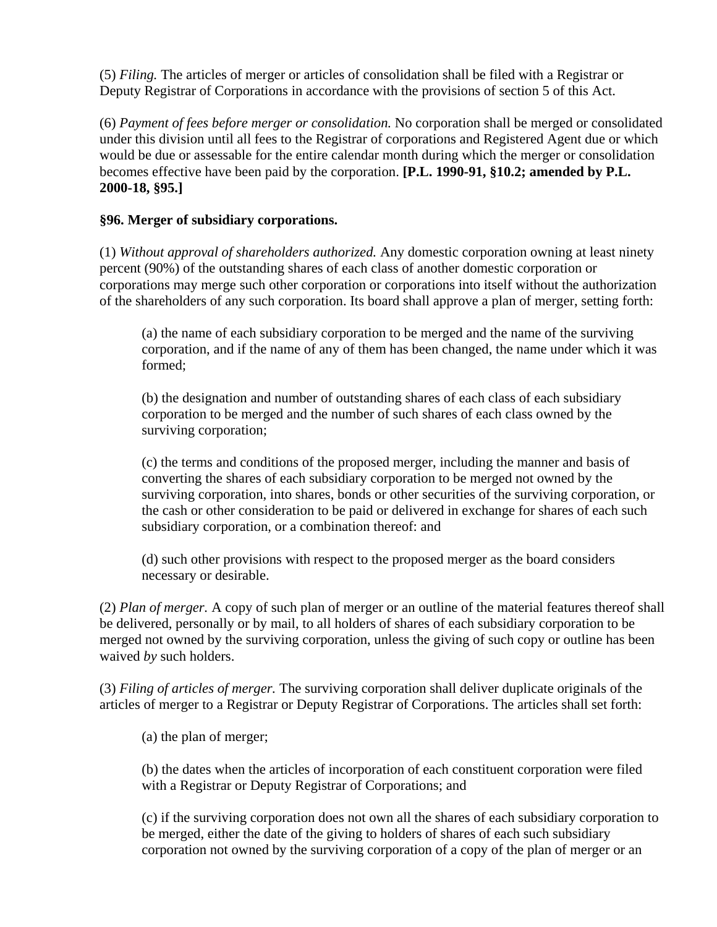(5) *Filing.* The articles of merger or articles of consolidation shall be filed with a Registrar or Deputy Registrar of Corporations in accordance with the provisions of section 5 of this Act.

(6) *Payment of fees before merger or consolidation.* No corporation shall be merged or consolidated under this division until all fees to the Registrar of corporations and Registered Agent due or which would be due or assessable for the entire calendar month during which the merger or consolidation becomes effective have been paid by the corporation. **[P.L. 1990-91, §10.2; amended by P.L. 2000-18, §95.]**

## **§96. Merger of subsidiary corporations.**

(1) *Without approval of shareholders authorized.* Any domestic corporation owning at least ninety percent (90%) of the outstanding shares of each class of another domestic corporation or corporations may merge such other corporation or corporations into itself without the authorization of the shareholders of any such corporation. Its board shall approve a plan of merger, setting forth:

(a) the name of each subsidiary corporation to be merged and the name of the surviving corporation, and if the name of any of them has been changed, the name under which it was formed;

(b) the designation and number of outstanding shares of each class of each subsidiary corporation to be merged and the number of such shares of each class owned by the surviving corporation;

(c) the terms and conditions of the proposed merger, including the manner and basis of converting the shares of each subsidiary corporation to be merged not owned by the surviving corporation, into shares, bonds or other securities of the surviving corporation, or the cash or other consideration to be paid or delivered in exchange for shares of each such subsidiary corporation, or a combination thereof: and

(d) such other provisions with respect to the proposed merger as the board considers necessary or desirable.

(2) *Plan of merger.* A copy of such plan of merger or an outline of the material features thereof shall be delivered, personally or by mail, to all holders of shares of each subsidiary corporation to be merged not owned by the surviving corporation, unless the giving of such copy or outline has been waived *by* such holders.

(3) *Filing of articles of merger.* The surviving corporation shall deliver duplicate originals of the articles of merger to a Registrar or Deputy Registrar of Corporations. The articles shall set forth:

(a) the plan of merger;

(b) the dates when the articles of incorporation of each constituent corporation were filed with a Registrar or Deputy Registrar of Corporations; and

(c) if the surviving corporation does not own all the shares of each subsidiary corporation to be merged, either the date of the giving to holders of shares of each such subsidiary corporation not owned by the surviving corporation of a copy of the plan of merger or an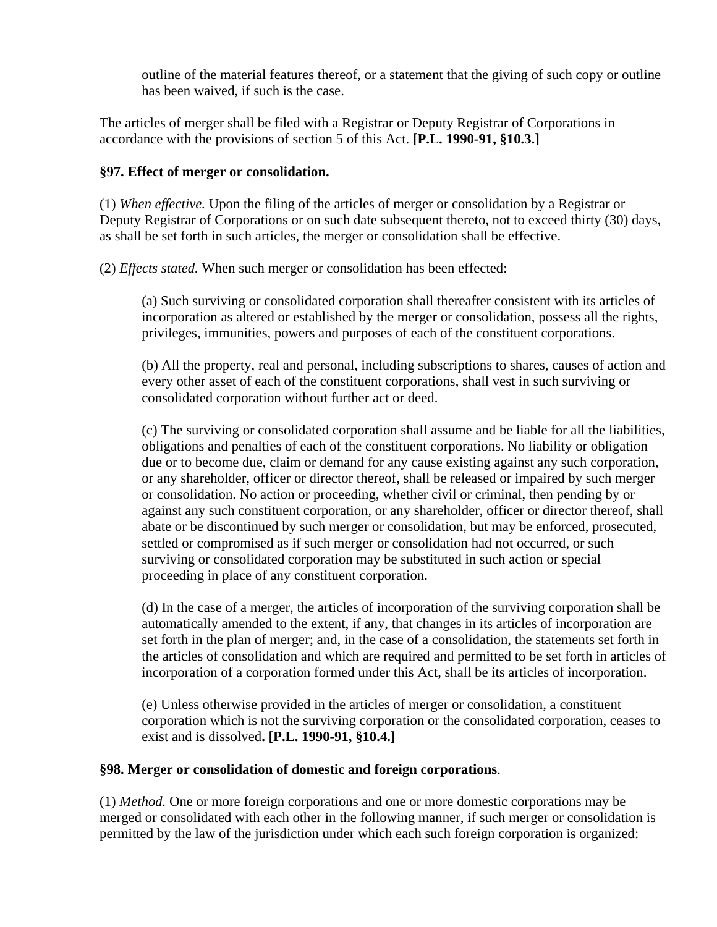outline of the material features thereof, or a statement that the giving of such copy or outline has been waived, if such is the case.

The articles of merger shall be filed with a Registrar or Deputy Registrar of Corporations in accordance with the provisions of section 5 of this Act. **[P.L. 1990-91, §10.3.]**

## **§97. Effect of merger or consolidation.**

(1) *When effective.* Upon the filing of the articles of merger or consolidation by a Registrar or Deputy Registrar of Corporations or on such date subsequent thereto, not to exceed thirty (30) days, as shall be set forth in such articles, the merger or consolidation shall be effective.

(2) *Effects stated.* When such merger or consolidation has been effected:

(a) Such surviving or consolidated corporation shall thereafter consistent with its articles of incorporation as altered or established by the merger or consolidation, possess all the rights, privileges, immunities, powers and purposes of each of the constituent corporations.

(b) All the property, real and personal, including subscriptions to shares, causes of action and every other asset of each of the constituent corporations, shall vest in such surviving or consolidated corporation without further act or deed.

(c) The surviving or consolidated corporation shall assume and be liable for all the liabilities, obligations and penalties of each of the constituent corporations. No liability or obligation due or to become due, claim or demand for any cause existing against any such corporation, or any shareholder, officer or director thereof, shall be released or impaired by such merger or consolidation. No action or proceeding, whether civil or criminal, then pending by or against any such constituent corporation, or any shareholder, officer or director thereof, shall abate or be discontinued by such merger or consolidation, but may be enforced, prosecuted, settled or compromised as if such merger or consolidation had not occurred, or such surviving or consolidated corporation may be substituted in such action or special proceeding in place of any constituent corporation.

(d) In the case of a merger, the articles of incorporation of the surviving corporation shall be automatically amended to the extent, if any, that changes in its articles of incorporation are set forth in the plan of merger; and, in the case of a consolidation, the statements set forth in the articles of consolidation and which are required and permitted to be set forth in articles of incorporation of a corporation formed under this Act, shall be its articles of incorporation.

(e) Unless otherwise provided in the articles of merger or consolidation, a constituent corporation which is not the surviving corporation or the consolidated corporation, ceases to exist and is dissolved**. [P.L. 1990-91, §10.4.]**

### **§98. Merger or consolidation of domestic and foreign corporations**.

(1) *Method.* One or more foreign corporations and one or more domestic corporations may be merged or consolidated with each other in the following manner, if such merger or consolidation is permitted by the law of the jurisdiction under which each such foreign corporation is organized: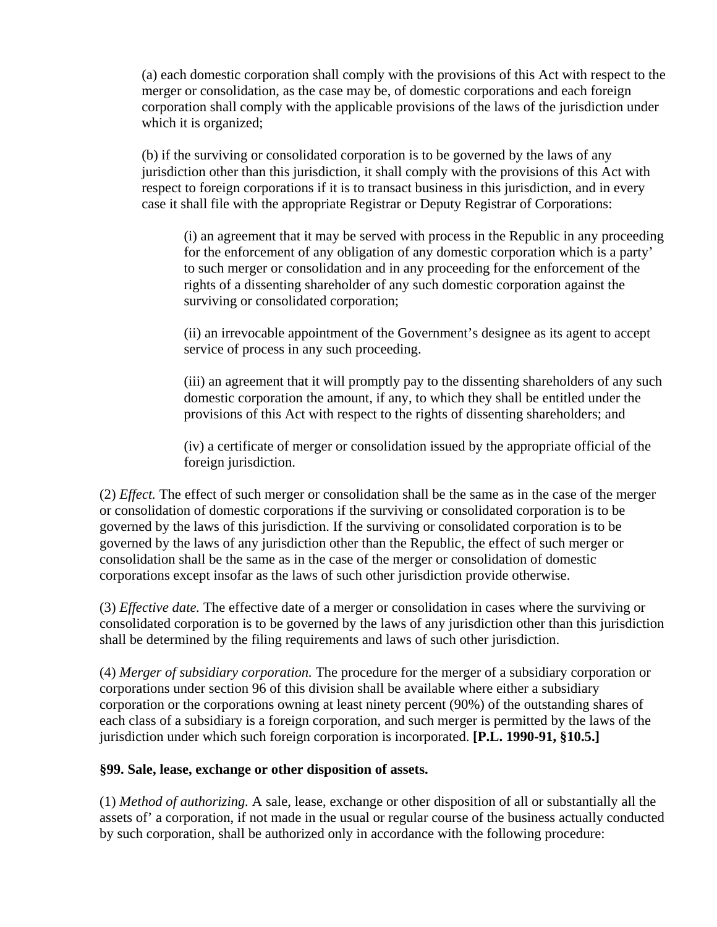(a) each domestic corporation shall comply with the provisions of this Act with respect to the merger or consolidation, as the case may be, of domestic corporations and each foreign corporation shall comply with the applicable provisions of the laws of the jurisdiction under which it is organized;

(b) if the surviving or consolidated corporation is to be governed by the laws of any jurisdiction other than this jurisdiction, it shall comply with the provisions of this Act with respect to foreign corporations if it is to transact business in this jurisdiction, and in every case it shall file with the appropriate Registrar or Deputy Registrar of Corporations:

(i) an agreement that it may be served with process in the Republic in any proceeding for the enforcement of any obligation of any domestic corporation which is a party' to such merger or consolidation and in any proceeding for the enforcement of the rights of a dissenting shareholder of any such domestic corporation against the surviving or consolidated corporation;

(ii) an irrevocable appointment of the Government's designee as its agent to accept service of process in any such proceeding.

(iii) an agreement that it will promptly pay to the dissenting shareholders of any such domestic corporation the amount, if any, to which they shall be entitled under the provisions of this Act with respect to the rights of dissenting shareholders; and

(iv) a certificate of merger or consolidation issued by the appropriate official of the foreign jurisdiction.

(2) *Effect.* The effect of such merger or consolidation shall be the same as in the case of the merger or consolidation of domestic corporations if the surviving or consolidated corporation is to be governed by the laws of this jurisdiction. If the surviving or consolidated corporation is to be governed by the laws of any jurisdiction other than the Republic, the effect of such merger or consolidation shall be the same as in the case of the merger or consolidation of domestic corporations except insofar as the laws of such other jurisdiction provide otherwise.

(3) *Effective date.* The effective date of a merger or consolidation in cases where the surviving or consolidated corporation is to be governed by the laws of any jurisdiction other than this jurisdiction shall be determined by the filing requirements and laws of such other jurisdiction.

(4) *Merger of subsidiary corporation.* The procedure for the merger of a subsidiary corporation or corporations under section 96 of this division shall be available where either a subsidiary corporation or the corporations owning at least ninety percent (90%) of the outstanding shares of each class of a subsidiary is a foreign corporation, and such merger is permitted by the laws of the jurisdiction under which such foreign corporation is incorporated. **[P.L. 1990-91, §10.5.]**

### **§99. Sale, lease, exchange or other disposition of assets.**

(1) *Method of authorizing.* A sale, lease, exchange or other disposition of all or substantially all the assets of' a corporation, if not made in the usual or regular course of the business actually conducted by such corporation, shall be authorized only in accordance with the following procedure: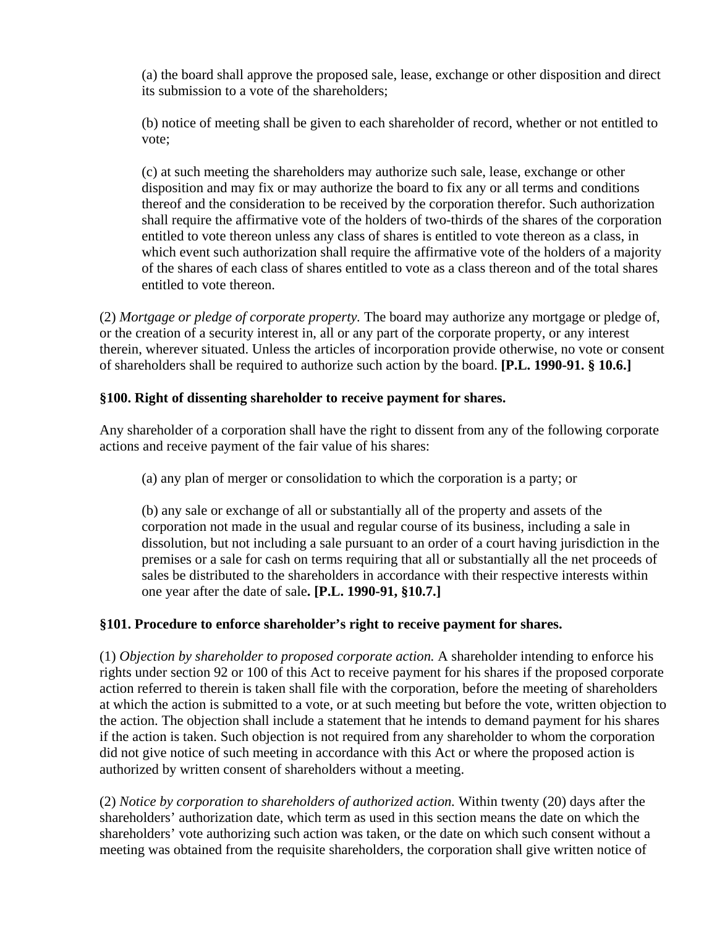(a) the board shall approve the proposed sale, lease, exchange or other disposition and direct its submission to a vote of the shareholders;

(b) notice of meeting shall be given to each shareholder of record, whether or not entitled to vote;

(c) at such meeting the shareholders may authorize such sale, lease, exchange or other disposition and may fix or may authorize the board to fix any or all terms and conditions thereof and the consideration to be received by the corporation therefor. Such authorization shall require the affirmative vote of the holders of two-thirds of the shares of the corporation entitled to vote thereon unless any class of shares is entitled to vote thereon as a class, in which event such authorization shall require the affirmative vote of the holders of a majority of the shares of each class of shares entitled to vote as a class thereon and of the total shares entitled to vote thereon.

(2) *Mortgage or pledge of corporate property.* The board may authorize any mortgage or pledge of, or the creation of a security interest in, all or any part of the corporate property, or any interest therein, wherever situated. Unless the articles of incorporation provide otherwise, no vote or consent of shareholders shall be required to authorize such action by the board. **[P.L. 1990-91. § 10.6.]**

## **§100. Right of dissenting shareholder to receive payment for shares.**

Any shareholder of a corporation shall have the right to dissent from any of the following corporate actions and receive payment of the fair value of his shares:

(a) any plan of merger or consolidation to which the corporation is a party; or

(b) any sale or exchange of all or substantially all of the property and assets of the corporation not made in the usual and regular course of its business, including a sale in dissolution, but not including a sale pursuant to an order of a court having jurisdiction in the premises or a sale for cash on terms requiring that all or substantially all the net proceeds of sales be distributed to the shareholders in accordance with their respective interests within one year after the date of sale**. [P.L. 1990-91, §10.7.]**

## **§101. Procedure to enforce shareholder's right to receive payment for shares.**

(1) *Objection by shareholder to proposed corporate action.* A shareholder intending to enforce his rights under section 92 or 100 of this Act to receive payment for his shares if the proposed corporate action referred to therein is taken shall file with the corporation, before the meeting of shareholders at which the action is submitted to a vote, or at such meeting but before the vote, written objection to the action. The objection shall include a statement that he intends to demand payment for his shares if the action is taken. Such objection is not required from any shareholder to whom the corporation did not give notice of such meeting in accordance with this Act or where the proposed action is authorized by written consent of shareholders without a meeting.

(2) *Notice by corporation to shareholders of authorized action.* Within twenty (20) days after the shareholders' authorization date, which term as used in this section means the date on which the shareholders' vote authorizing such action was taken, or the date on which such consent without a meeting was obtained from the requisite shareholders, the corporation shall give written notice of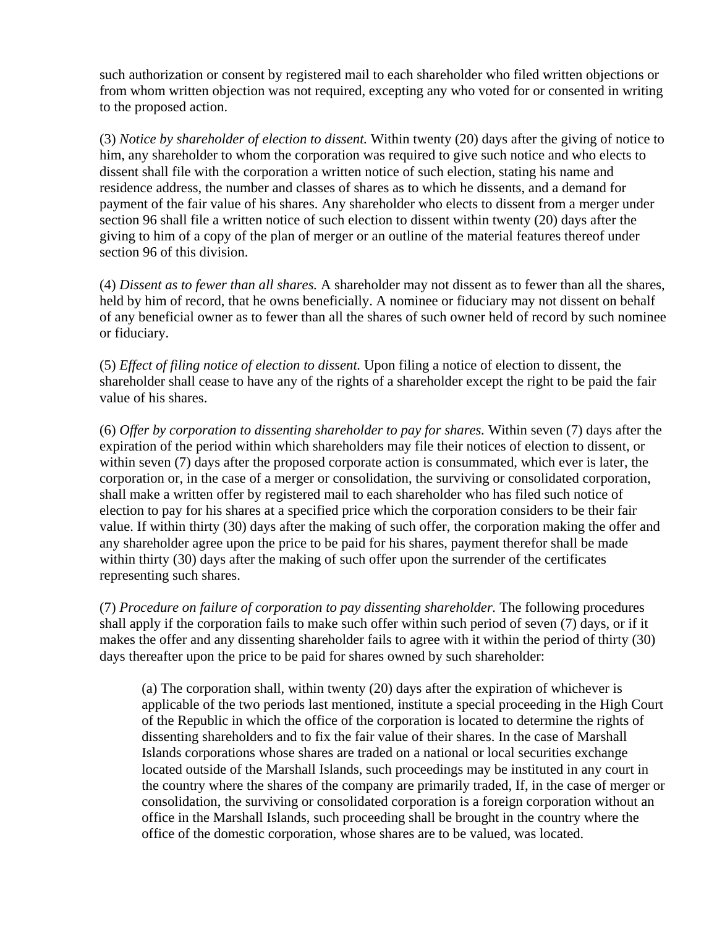such authorization or consent by registered mail to each shareholder who filed written objections or from whom written objection was not required, excepting any who voted for or consented in writing to the proposed action.

(3) *Notice by shareholder of election to dissent.* Within twenty (20) days after the giving of notice to him, any shareholder to whom the corporation was required to give such notice and who elects to dissent shall file with the corporation a written notice of such election, stating his name and residence address, the number and classes of shares as to which he dissents, and a demand for payment of the fair value of his shares. Any shareholder who elects to dissent from a merger under section 96 shall file a written notice of such election to dissent within twenty (20) days after the giving to him of a copy of the plan of merger or an outline of the material features thereof under section 96 of this division.

(4) *Dissent as to fewer than all shares.* A shareholder may not dissent as to fewer than all the shares, held by him of record, that he owns beneficially. A nominee or fiduciary may not dissent on behalf of any beneficial owner as to fewer than all the shares of such owner held of record by such nominee or fiduciary.

(5) *Effect of filing notice of election to dissent.* Upon filing a notice of election to dissent, the shareholder shall cease to have any of the rights of a shareholder except the right to be paid the fair value of his shares.

(6) *Offer by corporation to dissenting shareholder to pay for shares.* Within seven (7) days after the expiration of the period within which shareholders may file their notices of election to dissent, or within seven (7) days after the proposed corporate action is consummated, which ever is later, the corporation or, in the case of a merger or consolidation, the surviving or consolidated corporation, shall make a written offer by registered mail to each shareholder who has filed such notice of election to pay for his shares at a specified price which the corporation considers to be their fair value. If within thirty (30) days after the making of such offer, the corporation making the offer and any shareholder agree upon the price to be paid for his shares, payment therefor shall be made within thirty (30) days after the making of such offer upon the surrender of the certificates representing such shares.

(7) *Procedure on failure of corporation to pay dissenting shareholder.* The following procedures shall apply if the corporation fails to make such offer within such period of seven (7) days, or if it makes the offer and any dissenting shareholder fails to agree with it within the period of thirty (30) days thereafter upon the price to be paid for shares owned by such shareholder:

(a) The corporation shall, within twenty (20) days after the expiration of whichever is applicable of the two periods last mentioned, institute a special proceeding in the High Court of the Republic in which the office of the corporation is located to determine the rights of dissenting shareholders and to fix the fair value of their shares. In the case of Marshall Islands corporations whose shares are traded on a national or local securities exchange located outside of the Marshall Islands, such proceedings may be instituted in any court in the country where the shares of the company are primarily traded, If, in the case of merger or consolidation, the surviving or consolidated corporation is a foreign corporation without an office in the Marshall Islands, such proceeding shall be brought in the country where the office of the domestic corporation, whose shares are to be valued, was located.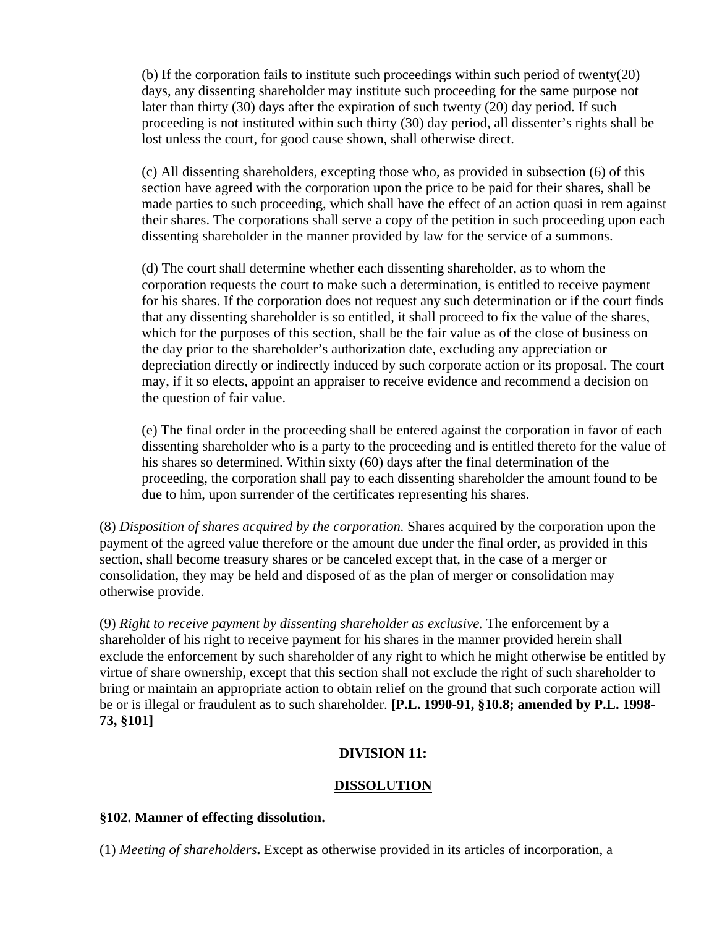(b) If the corporation fails to institute such proceedings within such period of twenty(20) days, any dissenting shareholder may institute such proceeding for the same purpose not later than thirty (30) days after the expiration of such twenty (20) day period. If such proceeding is not instituted within such thirty (30) day period, all dissenter's rights shall be lost unless the court, for good cause shown, shall otherwise direct.

(c) All dissenting shareholders, excepting those who, as provided in subsection (6) of this section have agreed with the corporation upon the price to be paid for their shares, shall be made parties to such proceeding, which shall have the effect of an action quasi in rem against their shares. The corporations shall serve a copy of the petition in such proceeding upon each dissenting shareholder in the manner provided by law for the service of a summons.

(d) The court shall determine whether each dissenting shareholder, as to whom the corporation requests the court to make such a determination, is entitled to receive payment for his shares. If the corporation does not request any such determination or if the court finds that any dissenting shareholder is so entitled, it shall proceed to fix the value of the shares, which for the purposes of this section, shall be the fair value as of the close of business on the day prior to the shareholder's authorization date, excluding any appreciation or depreciation directly or indirectly induced by such corporate action or its proposal. The court may, if it so elects, appoint an appraiser to receive evidence and recommend a decision on the question of fair value.

(e) The final order in the proceeding shall be entered against the corporation in favor of each dissenting shareholder who is a party to the proceeding and is entitled thereto for the value of his shares so determined. Within sixty (60) days after the final determination of the proceeding, the corporation shall pay to each dissenting shareholder the amount found to be due to him, upon surrender of the certificates representing his shares.

(8) *Disposition of shares acquired by the corporation.* Shares acquired by the corporation upon the payment of the agreed value therefore or the amount due under the final order, as provided in this section, shall become treasury shares or be canceled except that, in the case of a merger or consolidation, they may be held and disposed of as the plan of merger or consolidation may otherwise provide.

(9) *Right to receive payment by dissenting shareholder as exclusive.* The enforcement by a shareholder of his right to receive payment for his shares in the manner provided herein shall exclude the enforcement by such shareholder of any right to which he might otherwise be entitled by virtue of share ownership, except that this section shall not exclude the right of such shareholder to bring or maintain an appropriate action to obtain relief on the ground that such corporate action will be or is illegal or fraudulent as to such shareholder. **[P.L. 1990-91, §10.8; amended by P.L. 1998- 73, §101]**

## **DIVISION 11:**

## **DISSOLUTION**

## **§102. Manner of effecting dissolution.**

(1) *Meeting of shareholders***.** Except as otherwise provided in its articles of incorporation, a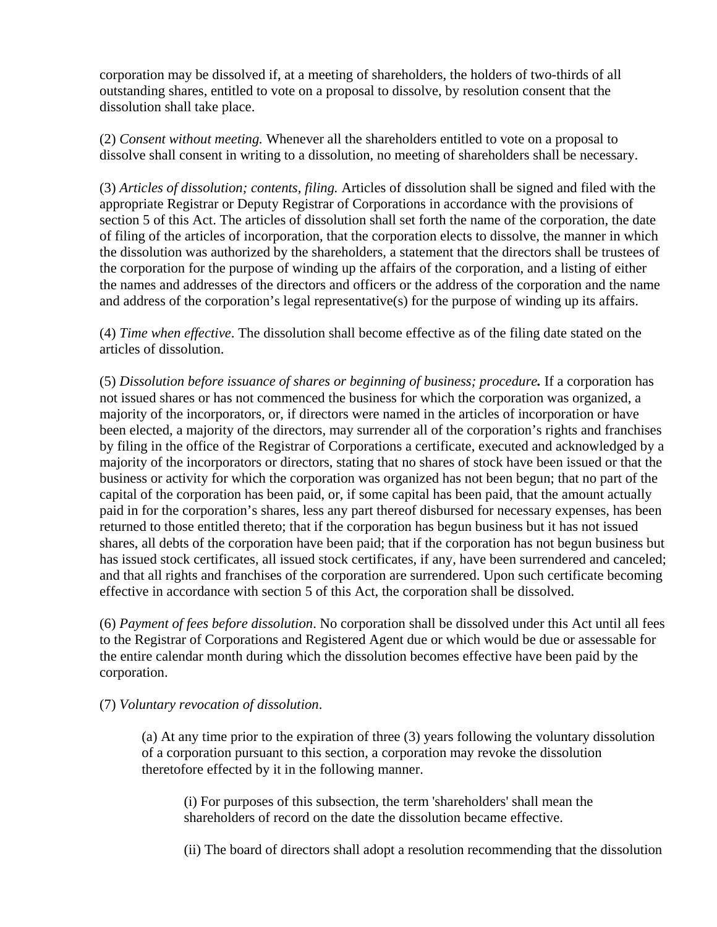corporation may be dissolved if, at a meeting of shareholders, the holders of two-thirds of all outstanding shares, entitled to vote on a proposal to dissolve, by resolution consent that the dissolution shall take place.

(2) *Consent without meeting.* Whenever all the shareholders entitled to vote on a proposal to dissolve shall consent in writing to a dissolution, no meeting of shareholders shall be necessary.

(3) *Articles of dissolution; contents, filing.* Articles of dissolution shall be signed and filed with the appropriate Registrar or Deputy Registrar of Corporations in accordance with the provisions of section 5 of this Act. The articles of dissolution shall set forth the name of the corporation, the date of filing of the articles of incorporation, that the corporation elects to dissolve, the manner in which the dissolution was authorized by the shareholders, a statement that the directors shall be trustees of the corporation for the purpose of winding up the affairs of the corporation, and a listing of either the names and addresses of the directors and officers or the address of the corporation and the name and address of the corporation's legal representative(s) for the purpose of winding up its affairs.

(4) *Time when effective*. The dissolution shall become effective as of the filing date stated on the articles of dissolution.

(5) *Dissolution before issuance of shares or beginning of business; procedure.* If a corporation has not issued shares or has not commenced the business for which the corporation was organized, a majority of the incorporators, or, if directors were named in the articles of incorporation or have been elected, a majority of the directors, may surrender all of the corporation's rights and franchises by filing in the office of the Registrar of Corporations a certificate, executed and acknowledged by a majority of the incorporators or directors, stating that no shares of stock have been issued or that the business or activity for which the corporation was organized has not been begun; that no part of the capital of the corporation has been paid, or, if some capital has been paid, that the amount actually paid in for the corporation's shares, less any part thereof disbursed for necessary expenses, has been returned to those entitled thereto; that if the corporation has begun business but it has not issued shares, all debts of the corporation have been paid; that if the corporation has not begun business but has issued stock certificates, all issued stock certificates, if any, have been surrendered and canceled; and that all rights and franchises of the corporation are surrendered. Upon such certificate becoming effective in accordance with section 5 of this Act, the corporation shall be dissolved.

(6) *Payment of fees before dissolution*. No corporation shall be dissolved under this Act until all fees to the Registrar of Corporations and Registered Agent due or which would be due or assessable for the entire calendar month during which the dissolution becomes effective have been paid by the corporation.

## (7) *Voluntary revocation of dissolution*.

(a) At any time prior to the expiration of three (3) years following the voluntary dissolution of a corporation pursuant to this section, a corporation may revoke the dissolution theretofore effected by it in the following manner.

(i) For purposes of this subsection, the term 'shareholders' shall mean the shareholders of record on the date the dissolution became effective.

(ii) The board of directors shall adopt a resolution recommending that the dissolution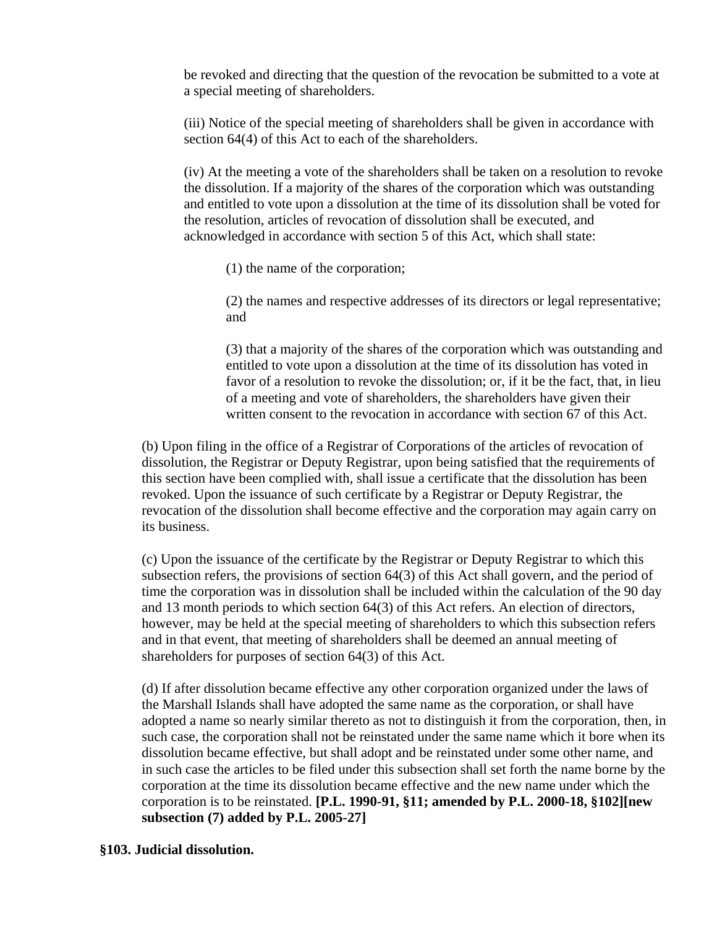be revoked and directing that the question of the revocation be submitted to a vote at a special meeting of shareholders.

(iii) Notice of the special meeting of shareholders shall be given in accordance with section 64(4) of this Act to each of the shareholders.

(iv) At the meeting a vote of the shareholders shall be taken on a resolution to revoke the dissolution. If a majority of the shares of the corporation which was outstanding and entitled to vote upon a dissolution at the time of its dissolution shall be voted for the resolution, articles of revocation of dissolution shall be executed, and acknowledged in accordance with section 5 of this Act, which shall state:

(1) the name of the corporation;

(2) the names and respective addresses of its directors or legal representative; and

(3) that a majority of the shares of the corporation which was outstanding and entitled to vote upon a dissolution at the time of its dissolution has voted in favor of a resolution to revoke the dissolution; or, if it be the fact, that, in lieu of a meeting and vote of shareholders, the shareholders have given their written consent to the revocation in accordance with section 67 of this Act.

(b) Upon filing in the office of a Registrar of Corporations of the articles of revocation of dissolution, the Registrar or Deputy Registrar, upon being satisfied that the requirements of this section have been complied with, shall issue a certificate that the dissolution has been revoked. Upon the issuance of such certificate by a Registrar or Deputy Registrar, the revocation of the dissolution shall become effective and the corporation may again carry on its business.

(c) Upon the issuance of the certificate by the Registrar or Deputy Registrar to which this subsection refers, the provisions of section 64(3) of this Act shall govern, and the period of time the corporation was in dissolution shall be included within the calculation of the 90 day and 13 month periods to which section 64(3) of this Act refers. An election of directors, however, may be held at the special meeting of shareholders to which this subsection refers and in that event, that meeting of shareholders shall be deemed an annual meeting of shareholders for purposes of section 64(3) of this Act.

(d) If after dissolution became effective any other corporation organized under the laws of the Marshall Islands shall have adopted the same name as the corporation, or shall have adopted a name so nearly similar thereto as not to distinguish it from the corporation, then, in such case, the corporation shall not be reinstated under the same name which it bore when its dissolution became effective, but shall adopt and be reinstated under some other name, and in such case the articles to be filed under this subsection shall set forth the name borne by the corporation at the time its dissolution became effective and the new name under which the corporation is to be reinstated. **[P.L. 1990-91, §11; amended by P.L. 2000-18, §102][new subsection (7) added by P.L. 2005-27]**

### **§103. Judicial dissolution.**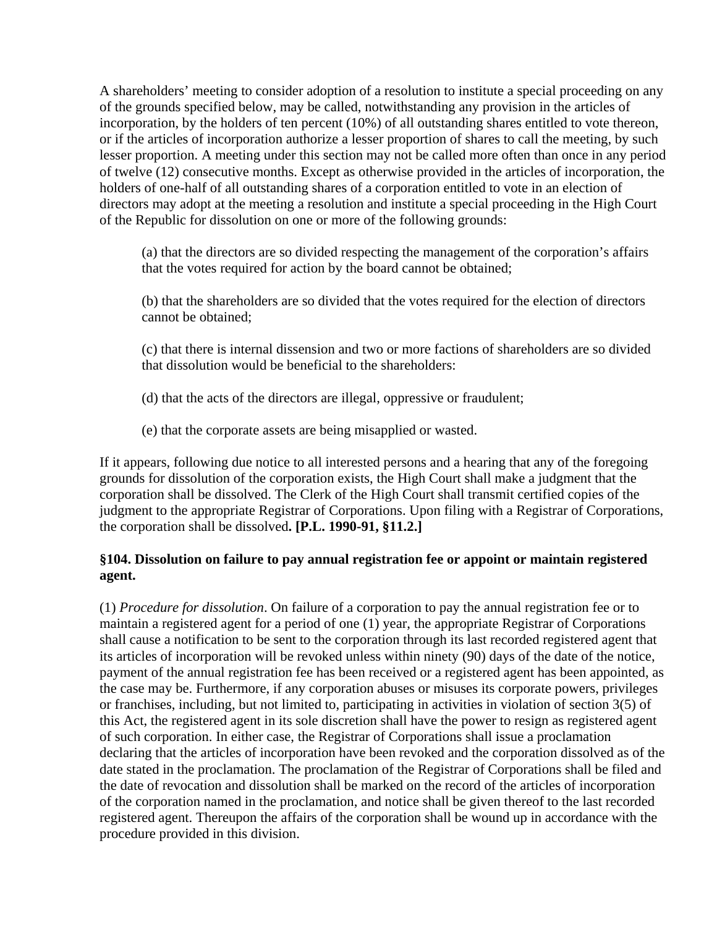A shareholders' meeting to consider adoption of a resolution to institute a special proceeding on any of the grounds specified below, may be called, notwithstanding any provision in the articles of incorporation, by the holders of ten percent (10%) of all outstanding shares entitled to vote thereon, or if the articles of incorporation authorize a lesser proportion of shares to call the meeting, by such lesser proportion. A meeting under this section may not be called more often than once in any period of twelve (12) consecutive months. Except as otherwise provided in the articles of incorporation, the holders of one-half of all outstanding shares of a corporation entitled to vote in an election of directors may adopt at the meeting a resolution and institute a special proceeding in the High Court of the Republic for dissolution on one or more of the following grounds:

(a) that the directors are so divided respecting the management of the corporation's affairs that the votes required for action by the board cannot be obtained;

(b) that the shareholders are so divided that the votes required for the election of directors cannot be obtained;

(c) that there is internal dissension and two or more factions of shareholders are so divided that dissolution would be beneficial to the shareholders:

- (d) that the acts of the directors are illegal, oppressive or fraudulent;
- (e) that the corporate assets are being misapplied or wasted.

If it appears, following due notice to all interested persons and a hearing that any of the foregoing grounds for dissolution of the corporation exists, the High Court shall make a judgment that the corporation shall be dissolved. The Clerk of the High Court shall transmit certified copies of the judgment to the appropriate Registrar of Corporations. Upon filing with a Registrar of Corporations, the corporation shall be dissolved**. [P.L. 1990-91, §11.2.]**

# **§104. Dissolution on failure to pay annual registration fee or appoint or maintain registered agent.**

(1) *Procedure for dissolution*. On failure of a corporation to pay the annual registration fee or to maintain a registered agent for a period of one (1) year, the appropriate Registrar of Corporations shall cause a notification to be sent to the corporation through its last recorded registered agent that its articles of incorporation will be revoked unless within ninety (90) days of the date of the notice, payment of the annual registration fee has been received or a registered agent has been appointed, as the case may be. Furthermore, if any corporation abuses or misuses its corporate powers, privileges or franchises, including, but not limited to, participating in activities in violation of section 3(5) of this Act, the registered agent in its sole discretion shall have the power to resign as registered agent of such corporation. In either case, the Registrar of Corporations shall issue a proclamation declaring that the articles of incorporation have been revoked and the corporation dissolved as of the date stated in the proclamation. The proclamation of the Registrar of Corporations shall be filed and the date of revocation and dissolution shall be marked on the record of the articles of incorporation of the corporation named in the proclamation, and notice shall be given thereof to the last recorded registered agent. Thereupon the affairs of the corporation shall be wound up in accordance with the procedure provided in this division.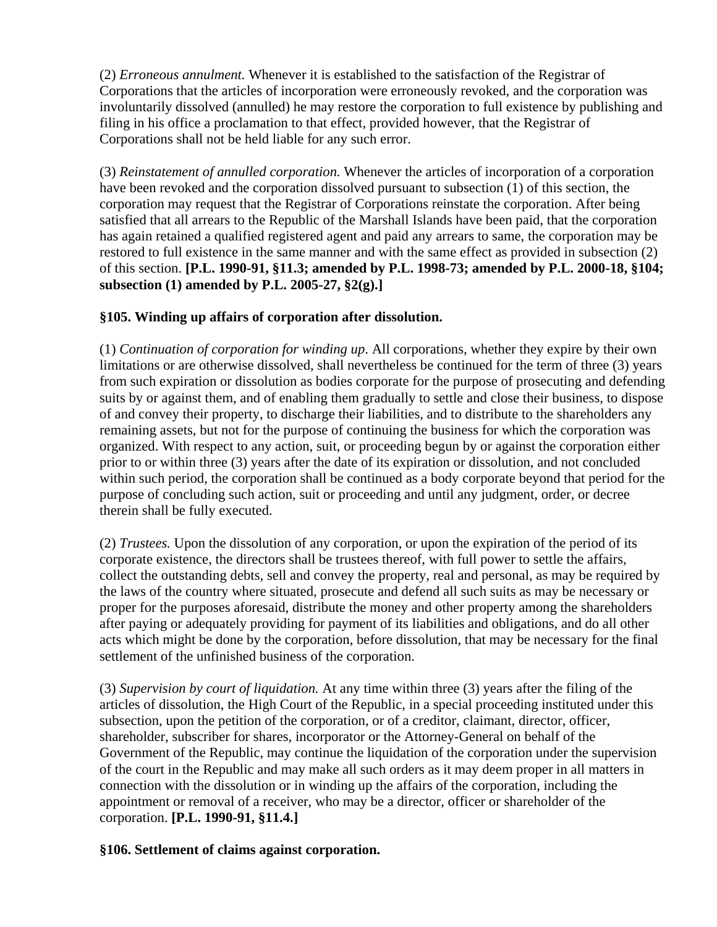(2) *Erroneous annulment.* Whenever it is established to the satisfaction of the Registrar of Corporations that the articles of incorporation were erroneously revoked, and the corporation was involuntarily dissolved (annulled) he may restore the corporation to full existence by publishing and filing in his office a proclamation to that effect, provided however, that the Registrar of Corporations shall not be held liable for any such error.

(3) *Reinstatement of annulled corporation.* Whenever the articles of incorporation of a corporation have been revoked and the corporation dissolved pursuant to subsection (1) of this section, the corporation may request that the Registrar of Corporations reinstate the corporation. After being satisfied that all arrears to the Republic of the Marshall Islands have been paid, that the corporation has again retained a qualified registered agent and paid any arrears to same, the corporation may be restored to full existence in the same manner and with the same effect as provided in subsection (2) of this section. **[P.L. 1990-91, §11.3; amended by P.L. 1998-73; amended by P.L. 2000-18, §104; subsection (1) amended by P.L. 2005-27, §2(g).]**

# **§105. Winding up affairs of corporation after dissolution.**

(1) *Continuation of corporation for winding up*. All corporations*,* whether they expire by their own limitations or are otherwise dissolved, shall nevertheless be continued for the term of three (3) years from such expiration or dissolution as bodies corporate for the purpose of prosecuting and defending suits by or against them, and of enabling them gradually to settle and close their business, to dispose of and convey their property, to discharge their liabilities, and to distribute to the shareholders any remaining assets, but not for the purpose of continuing the business for which the corporation was organized. With respect to any action, suit, or proceeding begun by or against the corporation either prior to or within three (3) years after the date of its expiration or dissolution, and not concluded within such period, the corporation shall be continued as a body corporate beyond that period for the purpose of concluding such action, suit or proceeding and until any judgment, order, or decree therein shall be fully executed.

(2) *Trustees.* Upon the dissolution of any corporation, or upon the expiration of the period of its corporate existence, the directors shall be trustees thereof, with full power to settle the affairs, collect the outstanding debts, sell and convey the property, real and personal, as may be required by the laws of the country where situated, prosecute and defend all such suits as may be necessary or proper for the purposes aforesaid, distribute the money and other property among the shareholders after paying or adequately providing for payment of its liabilities and obligations, and do all other acts which might be done by the corporation, before dissolution, that may be necessary for the final settlement of the unfinished business of the corporation.

(3) *Supervision by court of liquidation.* At any time within three (3) years after the filing of the articles of dissolution, the High Court of the Republic, in a special proceeding instituted under this subsection, upon the petition of the corporation, or of a creditor, claimant, director, officer, shareholder, subscriber for shares, incorporator or the Attorney-General on behalf of the Government of the Republic, may continue the liquidation of the corporation under the supervision of the court in the Republic and may make all such orders as it may deem proper in all matters in connection with the dissolution or in winding up the affairs of the corporation, including the appointment or removal of a receiver, who may be a director, officer or shareholder of the corporation. **[P.L. 1990-91, §11.4.]**

## **§106. Settlement of claims against corporation.**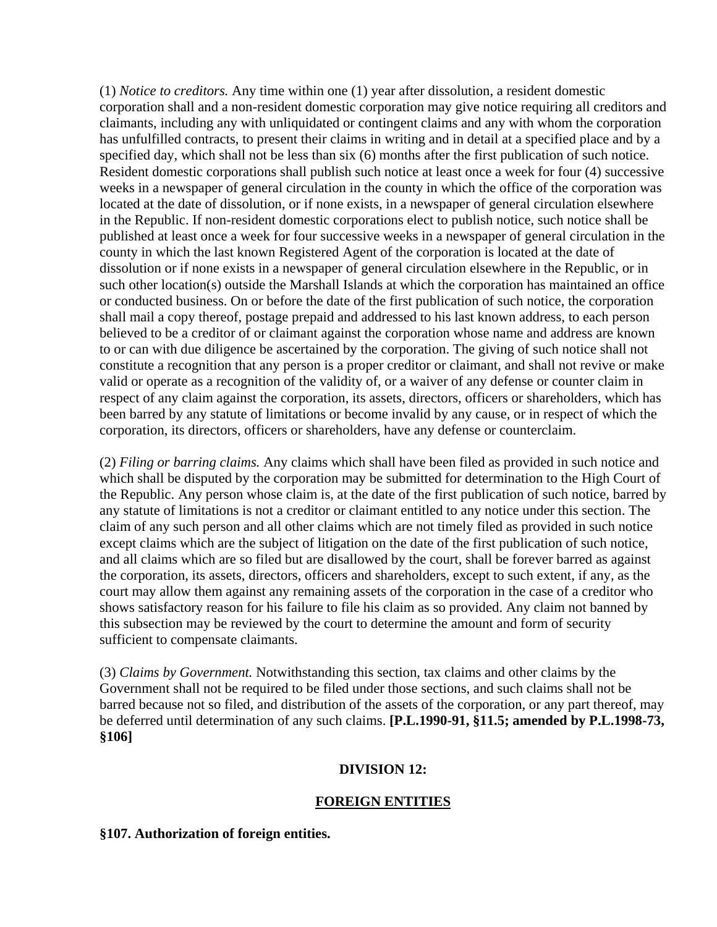(1) *Notice to creditors.* Any time within one (1) year after dissolution, a resident domestic corporation shall and a non-resident domestic corporation may give notice requiring all creditors and claimants, including any with unliquidated or contingent claims and any with whom the corporation has unfulfilled contracts, to present their claims in writing and in detail at a specified place and by a specified day, which shall not be less than six (6) months after the first publication of such notice. Resident domestic corporations shall publish such notice at least once a week for four (4) successive weeks in a newspaper of general circulation in the county in which the office of the corporation was located at the date of dissolution, or if none exists, in a newspaper of general circulation elsewhere in the Republic. If non-resident domestic corporations elect to publish notice, such notice shall be published at least once a week for four successive weeks in a newspaper of general circulation in the county in which the last known Registered Agent of the corporation is located at the date of dissolution or if none exists in a newspaper of general circulation elsewhere in the Republic, or in such other location(s) outside the Marshall Islands at which the corporation has maintained an office or conducted business. On or before the date of the first publication of such notice, the corporation shall mail a copy thereof, postage prepaid and addressed to his last known address, to each person believed to be a creditor of or claimant against the corporation whose name and address are known to or can with due diligence be ascertained by the corporation. The giving of such notice shall not constitute a recognition that any person is a proper creditor or claimant, and shall not revive or make valid or operate as a recognition of the validity of, or a waiver of any defense or counter claim in respect of any claim against the corporation, its assets, directors, officers or shareholders, which has been barred by any statute of limitations or become invalid by any cause, or in respect of which the corporation, its directors, officers or shareholders, have any defense or counterclaim.

(2) *Filing or barring claims.* Any claims which shall have been filed as provided in such notice and which shall be disputed by the corporation may be submitted for determination to the High Court of the Republic. Any person whose claim is, at the date of the first publication of such notice, barred by any statute of limitations is not a creditor or claimant entitled to any notice under this section. The claim of any such person and all other claims which are not timely filed as provided in such notice except claims which are the subject of litigation on the date of the first publication of such notice, and all claims which are so filed but are disallowed by the court, shall be forever barred as against the corporation, its assets, directors, officers and shareholders, except to such extent, if any, as the court may allow them against any remaining assets of the corporation in the case of a creditor who shows satisfactory reason for his failure to file his claim as so provided. Any claim not banned by this subsection may be reviewed by the court to determine the amount and form of security sufficient to compensate claimants.

(3) *Claims by Government.* Notwithstanding this section, tax claims and other claims by the Government shall not be required to be filed under those sections, and such claims shall not be barred because not so filed, and distribution of the assets of the corporation, or any part thereof, may be deferred until determination of any such claims. **[P.L.1990-91, §11.5; amended by P.L.1998-73, §106]**

### **DIVISION 12:**

### **FOREIGN ENTITIES**

#### **§107. Authorization of foreign entities.**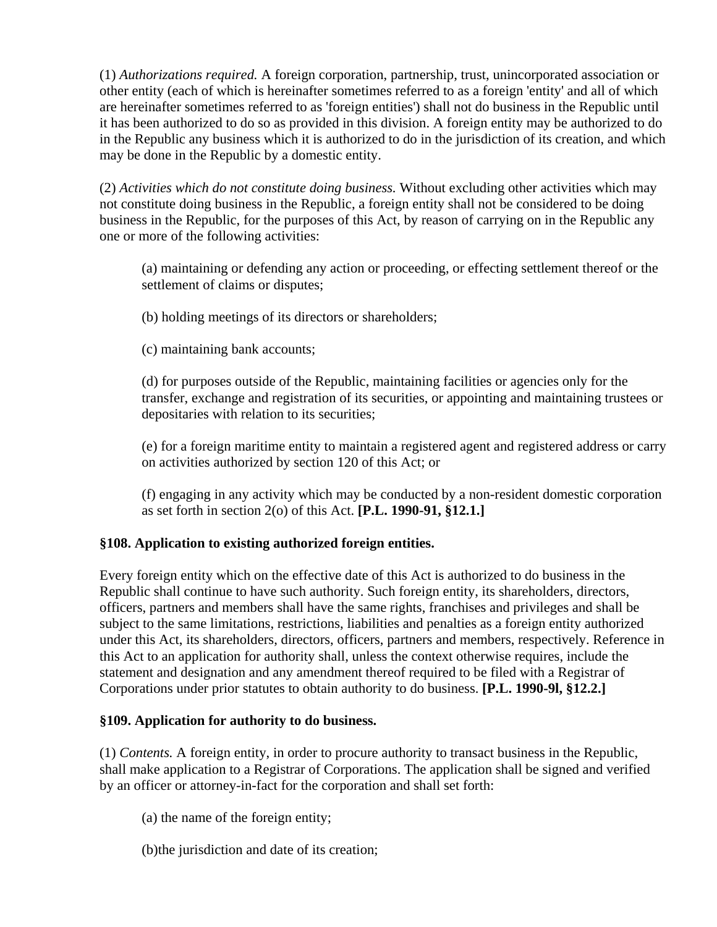(1) *Authorizations required.* A foreign corporation, partnership, trust, unincorporated association or other entity (each of which is hereinafter sometimes referred to as a foreign 'entity' and all of which are hereinafter sometimes referred to as 'foreign entities') shall not do business in the Republic until it has been authorized to do so as provided in this division. A foreign entity may be authorized to do in the Republic any business which it is authorized to do in the jurisdiction of its creation, and which may be done in the Republic by a domestic entity.

(2) *Activities which do not constitute doing business.* Without excluding other activities which may not constitute doing business in the Republic, a foreign entity shall not be considered to be doing business in the Republic, for the purposes of this Act, by reason of carrying on in the Republic any one or more of the following activities:

(a) maintaining or defending any action or proceeding, or effecting settlement thereof or the settlement of claims or disputes;

(b) holding meetings of its directors or shareholders;

(c) maintaining bank accounts;

(d) for purposes outside of the Republic, maintaining facilities or agencies only for the transfer, exchange and registration of its securities, or appointing and maintaining trustees or depositaries with relation to its securities;

(e) for a foreign maritime entity to maintain a registered agent and registered address or carry on activities authorized by section 120 of this Act; or

(f) engaging in any activity which may be conducted by a non-resident domestic corporation as set forth in section 2(o) of this Act. **[P.L. 1990-91, §12.1.]**

## **§108. Application to existing authorized foreign entities.**

Every foreign entity which on the effective date of this Act is authorized to do business in the Republic shall continue to have such authority. Such foreign entity, its shareholders, directors, officers, partners and members shall have the same rights, franchises and privileges and shall be subject to the same limitations, restrictions, liabilities and penalties as a foreign entity authorized under this Act, its shareholders, directors, officers, partners and members, respectively. Reference in this Act to an application for authority shall, unless the context otherwise requires, include the statement and designation and any amendment thereof required to be filed with a Registrar of Corporations under prior statutes to obtain authority to do business. **[P.L. 1990-9l, §12.2.]**

## **§109. Application for authority to do business.**

(1) *Contents.* A foreign entity, in order to procure authority to transact business in the Republic, shall make application to a Registrar of Corporations. The application shall be signed and verified by an officer or attorney-in-fact for the corporation and shall set forth:

(a) the name of the foreign entity;

(b)the jurisdiction and date of its creation;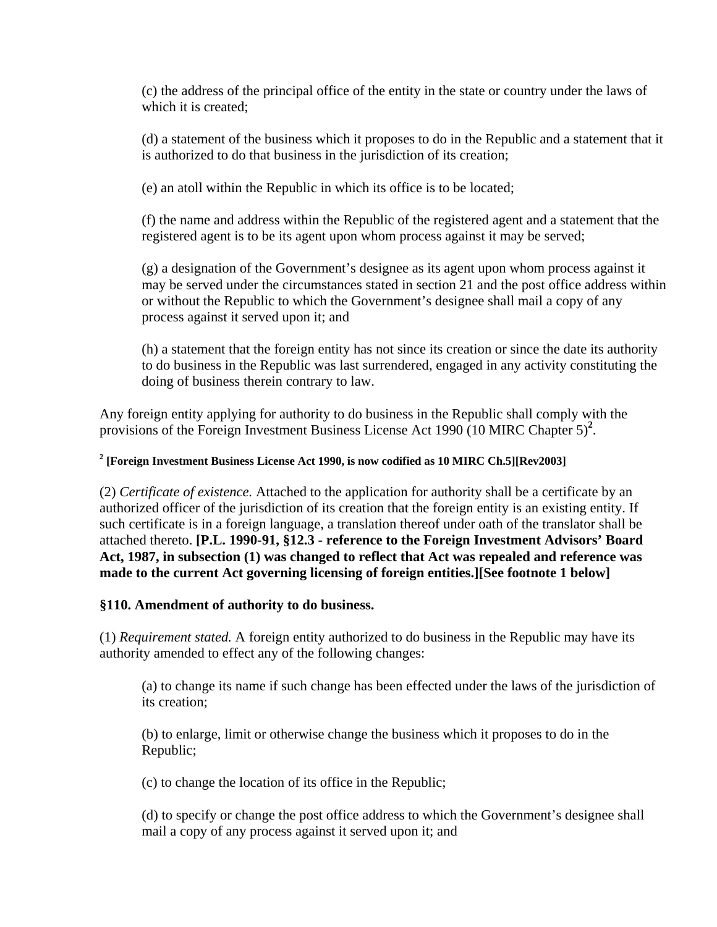(c) the address of the principal office of the entity in the state or country under the laws of which it is created;

(d) a statement of the business which it proposes to do in the Republic and a statement that it is authorized to do that business in the jurisdiction of its creation;

(e) an atoll within the Republic in which its office is to be located;

(f) the name and address within the Republic of the registered agent and a statement that the registered agent is to be its agent upon whom process against it may be served;

(g) a designation of the Government's designee as its agent upon whom process against it may be served under the circumstances stated in section 21 and the post office address within or without the Republic to which the Government's designee shall mail a copy of any process against it served upon it; and

(h) a statement that the foreign entity has not since its creation or since the date its authority to do business in the Republic was last surrendered, engaged in any activity constituting the doing of business therein contrary to law.

Any foreign entity applying for authority to do business in the Republic shall comply with the provisions of the Foreign Investment Business License Act 1990 (10 MIRC Chapter 5)<sup>2</sup>.

## **2 [Foreign Investment Business License Act 1990, is now codified as 10 MIRC Ch.5][Rev2003]**

(2) *Certificate of existence.* Attached to the application for authority shall be a certificate by an authorized officer of the jurisdiction of its creation that the foreign entity is an existing entity. If such certificate is in a foreign language, a translation thereof under oath of the translator shall be attached thereto. **[P.L. 1990-91, §12.3 - reference to the Foreign Investment Advisors' Board Act, 1987, in subsection (1) was changed to reflect that Act was repealed and reference was made to the current Act governing licensing of foreign entities.][See footnote 1 below]**

## **§110. Amendment of authority to do business.**

(1) *Requirement stated.* A foreign entity authorized to do business in the Republic may have its authority amended to effect any of the following changes:

(a) to change its name if such change has been effected under the laws of the jurisdiction of its creation;

(b) to enlarge, limit or otherwise change the business which it proposes to do in the Republic;

(c) to change the location of its office in the Republic;

(d) to specify or change the post office address to which the Government's designee shall mail a copy of any process against it served upon it; and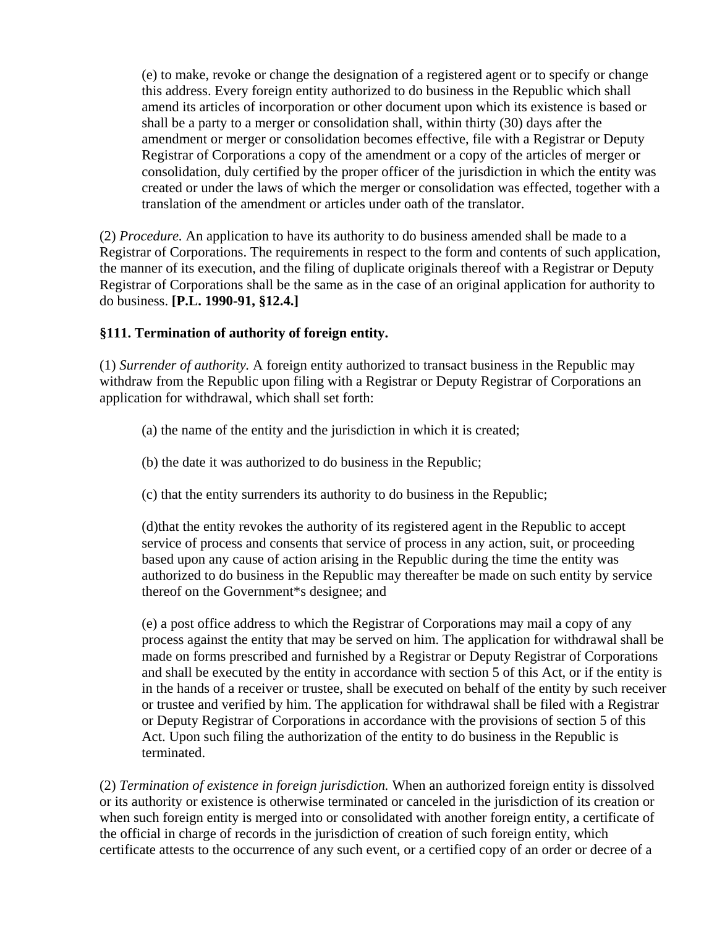(e) to make, revoke or change the designation of a registered agent or to specify or change this address. Every foreign entity authorized to do business in the Republic which shall amend its articles of incorporation or other document upon which its existence is based or shall be a party to a merger or consolidation shall, within thirty (30) days after the amendment or merger or consolidation becomes effective, file with a Registrar or Deputy Registrar of Corporations a copy of the amendment or a copy of the articles of merger or consolidation, duly certified by the proper officer of the jurisdiction in which the entity was created or under the laws of which the merger or consolidation was effected, together with a translation of the amendment or articles under oath of the translator.

(2) *Procedure.* An application to have its authority to do business amended shall be made to a Registrar of Corporations. The requirements in respect to the form and contents of such application, the manner of its execution, and the filing of duplicate originals thereof with a Registrar or Deputy Registrar of Corporations shall be the same as in the case of an original application for authority to do business. **[P.L. 1990-91, §12.4.]**

## **§111. Termination of authority of foreign entity.**

(1) *Surrender of authority.* A foreign entity authorized to transact business in the Republic may withdraw from the Republic upon filing with a Registrar or Deputy Registrar of Corporations an application for withdrawal, which shall set forth:

- (a) the name of the entity and the jurisdiction in which it is created;
- (b) the date it was authorized to do business in the Republic;
- (c) that the entity surrenders its authority to do business in the Republic;

(d)that the entity revokes the authority of its registered agent in the Republic to accept service of process and consents that service of process in any action, suit, or proceeding based upon any cause of action arising in the Republic during the time the entity was authorized to do business in the Republic may thereafter be made on such entity by service thereof on the Government\*s designee; and

(e) a post office address to which the Registrar of Corporations may mail a copy of any process against the entity that may be served on him. The application for withdrawal shall be made on forms prescribed and furnished by a Registrar or Deputy Registrar of Corporations and shall be executed by the entity in accordance with section 5 of this Act, or if the entity is in the hands of a receiver or trustee, shall be executed on behalf of the entity by such receiver or trustee and verified by him. The application for withdrawal shall be filed with a Registrar or Deputy Registrar of Corporations in accordance with the provisions of section 5 of this Act. Upon such filing the authorization of the entity to do business in the Republic is terminated.

(2) *Termination of existence in foreign jurisdiction.* When an authorized foreign entity is dissolved or its authority or existence is otherwise terminated or canceled in the jurisdiction of its creation or when such foreign entity is merged into or consolidated with another foreign entity, a certificate of the official in charge of records in the jurisdiction of creation of such foreign entity, which certificate attests to the occurrence of any such event, or a certified copy of an order or decree of a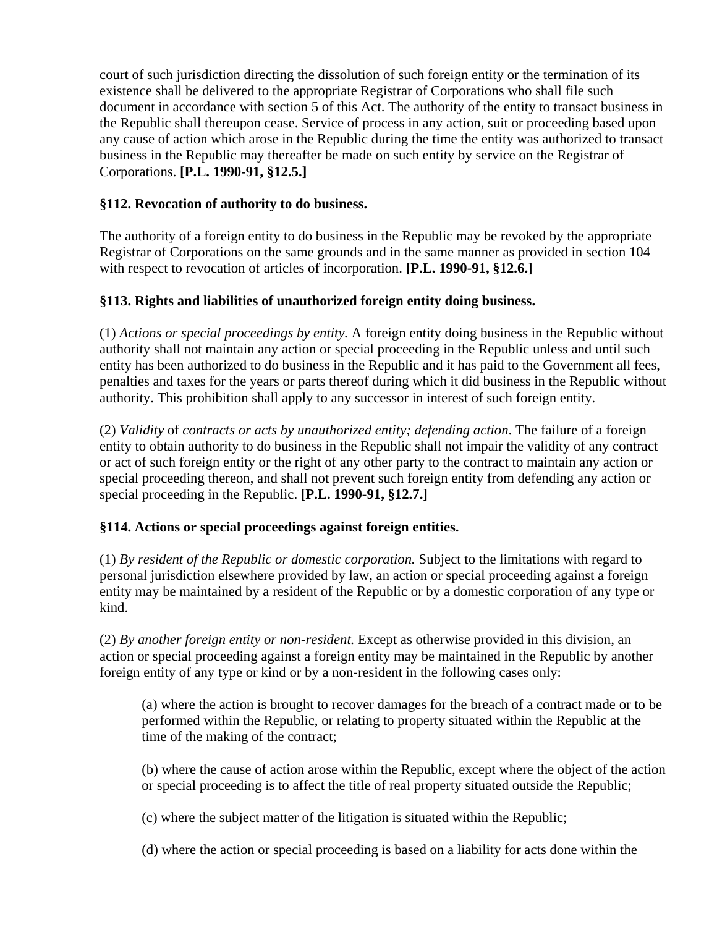court of such jurisdiction directing the dissolution of such foreign entity or the termination of its existence shall be delivered to the appropriate Registrar of Corporations who shall file such document in accordance with section 5 of this Act. The authority of the entity to transact business in the Republic shall thereupon cease. Service of process in any action, suit or proceeding based upon any cause of action which arose in the Republic during the time the entity was authorized to transact business in the Republic may thereafter be made on such entity by service on the Registrar of Corporations. **[P.L. 1990-91, §12.5.]**

# **§112. Revocation of authority to do business.**

The authority of a foreign entity to do business in the Republic may be revoked by the appropriate Registrar of Corporations on the same grounds and in the same manner as provided in section 104 with respect to revocation of articles of incorporation. **[P.L. 1990-91, §12.6.]**

# **§113. Rights and liabilities of unauthorized foreign entity doing business.**

(1) *Actions or special proceedings by entity.* A foreign entity doing business in the Republic without authority shall not maintain any action or special proceeding in the Republic unless and until such entity has been authorized to do business in the Republic and it has paid to the Government all fees, penalties and taxes for the years or parts thereof during which it did business in the Republic without authority. This prohibition shall apply to any successor in interest of such foreign entity.

(2) *Validity* of *contracts or acts by unauthorized entity; defending action*. The failure of a foreign entity to obtain authority to do business in the Republic shall not impair the validity of any contract or act of such foreign entity or the right of any other party to the contract to maintain any action or special proceeding thereon, and shall not prevent such foreign entity from defending any action or special proceeding in the Republic. **[P.L. 1990-91, §12.7.]**

## **§114. Actions or special proceedings against foreign entities.**

(1) *By resident of the Republic or domestic corporation.* Subject to the limitations with regard to personal jurisdiction elsewhere provided by law, an action or special proceeding against a foreign entity may be maintained by a resident of the Republic or by a domestic corporation of any type or kind.

(2) *By another foreign entity or non-resident.* Except as otherwise provided in this division, an action or special proceeding against a foreign entity may be maintained in the Republic by another foreign entity of any type or kind or by a non-resident in the following cases only:

(a) where the action is brought to recover damages for the breach of a contract made or to be performed within the Republic, or relating to property situated within the Republic at the time of the making of the contract;

(b) where the cause of action arose within the Republic, except where the object of the action or special proceeding is to affect the title of real property situated outside the Republic;

(c) where the subject matter of the litigation is situated within the Republic;

(d) where the action or special proceeding is based on a liability for acts done within the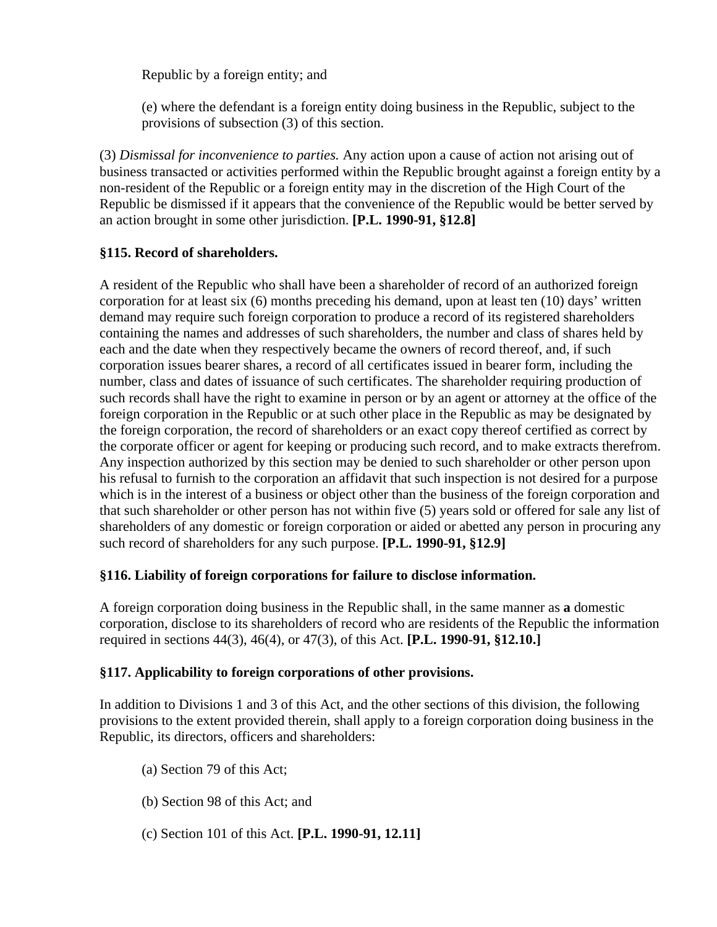Republic by a foreign entity; and

(e) where the defendant is a foreign entity doing business in the Republic, subject to the provisions of subsection (3) of this section.

(3) *Dismissal for inconvenience to parties.* Any action upon a cause of action not arising out of business transacted or activities performed within the Republic brought against a foreign entity by a non-resident of the Republic or a foreign entity may in the discretion of the High Court of the Republic be dismissed if it appears that the convenience of the Republic would be better served by an action brought in some other jurisdiction. **[P.L. 1990-91, §12.8]**

# **§115. Record of shareholders.**

A resident of the Republic who shall have been a shareholder of record of an authorized foreign corporation for at least six (6) months preceding his demand, upon at least ten (10) days' written demand may require such foreign corporation to produce a record of its registered shareholders containing the names and addresses of such shareholders, the number and class of shares held by each and the date when they respectively became the owners of record thereof, and, if such corporation issues bearer shares, a record of all certificates issued in bearer form, including the number, class and dates of issuance of such certificates. The shareholder requiring production of such records shall have the right to examine in person or by an agent or attorney at the office of the foreign corporation in the Republic or at such other place in the Republic as may be designated by the foreign corporation, the record of shareholders or an exact copy thereof certified as correct by the corporate officer or agent for keeping or producing such record, and to make extracts therefrom. Any inspection authorized by this section may be denied to such shareholder or other person upon his refusal to furnish to the corporation an affidavit that such inspection is not desired for a purpose which is in the interest of a business or object other than the business of the foreign corporation and that such shareholder or other person has not within five (5) years sold or offered for sale any list of shareholders of any domestic or foreign corporation or aided or abetted any person in procuring any such record of shareholders for any such purpose. **[P.L. 1990-91, §12.9]**

## **§116. Liability of foreign corporations for failure to disclose information.**

A foreign corporation doing business in the Republic shall, in the same manner as **a** domestic corporation, disclose to its shareholders of record who are residents of the Republic the information required in sections 44(3), 46(4), or 47(3), of this Act. **[P.L. 1990-91, §12.10.]**

## **§117. Applicability to foreign corporations of other provisions.**

In addition to Divisions 1 and 3 of this Act, and the other sections of this division, the following provisions to the extent provided therein, shall apply to a foreign corporation doing business in the Republic, its directors, officers and shareholders:

- (a) Section 79 of this Act;
- (b) Section 98 of this Act; and
- (c) Section 101 of this Act. **[P.L. 1990-91, 12.11]**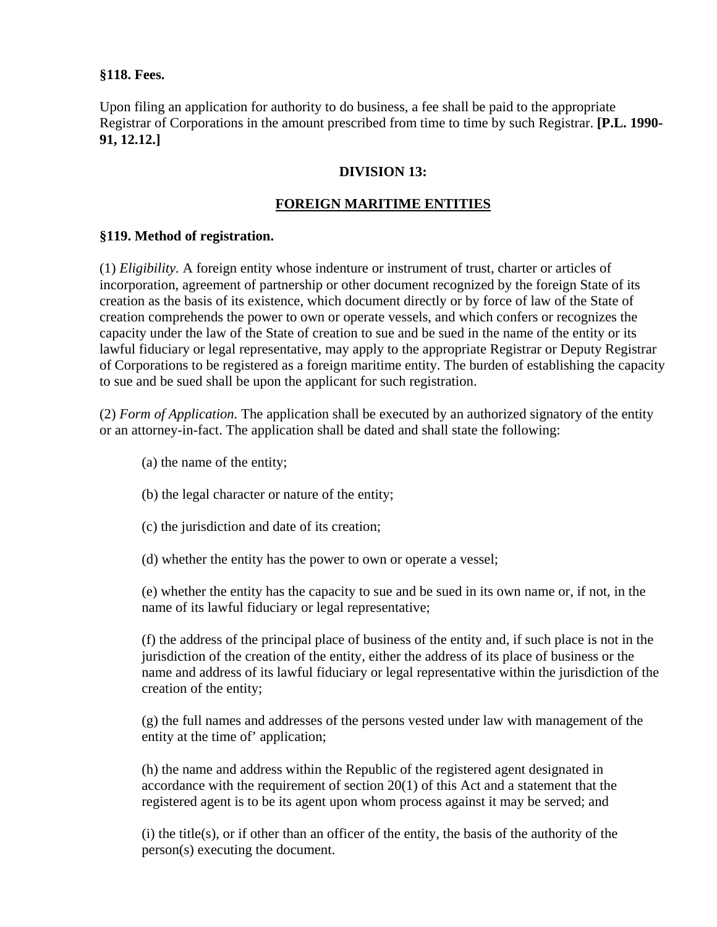### **§118. Fees.**

Upon filing an application for authority to do business, a fee shall be paid to the appropriate Registrar of Corporations in the amount prescribed from time to time by such Registrar. **[P.L. 1990- 91, 12.12.]**

## **DIVISION 13:**

## **FOREIGN MARITIME ENTITIES**

### **§119. Method of registration.**

(1) *Eligibility.* A foreign entity whose indenture or instrument of trust, charter or articles of incorporation, agreement of partnership or other document recognized by the foreign State of its creation as the basis of its existence, which document directly or by force of law of the State of creation comprehends the power to own or operate vessels, and which confers or recognizes the capacity under the law of the State of creation to sue and be sued in the name of the entity or its lawful fiduciary or legal representative, may apply to the appropriate Registrar or Deputy Registrar of Corporations to be registered as a foreign maritime entity. The burden of establishing the capacity to sue and be sued shall be upon the applicant for such registration.

(2) *Form of Application.* The application shall be executed by an authorized signatory of the entity or an attorney-in-fact. The application shall be dated and shall state the following:

- (a) the name of the entity;
- (b) the legal character or nature of the entity;
- (c) the jurisdiction and date of its creation;
- (d) whether the entity has the power to own or operate a vessel;

(e) whether the entity has the capacity to sue and be sued in its own name or, if not, in the name of its lawful fiduciary or legal representative;

(f) the address of the principal place of business of the entity and, if such place is not in the jurisdiction of the creation of the entity, either the address of its place of business or the name and address of its lawful fiduciary or legal representative within the jurisdiction of the creation of the entity;

(g) the full names and addresses of the persons vested under law with management of the entity at the time of' application;

(h) the name and address within the Republic of the registered agent designated in accordance with the requirement of section 20(1) of this Act and a statement that the registered agent is to be its agent upon whom process against it may be served; and

 $(i)$  the title(s), or if other than an officer of the entity, the basis of the authority of the person(s) executing the document.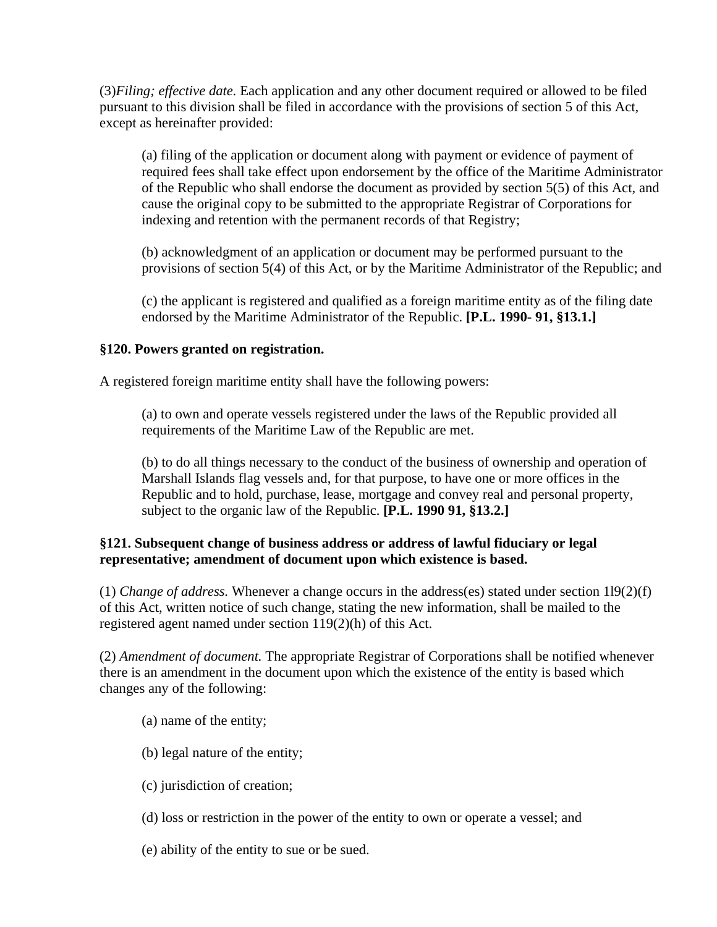(3)*Filing; effective date.* Each application and any other document required or allowed to be filed pursuant to this division shall be filed in accordance with the provisions of section 5 of this Act, except as hereinafter provided:

(a) filing of the application or document along with payment or evidence of payment of required fees shall take effect upon endorsement by the office of the Maritime Administrator of the Republic who shall endorse the document as provided by section 5(5) of this Act, and cause the original copy to be submitted to the appropriate Registrar of Corporations for indexing and retention with the permanent records of that Registry;

(b) acknowledgment of an application or document may be performed pursuant to the provisions of section 5(4) of this Act, or by the Maritime Administrator of the Republic; and

(c) the applicant is registered and qualified as a foreign maritime entity as of the filing date endorsed by the Maritime Administrator of the Republic. **[P.L. 1990- 91, §13.1.]**

## **§120. Powers granted on registration.**

A registered foreign maritime entity shall have the following powers:

(a) to own and operate vessels registered under the laws of the Republic provided all requirements of the Maritime Law of the Republic are met.

(b) to do all things necessary to the conduct of the business of ownership and operation of Marshall Islands flag vessels and, for that purpose, to have one or more offices in the Republic and to hold, purchase, lease, mortgage and convey real and personal property, subject to the organic law of the Republic. **[P.L. 1990 91, §13.2.]**

## **§121. Subsequent change of business address or address of lawful fiduciary or legal representative; amendment of document upon which existence is based.**

(1) *Change of address.* Whenever a change occurs in the address(es) stated under section 1l9(2)(f) of this Act, written notice of such change, stating the new information, shall be mailed to the registered agent named under section 119(2)(h) of this Act.

(2) *Amendment of document.* The appropriate Registrar of Corporations shall be notified whenever there is an amendment in the document upon which the existence of the entity is based which changes any of the following:

(a) name of the entity;

(b) legal nature of the entity;

- (c) jurisdiction of creation;
- (d) loss or restriction in the power of the entity to own or operate a vessel; and
- (e) ability of the entity to sue or be sued.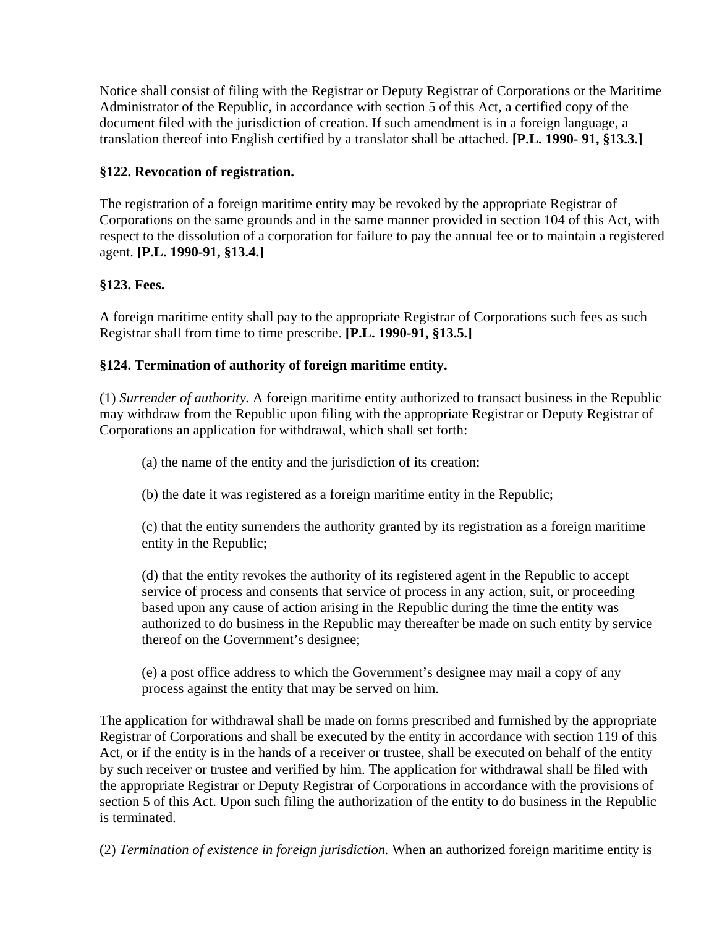Notice shall consist of filing with the Registrar or Deputy Registrar of Corporations or the Maritime Administrator of the Republic, in accordance with section 5 of this Act, a certified copy of the document filed with the jurisdiction of creation. If such amendment is in a foreign language, a translation thereof into English certified by a translator shall be attached. **[P.L. 1990- 91, §13.3.]**

# **§122. Revocation of registration.**

The registration of a foreign maritime entity may be revoked by the appropriate Registrar of Corporations on the same grounds and in the same manner provided in section 104 of this Act, with respect to the dissolution of a corporation for failure to pay the annual fee or to maintain a registered agent. **[P.L. 1990-91, §13.4.]**

# **§123. Fees.**

A foreign maritime entity shall pay to the appropriate Registrar of Corporations such fees as such Registrar shall from time to time prescribe. **[P.L. 1990-91, §13.5.]**

# **§124. Termination of authority of foreign maritime entity.**

(1) *Surrender of authority.* A foreign maritime entity authorized to transact business in the Republic may withdraw from the Republic upon filing with the appropriate Registrar or Deputy Registrar of Corporations an application for withdrawal, which shall set forth:

(a) the name of the entity and the jurisdiction of its creation;

(b) the date it was registered as a foreign maritime entity in the Republic;

(c) that the entity surrenders the authority granted by its registration as a foreign maritime entity in the Republic;

(d) that the entity revokes the authority of its registered agent in the Republic to accept service of process and consents that service of process in any action, suit, or proceeding based upon any cause of action arising in the Republic during the time the entity was authorized to do business in the Republic may thereafter be made on such entity by service thereof on the Government's designee;

(e) a post office address to which the Government's designee may mail a copy of any process against the entity that may be served on him.

The application for withdrawal shall be made on forms prescribed and furnished by the appropriate Registrar of Corporations and shall be executed by the entity in accordance with section 119 of this Act, or if the entity is in the hands of a receiver or trustee, shall be executed on behalf of the entity by such receiver or trustee and verified by him. The application for withdrawal shall be filed with the appropriate Registrar or Deputy Registrar of Corporations in accordance with the provisions of section 5 of this Act. Upon such filing the authorization of the entity to do business in the Republic is terminated.

(2) *Termination of existence in foreign jurisdiction.* When an authorized foreign maritime entity is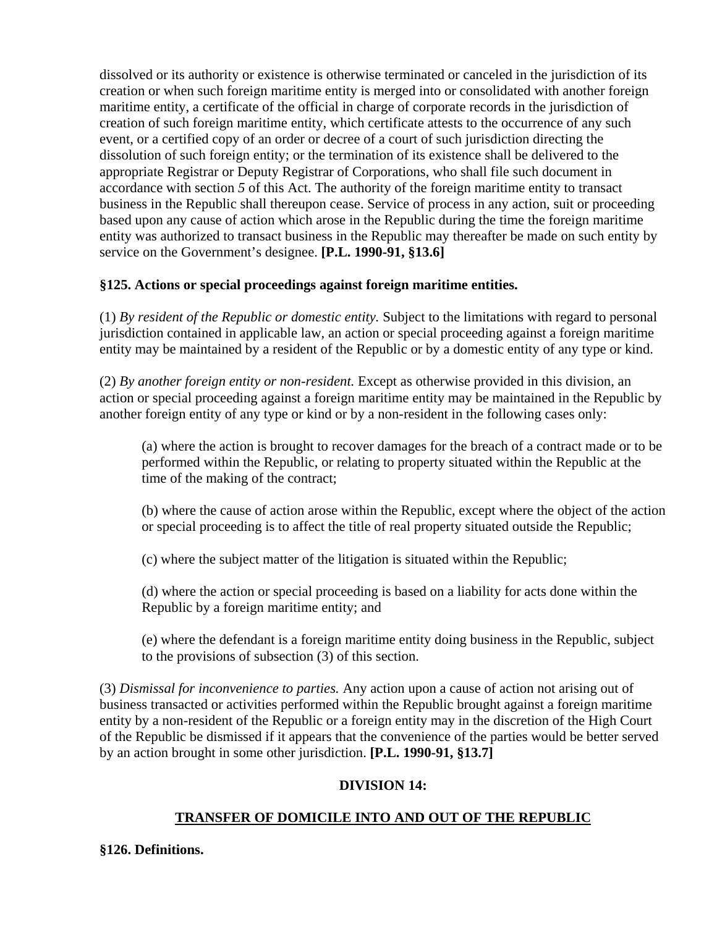dissolved or its authority or existence is otherwise terminated or canceled in the jurisdiction of its creation or when such foreign maritime entity is merged into or consolidated with another foreign maritime entity, a certificate of the official in charge of corporate records in the jurisdiction of creation of such foreign maritime entity, which certificate attests to the occurrence of any such event, or a certified copy of an order or decree of a court of such jurisdiction directing the dissolution of such foreign entity; or the termination of its existence shall be delivered to the appropriate Registrar or Deputy Registrar of Corporations, who shall file such document in accordance with section *5* of this Act. The authority of the foreign maritime entity to transact business in the Republic shall thereupon cease. Service of process in any action, suit or proceeding based upon any cause of action which arose in the Republic during the time the foreign maritime entity was authorized to transact business in the Republic may thereafter be made on such entity by service on the Government's designee. **[P.L. 1990-91, §13.6]**

# **§125. Actions or special proceedings against foreign maritime entities.**

(1) *By resident of the Republic or domestic entity.* Subject to the limitations with regard to personal jurisdiction contained in applicable law, an action or special proceeding against a foreign maritime entity may be maintained by a resident of the Republic or by a domestic entity of any type or kind.

(2) *By another foreign entity or non-resident.* Except as otherwise provided in this division, an action or special proceeding against a foreign maritime entity may be maintained in the Republic by another foreign entity of any type or kind or by a non-resident in the following cases only:

(a) where the action is brought to recover damages for the breach of a contract made or to be performed within the Republic, or relating to property situated within the Republic at the time of the making of the contract;

(b) where the cause of action arose within the Republic, except where the object of the action or special proceeding is to affect the title of real property situated outside the Republic;

(c) where the subject matter of the litigation is situated within the Republic;

(d) where the action or special proceeding is based on a liability for acts done within the Republic by a foreign maritime entity; and

(e) where the defendant is a foreign maritime entity doing business in the Republic, subject to the provisions of subsection (3) of this section.

(3) *Dismissal for inconvenience to parties.* Any action upon a cause of action not arising out of business transacted or activities performed within the Republic brought against a foreign maritime entity by a non-resident of the Republic or a foreign entity may in the discretion of the High Court of the Republic be dismissed if it appears that the convenience of the parties would be better served by an action brought in some other jurisdiction. **[P.L. 1990-91, §13.7]**

# **DIVISION 14:**

# **TRANSFER OF DOMICILE INTO AND OUT OF THE REPUBLIC**

### **§126. Definitions.**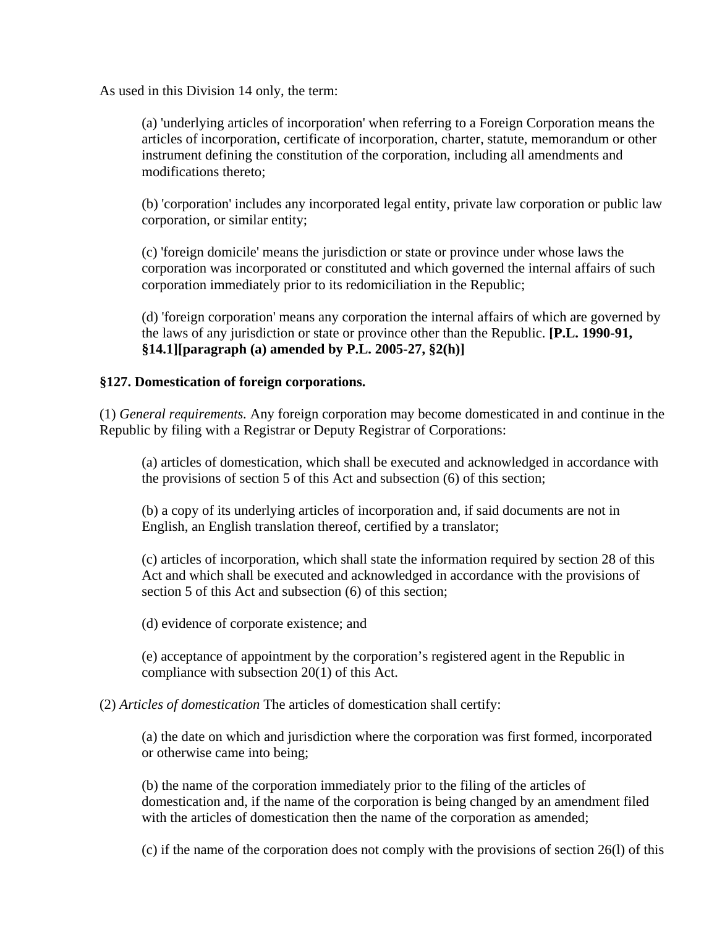As used in this Division 14 only, the term:

(a) 'underlying articles of incorporation' when referring to a Foreign Corporation means the articles of incorporation, certificate of incorporation, charter, statute, memorandum or other instrument defining the constitution of the corporation, including all amendments and modifications thereto;

(b) 'corporation' includes any incorporated legal entity, private law corporation or public law corporation, or similar entity;

(c) 'foreign domicile' means the jurisdiction or state or province under whose laws the corporation was incorporated or constituted and which governed the internal affairs of such corporation immediately prior to its redomiciliation in the Republic;

(d) 'foreign corporation' means any corporation the internal affairs of which are governed by the laws of any jurisdiction or state or province other than the Republic. **[P.L. 1990-91, §14.1][paragraph (a) amended by P.L. 2005-27, §2(h)]**

### **§127. Domestication of foreign corporations.**

(1) *General requirements.* Any foreign corporation may become domesticated in and continue in the Republic by filing with a Registrar or Deputy Registrar of Corporations:

(a) articles of domestication, which shall be executed and acknowledged in accordance with the provisions of section 5 of this Act and subsection (6) of this section;

(b) a copy of its underlying articles of incorporation and, if said documents are not in English, an English translation thereof, certified by a translator;

(c) articles of incorporation, which shall state the information required by section 28 of this Act and which shall be executed and acknowledged in accordance with the provisions of section 5 of this Act and subsection (6) of this section;

(d) evidence of corporate existence; and

(e) acceptance of appointment by the corporation's registered agent in the Republic in compliance with subsection 20(1) of this Act.

(2) *Articles of domestication* The articles of domestication shall certify:

(a) the date on which and jurisdiction where the corporation was first formed, incorporated or otherwise came into being;

(b) the name of the corporation immediately prior to the filing of the articles of domestication and, if the name of the corporation is being changed by an amendment filed with the articles of domestication then the name of the corporation as amended;

(c) if the name of the corporation does not comply with the provisions of section 26(l) of this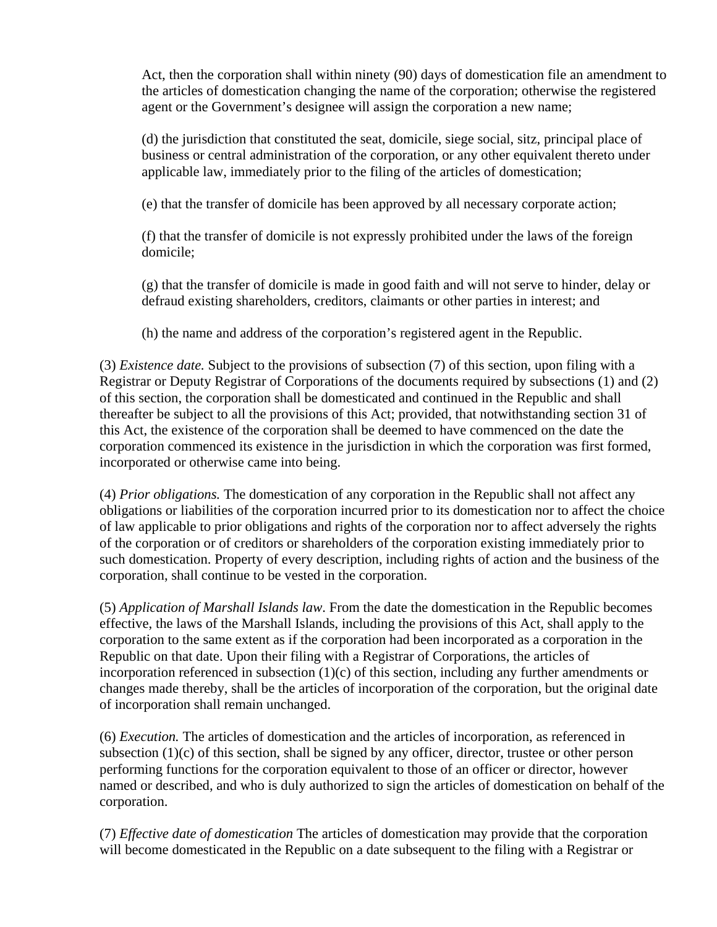Act, then the corporation shall within ninety (90) days of domestication file an amendment to the articles of domestication changing the name of the corporation; otherwise the registered agent or the Government's designee will assign the corporation a new name;

(d) the jurisdiction that constituted the seat, domicile, siege social, sitz, principal place of business or central administration of the corporation, or any other equivalent thereto under applicable law, immediately prior to the filing of the articles of domestication;

(e) that the transfer of domicile has been approved by all necessary corporate action;

(f) that the transfer of domicile is not expressly prohibited under the laws of the foreign domicile;

(g) that the transfer of domicile is made in good faith and will not serve to hinder, delay or defraud existing shareholders, creditors, claimants or other parties in interest; and

(h) the name and address of the corporation's registered agent in the Republic.

(3) *Existence date.* Subject to the provisions of subsection (7) of this section, upon filing with a Registrar or Deputy Registrar of Corporations of the documents required by subsections (1) and (2) of this section, the corporation shall be domesticated and continued in the Republic and shall thereafter be subject to all the provisions of this Act; provided, that notwithstanding section 31 of this Act, the existence of the corporation shall be deemed to have commenced on the date the corporation commenced its existence in the jurisdiction in which the corporation was first formed, incorporated or otherwise came into being.

(4) *Prior obligations.* The domestication of any corporation in the Republic shall not affect any obligations or liabilities of the corporation incurred prior to its domestication nor to affect the choice of law applicable to prior obligations and rights of the corporation nor to affect adversely the rights of the corporation or of creditors or shareholders of the corporation existing immediately prior to such domestication. Property of every description, including rights of action and the business of the corporation, shall continue to be vested in the corporation.

(5) *Application of Marshall Islands law*. From the date the domestication in the Republic becomes effective, the laws of the Marshall Islands, including the provisions of this Act, shall apply to the corporation to the same extent as if the corporation had been incorporated as a corporation in the Republic on that date. Upon their filing with a Registrar of Corporations, the articles of incorporation referenced in subsection (1)(c) of this section, including any further amendments or changes made thereby, shall be the articles of incorporation of the corporation, but the original date of incorporation shall remain unchanged.

(6) *Execution.* The articles of domestication and the articles of incorporation, as referenced in subsection (1)(c) of this section, shall be signed by any officer, director, trustee or other person performing functions for the corporation equivalent to those of an officer or director, however named or described, and who is duly authorized to sign the articles of domestication on behalf of the corporation.

(7) *Effective date of domestication* The articles of domestication may provide that the corporation will become domesticated in the Republic on a date subsequent to the filing with a Registrar or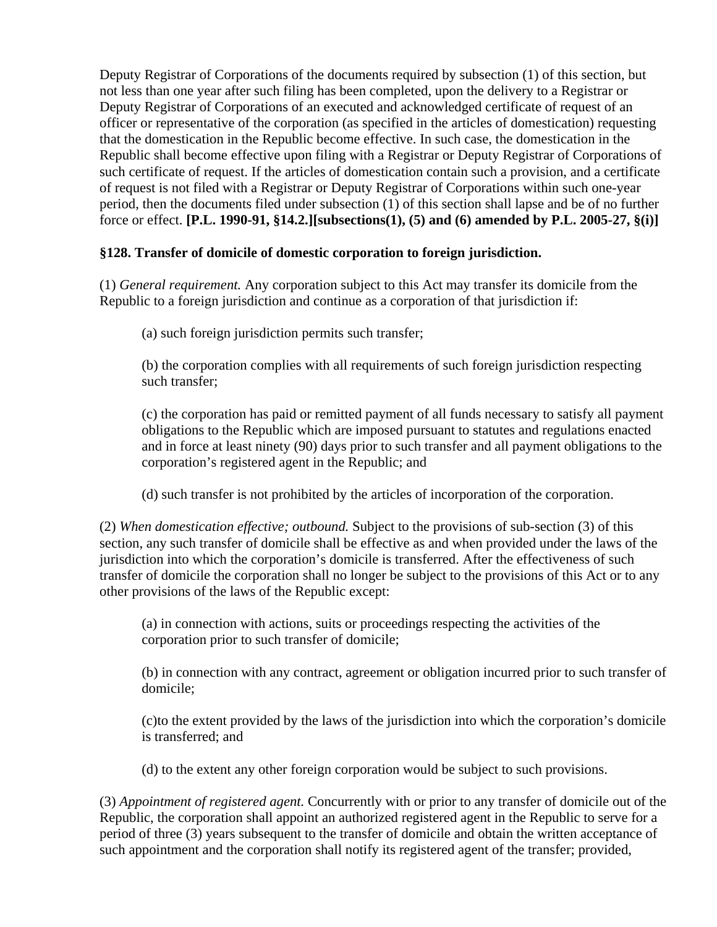Deputy Registrar of Corporations of the documents required by subsection (1) of this section, but not less than one year after such filing has been completed, upon the delivery to a Registrar or Deputy Registrar of Corporations of an executed and acknowledged certificate of request of an officer or representative of the corporation (as specified in the articles of domestication) requesting that the domestication in the Republic become effective. In such case, the domestication in the Republic shall become effective upon filing with a Registrar or Deputy Registrar of Corporations of such certificate of request. If the articles of domestication contain such a provision, and a certificate of request is not filed with a Registrar or Deputy Registrar of Corporations within such one-year period, then the documents filed under subsection (1) of this section shall lapse and be of no further force or effect. **[P.L. 1990-91, §14.2.][subsections(1), (5) and (6) amended by P.L. 2005-27, §(i)]** 

### **§128. Transfer of domicile of domestic corporation to foreign jurisdiction.**

(1) *General requirement.* Any corporation subject to this Act may transfer its domicile from the Republic to a foreign jurisdiction and continue as a corporation of that jurisdiction if:

(a) such foreign jurisdiction permits such transfer;

(b) the corporation complies with all requirements of such foreign jurisdiction respecting such transfer;

(c) the corporation has paid or remitted payment of all funds necessary to satisfy all payment obligations to the Republic which are imposed pursuant to statutes and regulations enacted and in force at least ninety (90) days prior to such transfer and all payment obligations to the corporation's registered agent in the Republic; and

(d) such transfer is not prohibited by the articles of incorporation of the corporation.

(2) *When domestication effective; outbound.* Subject to the provisions of sub-section (3) of this section, any such transfer of domicile shall be effective as and when provided under the laws of the jurisdiction into which the corporation's domicile is transferred. After the effectiveness of such transfer of domicile the corporation shall no longer be subject to the provisions of this Act or to any other provisions of the laws of the Republic except:

(a) in connection with actions, suits or proceedings respecting the activities of the corporation prior to such transfer of domicile;

(b) in connection with any contract, agreement or obligation incurred prior to such transfer of domicile;

(c)to the extent provided by the laws of the jurisdiction into which the corporation's domicile is transferred; and

(d) to the extent any other foreign corporation would be subject to such provisions.

(3) *Appointment of registered agent.* Concurrently with or prior to any transfer of domicile out of the Republic, the corporation shall appoint an authorized registered agent in the Republic to serve for a period of three (3) years subsequent to the transfer of domicile and obtain the written acceptance of such appointment and the corporation shall notify its registered agent of the transfer; provided,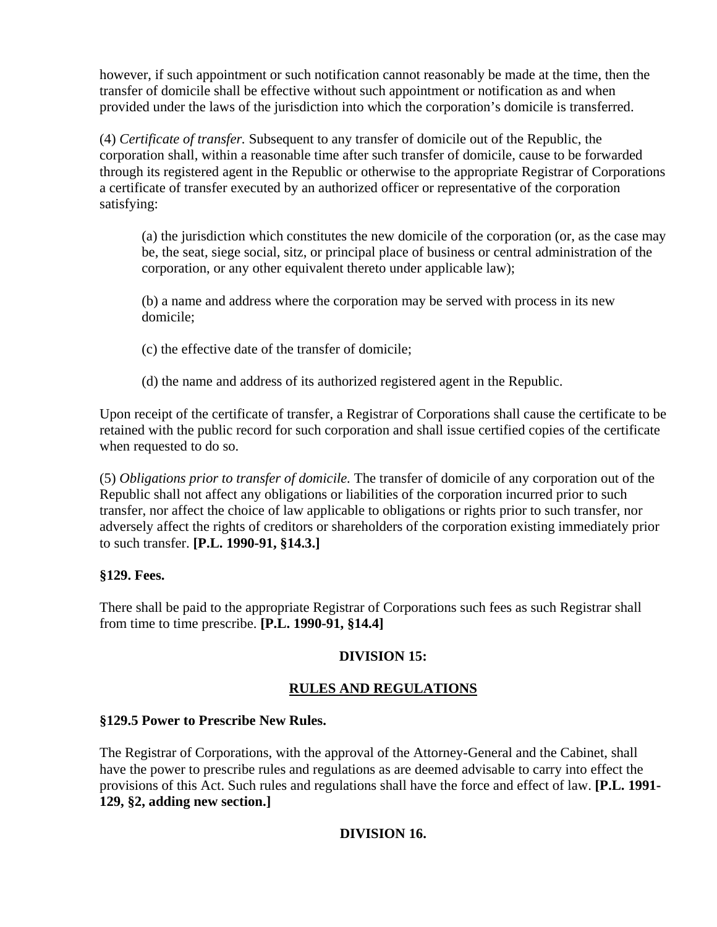however, if such appointment or such notification cannot reasonably be made at the time, then the transfer of domicile shall be effective without such appointment or notification as and when provided under the laws of the jurisdiction into which the corporation's domicile is transferred.

(4) *Certificate of transfer.* Subsequent to any transfer of domicile out of the Republic, the corporation shall, within a reasonable time after such transfer of domicile, cause to be forwarded through its registered agent in the Republic or otherwise to the appropriate Registrar of Corporations a certificate of transfer executed by an authorized officer or representative of the corporation satisfying:

(a) the jurisdiction which constitutes the new domicile of the corporation (or, as the case may be, the seat, siege social, sitz, or principal place of business or central administration of the corporation, or any other equivalent thereto under applicable law);

(b) a name and address where the corporation may be served with process in its new domicile;

(c) the effective date of the transfer of domicile;

(d) the name and address of its authorized registered agent in the Republic.

Upon receipt of the certificate of transfer, a Registrar of Corporations shall cause the certificate to be retained with the public record for such corporation and shall issue certified copies of the certificate when requested to do so.

(5) *Obligations prior to transfer of domicile.* The transfer of domicile of any corporation out of the Republic shall not affect any obligations or liabilities of the corporation incurred prior to such transfer, nor affect the choice of law applicable to obligations or rights prior to such transfer, nor adversely affect the rights of creditors or shareholders of the corporation existing immediately prior to such transfer. **[P.L. 1990-91, §14.3.]**

### **§129. Fees.**

There shall be paid to the appropriate Registrar of Corporations such fees as such Registrar shall from time to time prescribe. **[P.L. 1990-91, §14.4]**

### **DIVISION 15:**

### **RULES AND REGULATIONS**

### **§129.5 Power to Prescribe New Rules.**

The Registrar of Corporations, with the approval of the Attorney-General and the Cabinet, shall have the power to prescribe rules and regulations as are deemed advisable to carry into effect the provisions of this Act. Such rules and regulations shall have the force and effect of law. **[P.L. 1991- 129, §2, adding new section.]**

### **DIVISION 16.**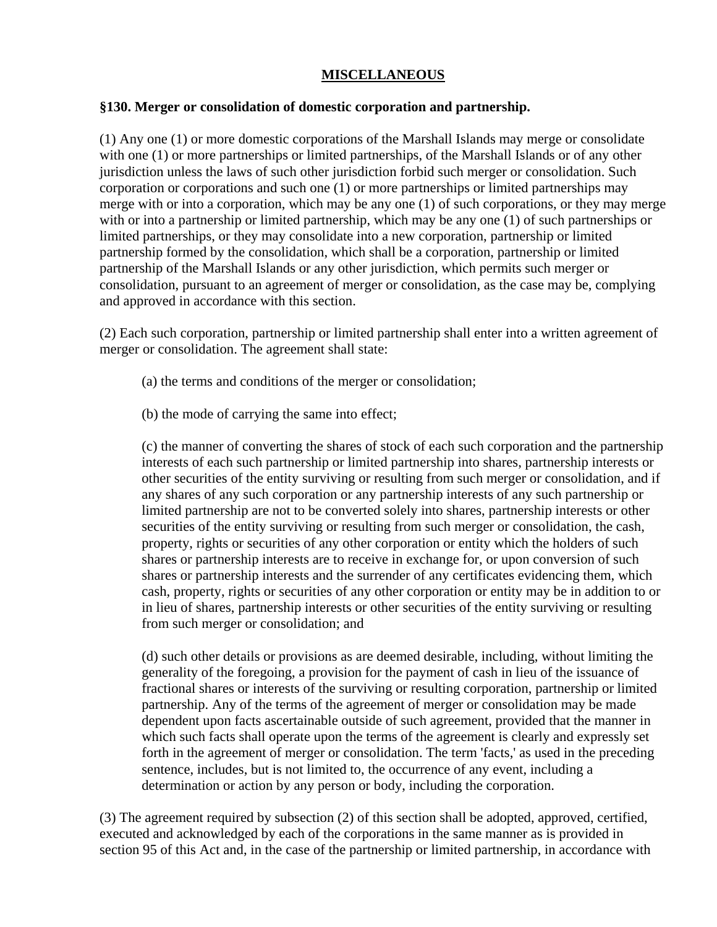#### **MISCELLANEOUS**

#### **§130. Merger or consolidation of domestic corporation and partnership.**

(1) Any one (1) or more domestic corporations of the Marshall Islands may merge or consolidate with one (1) or more partnerships or limited partnerships, of the Marshall Islands or of any other jurisdiction unless the laws of such other jurisdiction forbid such merger or consolidation. Such corporation or corporations and such one (1) or more partnerships or limited partnerships may merge with or into a corporation, which may be any one (1) of such corporations, or they may merge with or into a partnership or limited partnership, which may be any one (1) of such partnerships or limited partnerships, or they may consolidate into a new corporation, partnership or limited partnership formed by the consolidation, which shall be a corporation, partnership or limited partnership of the Marshall Islands or any other jurisdiction, which permits such merger or consolidation, pursuant to an agreement of merger or consolidation, as the case may be, complying and approved in accordance with this section.

(2) Each such corporation, partnership or limited partnership shall enter into a written agreement of merger or consolidation. The agreement shall state:

- (a) the terms and conditions of the merger or consolidation;
- (b) the mode of carrying the same into effect;

(c) the manner of converting the shares of stock of each such corporation and the partnership interests of each such partnership or limited partnership into shares, partnership interests or other securities of the entity surviving or resulting from such merger or consolidation, and if any shares of any such corporation or any partnership interests of any such partnership or limited partnership are not to be converted solely into shares, partnership interests or other securities of the entity surviving or resulting from such merger or consolidation, the cash, property, rights or securities of any other corporation or entity which the holders of such shares or partnership interests are to receive in exchange for, or upon conversion of such shares or partnership interests and the surrender of any certificates evidencing them, which cash, property, rights or securities of any other corporation or entity may be in addition to or in lieu of shares, partnership interests or other securities of the entity surviving or resulting from such merger or consolidation; and

(d) such other details or provisions as are deemed desirable, including, without limiting the generality of the foregoing, a provision for the payment of cash in lieu of the issuance of fractional shares or interests of the surviving or resulting corporation, partnership or limited partnership. Any of the terms of the agreement of merger or consolidation may be made dependent upon facts ascertainable outside of such agreement, provided that the manner in which such facts shall operate upon the terms of the agreement is clearly and expressly set forth in the agreement of merger or consolidation. The term 'facts,' as used in the preceding sentence, includes, but is not limited to, the occurrence of any event, including a determination or action by any person or body, including the corporation.

(3) The agreement required by subsection (2) of this section shall be adopted, approved, certified, executed and acknowledged by each of the corporations in the same manner as is provided in section 95 of this Act and, in the case of the partnership or limited partnership, in accordance with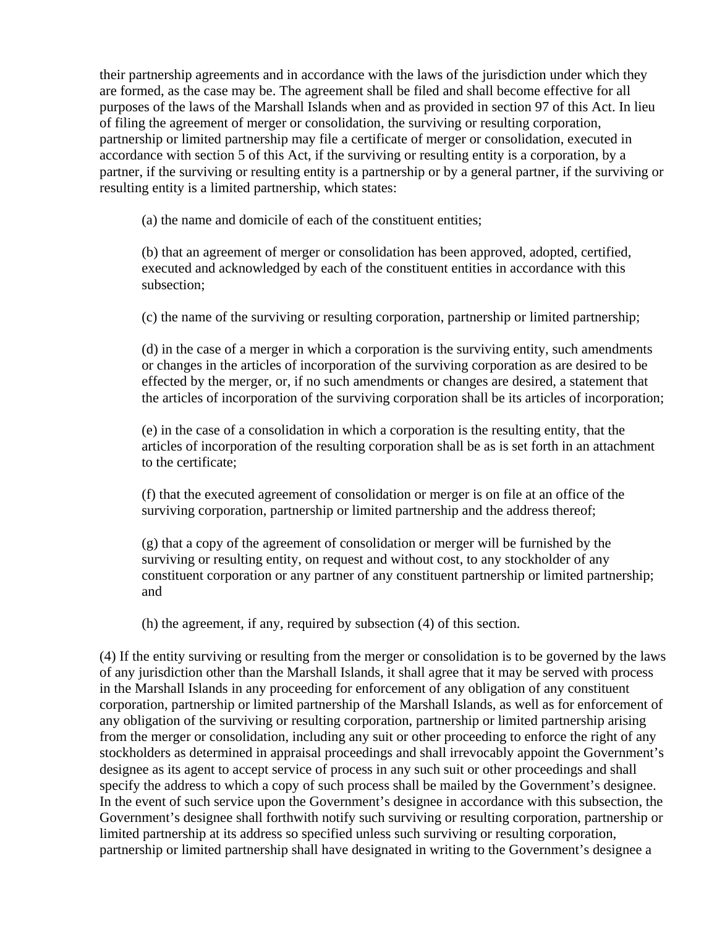their partnership agreements and in accordance with the laws of the jurisdiction under which they are formed, as the case may be. The agreement shall be filed and shall become effective for all purposes of the laws of the Marshall Islands when and as provided in section 97 of this Act. In lieu of filing the agreement of merger or consolidation, the surviving or resulting corporation, partnership or limited partnership may file a certificate of merger or consolidation, executed in accordance with section 5 of this Act, if the surviving or resulting entity is a corporation, by a partner, if the surviving or resulting entity is a partnership or by a general partner, if the surviving or resulting entity is a limited partnership, which states:

(a) the name and domicile of each of the constituent entities;

(b) that an agreement of merger or consolidation has been approved, adopted, certified, executed and acknowledged by each of the constituent entities in accordance with this subsection;

(c) the name of the surviving or resulting corporation, partnership or limited partnership;

(d) in the case of a merger in which a corporation is the surviving entity, such amendments or changes in the articles of incorporation of the surviving corporation as are desired to be effected by the merger, or, if no such amendments or changes are desired, a statement that the articles of incorporation of the surviving corporation shall be its articles of incorporation;

(e) in the case of a consolidation in which a corporation is the resulting entity, that the articles of incorporation of the resulting corporation shall be as is set forth in an attachment to the certificate;

(f) that the executed agreement of consolidation or merger is on file at an office of the surviving corporation, partnership or limited partnership and the address thereof;

(g) that a copy of the agreement of consolidation or merger will be furnished by the surviving or resulting entity, on request and without cost, to any stockholder of any constituent corporation or any partner of any constituent partnership or limited partnership; and

(h) the agreement, if any, required by subsection (4) of this section.

(4) If the entity surviving or resulting from the merger or consolidation is to be governed by the laws of any jurisdiction other than the Marshall Islands, it shall agree that it may be served with process in the Marshall Islands in any proceeding for enforcement of any obligation of any constituent corporation, partnership or limited partnership of the Marshall Islands, as well as for enforcement of any obligation of the surviving or resulting corporation, partnership or limited partnership arising from the merger or consolidation, including any suit or other proceeding to enforce the right of any stockholders as determined in appraisal proceedings and shall irrevocably appoint the Government's designee as its agent to accept service of process in any such suit or other proceedings and shall specify the address to which a copy of such process shall be mailed by the Government's designee. In the event of such service upon the Government's designee in accordance with this subsection, the Government's designee shall forthwith notify such surviving or resulting corporation, partnership or limited partnership at its address so specified unless such surviving or resulting corporation, partnership or limited partnership shall have designated in writing to the Government's designee a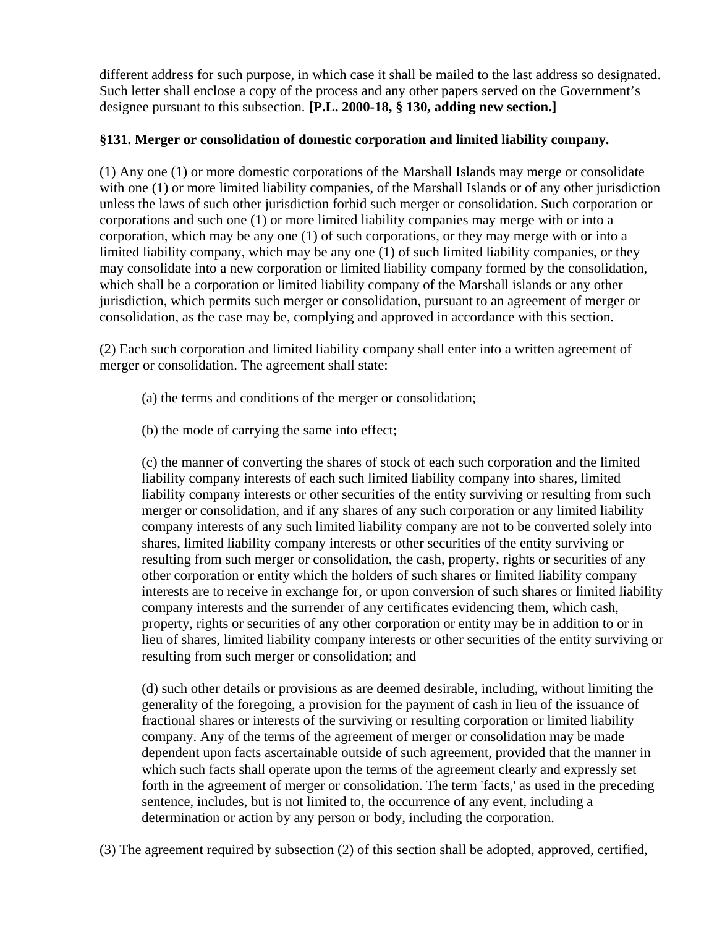different address for such purpose, in which case it shall be mailed to the last address so designated. Such letter shall enclose a copy of the process and any other papers served on the Government's designee pursuant to this subsection. **[P.L. 2000-18, § 130, adding new section.]**

### **§131. Merger or consolidation of domestic corporation and limited liability company.**

(1) Any one (1) or more domestic corporations of the Marshall Islands may merge or consolidate with one (1) or more limited liability companies, of the Marshall Islands or of any other jurisdiction unless the laws of such other jurisdiction forbid such merger or consolidation. Such corporation or corporations and such one (1) or more limited liability companies may merge with or into a corporation, which may be any one (1) of such corporations, or they may merge with or into a limited liability company, which may be any one (1) of such limited liability companies, or they may consolidate into a new corporation or limited liability company formed by the consolidation, which shall be a corporation or limited liability company of the Marshall islands or any other jurisdiction, which permits such merger or consolidation, pursuant to an agreement of merger or consolidation, as the case may be, complying and approved in accordance with this section.

(2) Each such corporation and limited liability company shall enter into a written agreement of merger or consolidation. The agreement shall state:

- (a) the terms and conditions of the merger or consolidation;
- (b) the mode of carrying the same into effect;

(c) the manner of converting the shares of stock of each such corporation and the limited liability company interests of each such limited liability company into shares, limited liability company interests or other securities of the entity surviving or resulting from such merger or consolidation, and if any shares of any such corporation or any limited liability company interests of any such limited liability company are not to be converted solely into shares, limited liability company interests or other securities of the entity surviving or resulting from such merger or consolidation, the cash, property, rights or securities of any other corporation or entity which the holders of such shares or limited liability company interests are to receive in exchange for, or upon conversion of such shares or limited liability company interests and the surrender of any certificates evidencing them, which cash, property, rights or securities of any other corporation or entity may be in addition to or in lieu of shares, limited liability company interests or other securities of the entity surviving or resulting from such merger or consolidation; and

(d) such other details or provisions as are deemed desirable, including, without limiting the generality of the foregoing, a provision for the payment of cash in lieu of the issuance of fractional shares or interests of the surviving or resulting corporation or limited liability company. Any of the terms of the agreement of merger or consolidation may be made dependent upon facts ascertainable outside of such agreement, provided that the manner in which such facts shall operate upon the terms of the agreement clearly and expressly set forth in the agreement of merger or consolidation. The term 'facts,' as used in the preceding sentence, includes, but is not limited to, the occurrence of any event, including a determination or action by any person or body, including the corporation.

(3) The agreement required by subsection (2) of this section shall be adopted, approved, certified,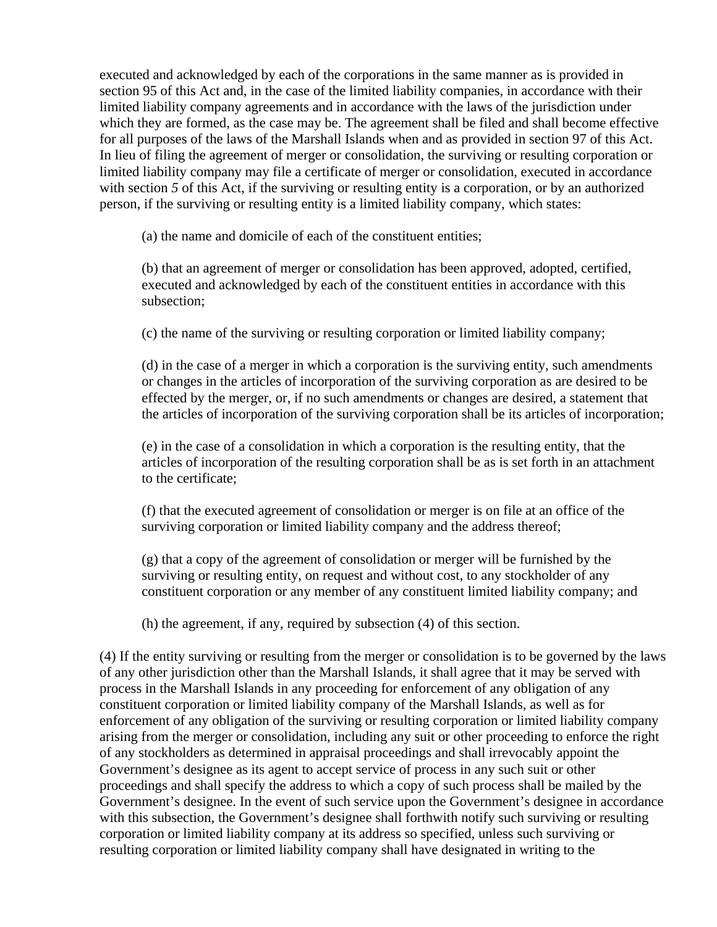executed and acknowledged by each of the corporations in the same manner as is provided in section 95 of this Act and, in the case of the limited liability companies, in accordance with their limited liability company agreements and in accordance with the laws of the jurisdiction under which they are formed, as the case may be. The agreement shall be filed and shall become effective for all purposes of the laws of the Marshall Islands when and as provided in section 97 of this Act. In lieu of filing the agreement of merger or consolidation, the surviving or resulting corporation or limited liability company may file a certificate of merger or consolidation, executed in accordance with section 5 of this Act, if the surviving or resulting entity is a corporation, or by an authorized person, if the surviving or resulting entity is a limited liability company, which states:

(a) the name and domicile of each of the constituent entities;

(b) that an agreement of merger or consolidation has been approved, adopted, certified, executed and acknowledged by each of the constituent entities in accordance with this subsection;

(c) the name of the surviving or resulting corporation or limited liability company;

(d) in the case of a merger in which a corporation is the surviving entity, such amendments or changes in the articles of incorporation of the surviving corporation as are desired to be effected by the merger, or, if no such amendments or changes are desired, a statement that the articles of incorporation of the surviving corporation shall be its articles of incorporation;

(e) in the case of a consolidation in which a corporation is the resulting entity, that the articles of incorporation of the resulting corporation shall be as is set forth in an attachment to the certificate;

(f) that the executed agreement of consolidation or merger is on file at an office of the surviving corporation or limited liability company and the address thereof;

(g) that a copy of the agreement of consolidation or merger will be furnished by the surviving or resulting entity, on request and without cost, to any stockholder of any constituent corporation or any member of any constituent limited liability company; and

(h) the agreement, if any, required by subsection (4) of this section.

(4) If the entity surviving or resulting from the merger or consolidation is to be governed by the laws of any other jurisdiction other than the Marshall Islands, it shall agree that it may be served with process in the Marshall Islands in any proceeding for enforcement of any obligation of any constituent corporation or limited liability company of the Marshall Islands, as well as for enforcement of any obligation of the surviving or resulting corporation or limited liability company arising from the merger or consolidation, including any suit or other proceeding to enforce the right of any stockholders as determined in appraisal proceedings and shall irrevocably appoint the Government's designee as its agent to accept service of process in any such suit or other proceedings and shall specify the address to which a copy of such process shall be mailed by the Government's designee. In the event of such service upon the Government's designee in accordance with this subsection, the Government's designee shall forthwith notify such surviving or resulting corporation or limited liability company at its address so specified, unless such surviving or resulting corporation or limited liability company shall have designated in writing to the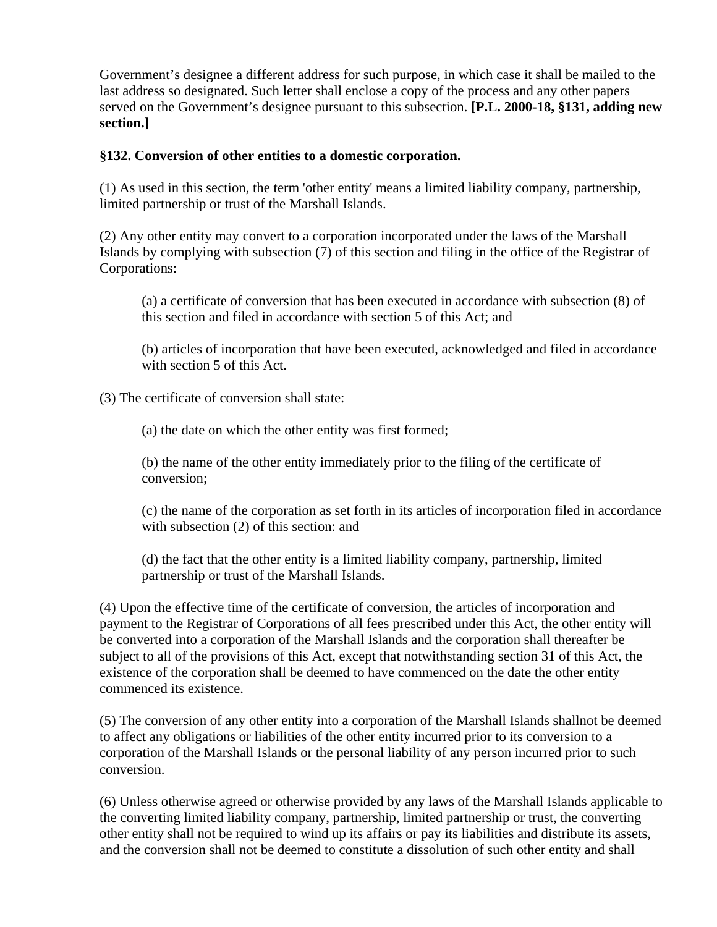Government's designee a different address for such purpose, in which case it shall be mailed to the last address so designated. Such letter shall enclose a copy of the process and any other papers served on the Government's designee pursuant to this subsection. **[P.L. 2000-18, §131, adding new section.]**

#### **§132. Conversion of other entities to a domestic corporation.**

(1) As used in this section, the term 'other entity' means a limited liability company, partnership, limited partnership or trust of the Marshall Islands.

(2) Any other entity may convert to a corporation incorporated under the laws of the Marshall Islands by complying with subsection (7) of this section and filing in the office of the Registrar of Corporations:

(a) a certificate of conversion that has been executed in accordance with subsection (8) of this section and filed in accordance with section 5 of this Act; and

(b) articles of incorporation that have been executed, acknowledged and filed in accordance with section 5 of this Act.

(3) The certificate of conversion shall state:

(a) the date on which the other entity was first formed;

(b) the name of the other entity immediately prior to the filing of the certificate of conversion;

(c) the name of the corporation as set forth in its articles of incorporation filed in accordance with subsection (2) of this section: and

(d) the fact that the other entity is a limited liability company, partnership, limited partnership or trust of the Marshall Islands.

(4) Upon the effective time of the certificate of conversion, the articles of incorporation and payment to the Registrar of Corporations of all fees prescribed under this Act, the other entity will be converted into a corporation of the Marshall Islands and the corporation shall thereafter be subject to all of the provisions of this Act, except that notwithstanding section 31 of this Act, the existence of the corporation shall be deemed to have commenced on the date the other entity commenced its existence.

(5) The conversion of any other entity into a corporation of the Marshall Islands shallnot be deemed to affect any obligations or liabilities of the other entity incurred prior to its conversion to a corporation of the Marshall Islands or the personal liability of any person incurred prior to such conversion.

(6) Unless otherwise agreed or otherwise provided by any laws of the Marshall Islands applicable to the converting limited liability company, partnership, limited partnership or trust, the converting other entity shall not be required to wind up its affairs or pay its liabilities and distribute its assets, and the conversion shall not be deemed to constitute a dissolution of such other entity and shall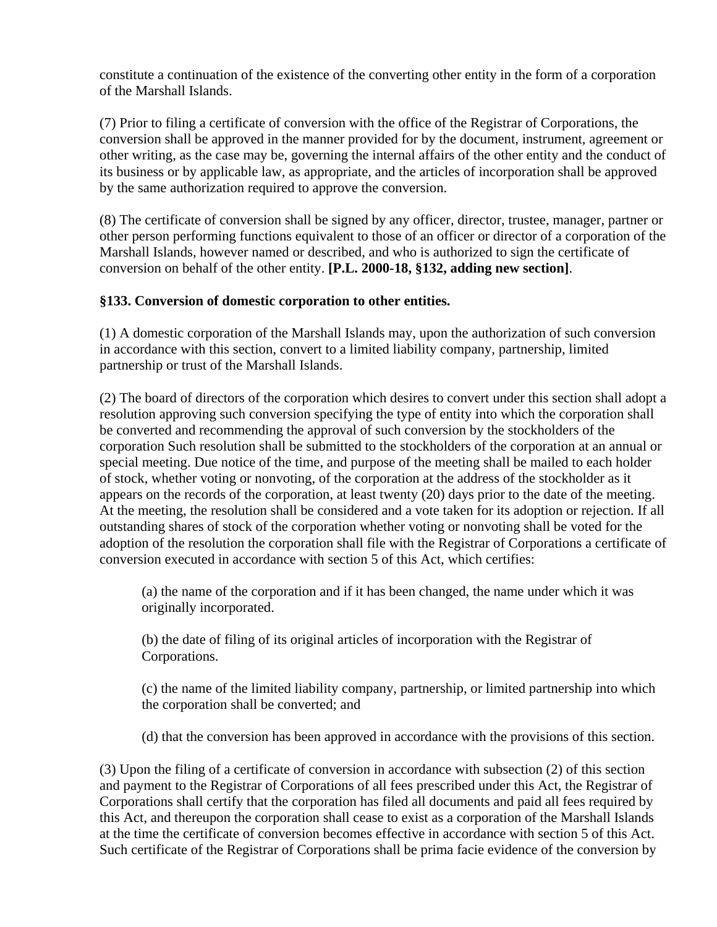constitute a continuation of the existence of the converting other entity in the form of a corporation of the Marshall Islands.

(7) Prior to filing a certificate of conversion with the office of the Registrar of Corporations, the conversion shall be approved in the manner provided for by the document, instrument, agreement or other writing, as the case may be, governing the internal affairs of the other entity and the conduct of its business or by applicable law, as appropriate, and the articles of incorporation shall be approved by the same authorization required to approve the conversion.

(8) The certificate of conversion shall be signed by any officer, director, trustee, manager, partner or other person performing functions equivalent to those of an officer or director of a corporation of the Marshall Islands, however named or described, and who is authorized to sign the certificate of conversion on behalf of the other entity. **[P.L. 2000-18, §132, adding new section]**.

### **§133. Conversion of domestic corporation to other entities.**

(1) A domestic corporation of the Marshall Islands may, upon the authorization of such conversion in accordance with this section, convert to a limited liability company, partnership, limited partnership or trust of the Marshall Islands.

(2) The board of directors of the corporation which desires to convert under this section shall adopt a resolution approving such conversion specifying the type of entity into which the corporation shall be converted and recommending the approval of such conversion by the stockholders of the corporation Such resolution shall be submitted to the stockholders of the corporation at an annual or special meeting. Due notice of the time, and purpose of the meeting shall be mailed to each holder of stock, whether voting or nonvoting, of the corporation at the address of the stockholder as it appears on the records of the corporation, at least twenty (20) days prior to the date of the meeting. At the meeting, the resolution shall be considered and a vote taken for its adoption or rejection. If all outstanding shares of stock of the corporation whether voting or nonvoting shall be voted for the adoption of the resolution the corporation shall file with the Registrar of Corporations a certificate of conversion executed in accordance with section 5 of this Act, which certifies:

(a) the name of the corporation and if it has been changed, the name under which it was originally incorporated.

(b) the date of filing of its original articles of incorporation with the Registrar of Corporations.

(c) the name of the limited liability company, partnership, or limited partnership into which the corporation shall be converted; and

(d) that the conversion has been approved in accordance with the provisions of this section.

(3) Upon the filing of a certificate of conversion in accordance with subsection (2) of this section and payment to the Registrar of Corporations of all fees prescribed under this Act, the Registrar of Corporations shall certify that the corporation has filed all documents and paid all fees required by this Act, and thereupon the corporation shall cease to exist as a corporation of the Marshall Islands at the time the certificate of conversion becomes effective in accordance with section 5 of this Act. Such certificate of the Registrar of Corporations shall be prima facie evidence of the conversion by